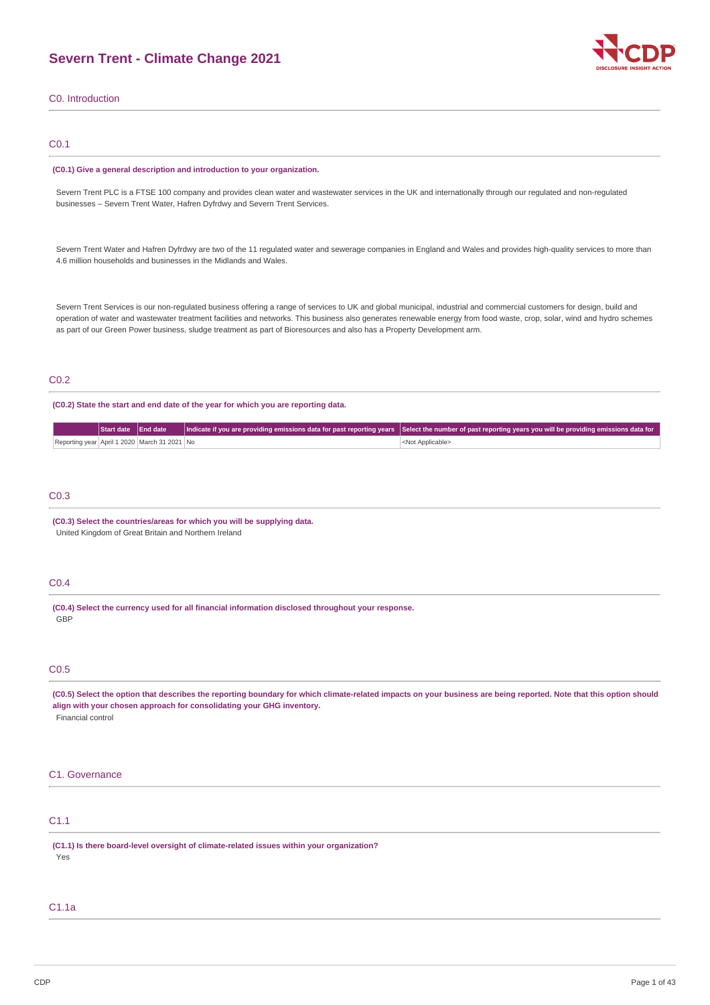## **Severn Trent - Climate Change 2021**



C0. Introduction

### C0.1

#### **(C0.1) Give a general description and introduction to your organization.**

Severn Trent PLC is a FTSE 100 company and provides clean water and wastewater services in the UK and internationally through our regulated and non-regulated businesses – Severn Trent Water, Hafren Dyfrdwy and Severn Trent Services.

Severn Trent Water and Hafren Dyfrdwy are two of the 11 regulated water and sewerage companies in England and Wales and provides high-quality services to more than 4.6 million households and businesses in the Midlands and Wales.

Severn Trent Services is our non-regulated business offering a range of services to UK and global municipal, industrial and commercial customers for design, build and operation of water and wastewater treatment facilities and networks. This business also generates renewable energy from food waste, crop, solar, wind and hydro schemes as part of our Green Power business, sludge treatment as part of Bioresources and also has a Property Development arm.

## C0.2

**(C0.2) State the start and end date of the year for which you are reporting data.**

|                                              |  | Start date   End date   Indicate if you are providing emissions data for past reporting years   Select the number of past reporting years you will be providing emissions data for |
|----------------------------------------------|--|------------------------------------------------------------------------------------------------------------------------------------------------------------------------------------|
| Reporting year April 1 2020 March 31 2021 No |  | <not applicable=""></not>                                                                                                                                                          |

## C0.3

**(C0.3) Select the countries/areas for which you will be supplying data.** United Kingdom of Great Britain and Northern Ireland

## C0.4

**(C0.4) Select the currency used for all financial information disclosed throughout your response.** GBP

### C0.5

(C0.5) Select the option that describes the reporting boundary for which climate-related impacts on your business are being reported. Note that this option should **align with your chosen approach for consolidating your GHG inventory.** Financial control

#### C1. Governance

## C1.1

**(C1.1) Is there board-level oversight of climate-related issues within your organization?** Yes

## C1.1a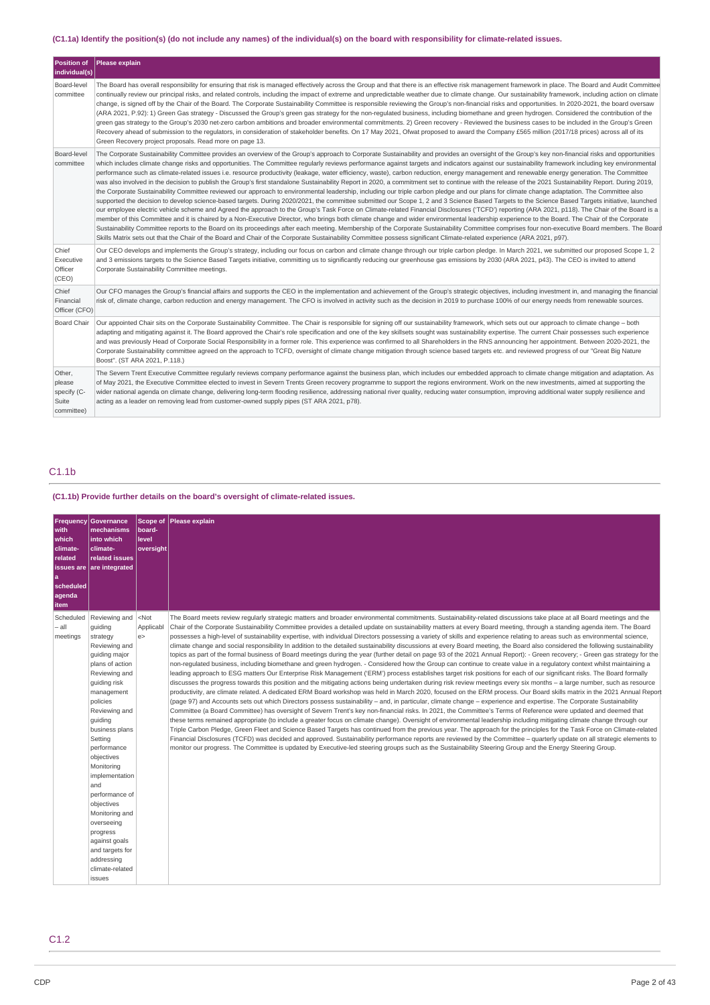## (C1.1a) Identify the position(s) (do not include any names) of the individual(s) on the board with responsibility for climate-related issues.

| <b>Position of</b><br>individual(s)                    | Please explain                                                                                                                                                                                                                                                                                                                                                                                                                                                                                                                                                                                                                                                                                                                                                                                                                                                                                                                                                                                                                                                                                                                                                                                                                                                                                                                                                                                                                                                                                                                                                                                                                                                                                                                                                                                                                                                                                                                                                                                          |
|--------------------------------------------------------|---------------------------------------------------------------------------------------------------------------------------------------------------------------------------------------------------------------------------------------------------------------------------------------------------------------------------------------------------------------------------------------------------------------------------------------------------------------------------------------------------------------------------------------------------------------------------------------------------------------------------------------------------------------------------------------------------------------------------------------------------------------------------------------------------------------------------------------------------------------------------------------------------------------------------------------------------------------------------------------------------------------------------------------------------------------------------------------------------------------------------------------------------------------------------------------------------------------------------------------------------------------------------------------------------------------------------------------------------------------------------------------------------------------------------------------------------------------------------------------------------------------------------------------------------------------------------------------------------------------------------------------------------------------------------------------------------------------------------------------------------------------------------------------------------------------------------------------------------------------------------------------------------------------------------------------------------------------------------------------------------------|
| Board-level<br>committee                               | The Board has overall responsibility for ensuring that risk is managed effectively across the Group and that there is an effective risk management framework in place. The Board and Audit Committee<br>continually review our principal risks, and related controls, including the impact of extreme and unpredictable weather due to climate change. Our sustainability framework, including action on climate<br>change, is signed off by the Chair of the Board. The Corporate Sustainability Committee is responsible reviewing the Group's non-financial risks and opportunities. In 2020-2021, the board oversaw<br>(ARA 2021, P.92): 1) Green Gas strategy - Discussed the Group's green gas strategy for the non-regulated business, including biomethane and green hydrogen. Considered the contribution of the<br>green gas strategy to the Group's 2030 net-zero carbon ambitions and broader environmental commitments. 2) Green recovery - Reviewed the business cases to be included in the Group's Green<br>Recovery ahead of submission to the regulators, in consideration of stakeholder benefits. On 17 May 2021, Ofwat proposed to award the Company £565 million (2017/18 prices) across all of its<br>Green Recovery project proposals. Read more on page 13.                                                                                                                                                                                                                                                                                                                                                                                                                                                                                                                                                                                                                                                                                                                    |
| Board-level<br>committee                               | The Corporate Sustainability Committee provides an overview of the Group's approach to Corporate Sustainability and provides an oversight of the Group's key non-financial risks and opportunities<br>which includes climate change risks and opportunities. The Committee regularly reviews performance against targets and indicators against our sustainability framework including key environmental<br>performance such as climate-related issues i.e. resource productivity (leakage, water efficiency, waste), carbon reduction, energy management and renewable energy generation. The Committee<br>was also involved in the decision to publish the Group's first standalone Sustainability Report in 2020, a commitment set to continue with the release of the 2021 Sustainability Report. During 2019,<br>the Corporate Sustainability Committee reviewed our approach to environmental leadership, including our triple carbon pledge and our plans for climate change adaptation. The Committee also<br>supported the decision to develop science-based targets. During 2020/2021, the committee submitted our Scope 1, 2 and 3 Science Based Targets to the Science Based Targets initiative, launched<br>our employee electric vehicle scheme and Agreed the approach to the Group's Task Force on Climate-related Financial Disclosures ('TCFD') reporting (ARA 2021, p118). The Chair of the Board is a<br>member of this Committee and it is chaired by a Non-Executive Director, who brings both climate change and wider environmental leadership experience to the Board. The Chair of the Corporate<br>Sustainability Committee reports to the Board on its proceedings after each meeting. Membership of the Corporate Sustainability Committee comprises four non-executive Board members. The Board<br>Skills Matrix sets out that the Chair of the Board and Chair of the Corporate Sustainability Committee possess significant Climate-related experience (ARA 2021, p97). |
| Chief<br>Executive<br>Officer<br>(CEO)                 | Our CEO develops and implements the Group's strategy, including our focus on carbon and climate change through our triple carbon pledge. In March 2021, we submitted our proposed Scope 1, 2<br>and 3 emissions targets to the Science Based Targets initiative, committing us to significantly reducing our greenhouse gas emissions by 2030 (ARA 2021, p43). The CEO is invited to attend<br>Corporate Sustainability Committee meetings.                                                                                                                                                                                                                                                                                                                                                                                                                                                                                                                                                                                                                                                                                                                                                                                                                                                                                                                                                                                                                                                                                                                                                                                                                                                                                                                                                                                                                                                                                                                                                             |
| Chief<br>Financial<br>Officer (CFO)                    | Our CFO manages the Group's financial affairs and supports the CEO in the implementation and achievement of the Group's strategic objectives, including investment in, and managing the financial<br>risk of, climate change, carbon reduction and energy management. The CFO is involved in activity such as the decision in 2019 to purchase 100% of our energy needs from renewable sources.                                                                                                                                                                                                                                                                                                                                                                                                                                                                                                                                                                                                                                                                                                                                                                                                                                                                                                                                                                                                                                                                                                                                                                                                                                                                                                                                                                                                                                                                                                                                                                                                         |
| <b>Board Chair</b>                                     | Our appointed Chair sits on the Corporate Sustainability Committee. The Chair is responsible for signing off our sustainability framework, which sets out our approach to climate change - both<br>adapting and mitigating against it. The Board approved the Chair's role specification and one of the key skillsets sought was sustainability expertise. The current Chair possesses such experience<br>and was previously Head of Corporate Social Responsibility in a former role. This experience was confirmed to all Shareholders in the RNS announcing her appointment. Between 2020-2021, the<br>Corporate Sustainability committee agreed on the approach to TCFD, oversight of climate change mitigation through science based targets etc. and reviewed progress of our "Great Big Nature<br>Boost". (ST ARA 2021, P.118.)                                                                                                                                                                                                                                                                                                                                                                                                                                                                                                                                                                                                                                                                                                                                                                                                                                                                                                                                                                                                                                                                                                                                                                  |
| Other,<br>please<br>specify (C-<br>Suite<br>committee) | The Severn Trent Executive Committee regularly reviews company performance against the business plan, which includes our embedded approach to climate change mitigation and adaptation. As<br>of May 2021, the Executive Committee elected to invest in Severn Trents Green recovery programme to support the regions environment. Work on the new investments, aimed at supporting the<br>wider national agenda on climate change, delivering long-term flooding resilience, addressing national river quality, reducing water consumption, improving additional water supply resilience and<br>acting as a leader on removing lead from customer-owned supply pipes (ST ARA 2021, p78).                                                                                                                                                                                                                                                                                                                                                                                                                                                                                                                                                                                                                                                                                                                                                                                                                                                                                                                                                                                                                                                                                                                                                                                                                                                                                                               |

## C1.1b

## **(C1.1b) Provide further details on the board's oversight of climate-related issues.**

| Frequency<br>with<br>which<br>climate-<br>related<br> a<br>scheduled<br>agenda<br>item | Governance<br>mechanisms<br>into which<br>climate-<br>related issues<br>issues are are integrated                                                                                                                                                                                                                                                                                                                                            | <b>Scope of</b><br>board-<br>level<br>oversight | Please explain                                                                                                                                                                                                                                                                                                                                                                                                                                                                                                                                                                                                                                                                                                                                                                                                                                                                                                                                                                                                                                                                                                                                                                                                                                                                                                                                                                                                                                                                                                                                                                                                                                                                                                                                                                                                                                                                                                                                                                                                                                                                                                                                                                                                                                                                                                                                                                                                                                                                                                                                                                                                                                      |
|----------------------------------------------------------------------------------------|----------------------------------------------------------------------------------------------------------------------------------------------------------------------------------------------------------------------------------------------------------------------------------------------------------------------------------------------------------------------------------------------------------------------------------------------|-------------------------------------------------|-----------------------------------------------------------------------------------------------------------------------------------------------------------------------------------------------------------------------------------------------------------------------------------------------------------------------------------------------------------------------------------------------------------------------------------------------------------------------------------------------------------------------------------------------------------------------------------------------------------------------------------------------------------------------------------------------------------------------------------------------------------------------------------------------------------------------------------------------------------------------------------------------------------------------------------------------------------------------------------------------------------------------------------------------------------------------------------------------------------------------------------------------------------------------------------------------------------------------------------------------------------------------------------------------------------------------------------------------------------------------------------------------------------------------------------------------------------------------------------------------------------------------------------------------------------------------------------------------------------------------------------------------------------------------------------------------------------------------------------------------------------------------------------------------------------------------------------------------------------------------------------------------------------------------------------------------------------------------------------------------------------------------------------------------------------------------------------------------------------------------------------------------------------------------------------------------------------------------------------------------------------------------------------------------------------------------------------------------------------------------------------------------------------------------------------------------------------------------------------------------------------------------------------------------------------------------------------------------------------------------------------------------------|
| Scheduled<br>- all<br>meetings                                                         | Reviewing and<br>quiding<br>strategy<br>Reviewing and<br>guiding major<br>plans of action<br>Reviewing and<br>guiding risk<br>management<br>policies<br>Reviewing and<br>quiding<br>business plans<br>Setting<br>performance<br>objectives<br>Monitoring<br>implementation<br>and<br>performance of<br>objectives<br>Monitoring and<br>overseeing<br>progress<br>aqainst qoals<br>and targets for<br>addressing<br>climate-related<br>issues | $<$ Not<br>Applicabl<br>e                       | The Board meets review reqularly strategic matters and broader environmental commitments. Sustainability-related discussions take place at all Board meetings and the<br>Chair of the Corporate Sustainability Committee provides a detailed update on sustainability matters at every Board meeting, through a standing agenda item. The Board<br>possesses a high-level of sustainability expertise, with individual Directors possessing a variety of skills and experience relating to areas such as environmental science,<br>climate change and social responsibility In addition to the detailed sustainability discussions at every Board meeting, the Board also considered the following sustainability<br>topics as part of the formal business of Board meetings during the year (further detail on page 93 of the 2021 Annual Report): - Green recovery; - Green gas strategy for the<br>non-regulated business, including biomethane and green hydrogen. - Considered how the Group can continue to create value in a regulatory context whilst maintaining a<br>leading approach to ESG matters Our Enterprise Risk Management ('ERM') process establishes target risk positions for each of our significant risks. The Board formally<br>discusses the progress towards this position and the mitigating actions being undertaken during risk review meetings every six months - a large number, such as resource<br>productivity, are climate related. A dedicated ERM Board workshop was held in March 2020, focused on the ERM process. Our Board skills matrix in the 2021 Annual Report<br>(page 97) and Accounts sets out which Directors possess sustainability - and, in particular, climate change - experience and expertise. The Corporate Sustainability<br>Committee (a Board Committee) has oversight of Severn Trent's key non-financial risks. In 2021, the Committee's Terms of Reference were updated and deemed that<br>these terms remained appropriate (to include a greater focus on climate change). Oversight of environmental leadership including mitigating climate change through our<br>Triple Carbon Pledge, Green Fleet and Science Based Targets has continued from the previous year. The approach for the principles for the Task Force on Climate-related<br>Financial Disclosures (TCFD) was decided and approved. Sustainability performance reports are reviewed by the Committee – quarterly update on all strategic elements to<br>monitor our progress. The Committee is updated by Executive-led steering groups such as the Sustainability Steering Group and the Energy Steering Group. |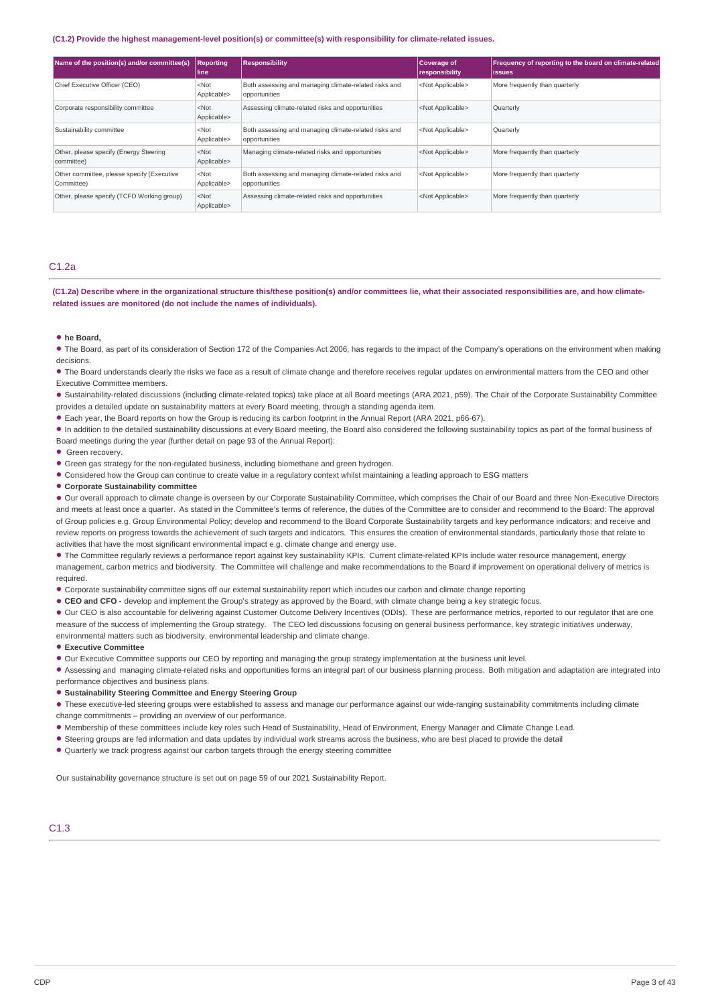#### **(C1.2) Provide the highest management-level position(s) or committee(s) with responsibility for climate-related issues.**

| Name of the position(s) and/or committee(s)              | <b>Reporting</b><br><b>line</b> | <b>Responsibility</b>                                                  | Coverage of<br>  responsibility | Frequency of reporting to the board on climate-related<br><b>lissues</b> |
|----------------------------------------------------------|---------------------------------|------------------------------------------------------------------------|---------------------------------|--------------------------------------------------------------------------|
| Chief Executive Officer (CEO)                            | $<$ Not<br>Applicable>          | Both assessing and managing climate-related risks and<br>opportunities | <not applicable=""></not>       | More frequently than quarterly                                           |
| Corporate responsibility committee                       | $<$ Not<br>Applicable>          | Assessing climate-related risks and opportunities                      | <not applicable=""></not>       | Quarterly                                                                |
| Sustainability committee                                 | $<$ Not<br>Applicable>          | Both assessing and managing climate-related risks and<br>opportunities | <not applicable=""></not>       | <b>Quarterly</b>                                                         |
| Other, please specify (Energy Steering<br>committee)     | $<$ Not<br>Applicable>          | Managing climate-related risks and opportunities                       | <not applicable=""></not>       | More frequently than quarterly                                           |
| Other committee, please specify (Executive<br>Committee) | $<$ Not<br>Applicable>          | Both assessing and managing climate-related risks and<br>opportunities | <not applicable=""></not>       | More frequently than quarterly                                           |
| Other, please specify (TCFD Working group)               | $<$ Not<br>Applicable>          | Assessing climate-related risks and opportunities                      | <not applicable=""></not>       | More frequently than quarterly                                           |

## C1.2a

(C1.2a) Describe where in the organizational structure this/these position(s) and/or committees lie, what their associated responsibilities are, and how climate**related issues are monitored (do not include the names of individuals).**

## **he Board,** •

The Board, as part of its consideration of Section 172 of the Companies Act 2006, has regards to the impact of the Company's operations on the environment when making • decisions.

The Board understands clearly the risks we face as a result of climate change and therefore receives regular updates on environmental matters from the CEO and other • Executive Committee members.

Sustainability-related discussions (including climate-related topics) take place at all Board meetings (ARA 2021, p59). The Chair of the Corporate Sustainability Committee • provides a detailed update on sustainability matters at every Board meeting, through a standing agenda item.

Each year, the Board reports on how the Group is reducing its carbon footprint in the Annual Report (ARA 2021, p66-67). •

In addition to the detailed sustainability discussions at every Board meeting, the Board also considered the following sustainability topics as part of the formal business of • Board meetings during the year (further detail on page 93 of the Annual Report):

• Green recovery.

Green gas strategy for the non-regulated business, including biomethane and green hydrogen. •

• Considered how the Group can continue to create value in a regulatory context whilst maintaining a leading approach to ESG matters

## **Corporate Sustainability committee** •

• Our overall approach to climate change is overseen by our Corporate Sustainability Committee, which comprises the Chair of our Board and three Non-Executive Directors and meets at least once a quarter. As stated in the Committee's terms of reference, the duties of the Committee are to consider and recommend to the Board: The approval of Group policies e.g. Group Environmental Policy; develop and recommend to the Board Corporate Sustainability targets and key performance indicators; and receive and review reports on progress towards the achievement of such targets and indicators. This ensures the creation of environmental standards, particularly those that relate to activities that have the most significant environmental impact e.g. climate change and energy use.

• The Committee regularly reviews a performance report against key sustainability KPIs. Current climate-related KPIs include water resource management, energy management, carbon metrics and biodiversity. The Committee will challenge and make recommendations to the Board if improvement on operational delivery of metrics is required.

• Corporate sustainability committee signs off our external sustainability report which incudes our carbon and climate change reporting

• CEO and CFO - develop and implement the Group's strategy as approved by the Board, with climate change being a key strategic focus.

• Our CEO is also accountable for delivering against Customer Outcome Delivery Incentives (ODIs). These are performance metrics, reported to our regulator that are one measure of the success of implementing the Group strategy. The CEO led discussions focusing on general business performance, key strategic initiatives underway,

environmental matters such as biodiversity, environmental leadership and climate change.

## **Executive Committee** •

• Our Executive Committee supports our CEO by reporting and managing the group strategy implementation at the business unit level.

• Assessing and managing climate-related risks and opportunities forms an integral part of our business planning process. Both mitigation and adaptation are integrated into performance objectives and business plans.

## **Sustainability Steering Committee and Energy Steering Group** •

• These executive-led steering groups were established to assess and manage our performance against our wide-ranging sustainability commitments including climate change commitments – providing an overview of our performance.

. Membership of these committees include key roles such Head of Sustainability, Head of Environment, Energy Manager and Climate Change Lead.

• Steering groups are fed information and data updates by individual work streams across the business, who are best placed to provide the detail

• Quarterly we track progress against our carbon targets through the energy steering committee

Our sustainability governance structure is set out on page 59 of our 2021 Sustainability Report.

## C1.3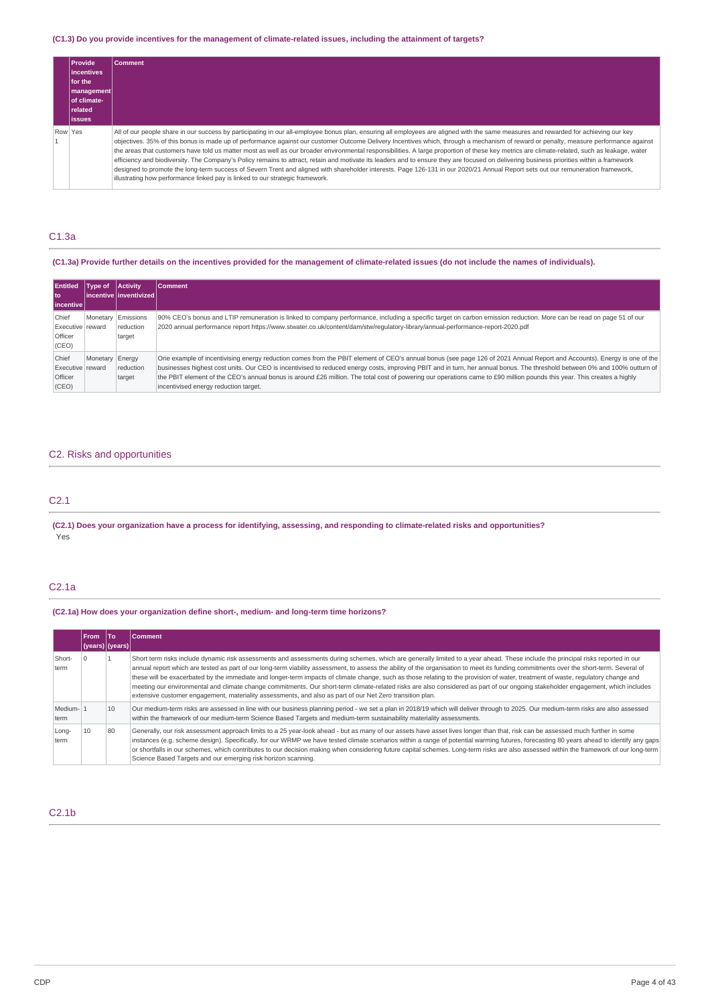## (C1.3) Do you provide incentives for the management of climate-related issues, including the attainment of targets?

| l Provide '<br>lincentives<br>for the<br>  management <br>of climate-<br>  related | <b>Comment</b>                                                                                                                                                                                                                                                                                                                                                                                                                                                                                                                                                                                                                                                                                                                                                                                                                                                                                                                                                                                                                                  |
|------------------------------------------------------------------------------------|-------------------------------------------------------------------------------------------------------------------------------------------------------------------------------------------------------------------------------------------------------------------------------------------------------------------------------------------------------------------------------------------------------------------------------------------------------------------------------------------------------------------------------------------------------------------------------------------------------------------------------------------------------------------------------------------------------------------------------------------------------------------------------------------------------------------------------------------------------------------------------------------------------------------------------------------------------------------------------------------------------------------------------------------------|
| <b>lissues</b>                                                                     |                                                                                                                                                                                                                                                                                                                                                                                                                                                                                                                                                                                                                                                                                                                                                                                                                                                                                                                                                                                                                                                 |
| Row Yes                                                                            | All of our people share in our success by participating in our all-employee bonus plan, ensuring all employees are aligned with the same measures and rewarded for achieving our key<br>objectives. 35% of this bonus is made up of performance against our customer Outcome Delivery Incentives which, through a mechanism of reward or penalty, measure performance against<br>the areas that customers have told us matter most as well as our broader environmental responsibilities. A large proportion of these key metrics are climate-related, such as leakage, water<br>efficiency and biodiversity. The Company's Policy remains to attract, retain and motivate its leaders and to ensure they are focused on delivering business priorities within a framework<br>designed to promote the long-term success of Severn Trent and aligned with shareholder interests. Page 126-131 in our 2020/21 Annual Report sets out our remuneration framework,<br>illustrating how performance linked pay is linked to our strategic framework. |

### C1.3a

### (C1.3a) Provide further details on the incentives provided for the management of climate-related issues (do not include the names of individuals).

| <b>Entitled</b><br>l to:                             | Tvpe of  | <b>Activity</b><br>l incentive l inventivized l | <b>Comment</b>                                                                                                                                                                                                                                                                                                                                                                                                                                                                                                                                                            |
|------------------------------------------------------|----------|-------------------------------------------------|---------------------------------------------------------------------------------------------------------------------------------------------------------------------------------------------------------------------------------------------------------------------------------------------------------------------------------------------------------------------------------------------------------------------------------------------------------------------------------------------------------------------------------------------------------------------------|
| l incentive l                                        |          |                                                 |                                                                                                                                                                                                                                                                                                                                                                                                                                                                                                                                                                           |
| Chief<br>Executive reward<br>Officer<br>(CEO)        | Monetary | Emissions<br>reduction<br>target                | 90% CEO's bonus and LTIP remuneration is linked to company performance, including a specific target on carbon emission reduction. More can be read on page 51 of our<br>2020 annual performance report https://www.stwater.co.uk/content/dam/stw/requlatory-library/annual-performance-report-2020.pdf                                                                                                                                                                                                                                                                    |
| Chief<br>Executive reward<br><b>Officer</b><br>(CEO) | Monetary | Energy<br>reduction<br>target                   | One example of incentivising energy reduction comes from the PBIT element of CEO's annual bonus (see page 126 of 2021 Annual Report and Accounts). Energy is one of the<br>businesses highest cost units. Our CEO is incentivised to reduced energy costs, improving PBIT and in turn, her annual bonus. The threshold between 0% and 100% outturn of<br>the PBIT element of the CEO's annual bonus is around £26 million. The total cost of powering our operations came to £90 million pounds this year. This creates a highly<br>incentivised energy reduction target. |

## C2. Risks and opportunities

## C2.1

(C2.1) Does your organization have a process for identifying, assessing, and responding to climate-related risks and opportunities? Yes

## C2.1a

**(C2.1a) How does your organization define short-, medium- and long-term time horizons?**

|                  | <b>From</b> | <b>To</b><br>(years) (years) | <b>Comment</b>                                                                                                                                                                                                                                                                                                                                                                                                                                                                                                                                                                                                                                                                                                                                                                                                                                                    |
|------------------|-------------|------------------------------|-------------------------------------------------------------------------------------------------------------------------------------------------------------------------------------------------------------------------------------------------------------------------------------------------------------------------------------------------------------------------------------------------------------------------------------------------------------------------------------------------------------------------------------------------------------------------------------------------------------------------------------------------------------------------------------------------------------------------------------------------------------------------------------------------------------------------------------------------------------------|
| Short-<br>term   |             |                              | Short term risks include dynamic risk assessments and assessments during schemes, which are generally limited to a year ahead. These include the principal risks reported in our<br>annual report which are tested as part of our long-term viability assessment, to assess the ability of the organisation to meet its funding commitments over the short-term. Several of<br>these will be exacerbated by the immediate and longer-term impacts of climate change, such as those relating to the provision of water, treatment of waste, regulatory change and<br>meeting our environmental and climate change commitments. Our short-term climate-related risks are also considered as part of our ongoing stakeholder engagement, which includes<br>extensive customer engagement, materiality assessments, and also as part of our Net Zero transition plan. |
| Medium-1<br>term |             | 10                           | Our medium-term risks are assessed in line with our business planning period - we set a plan in 2018/19 which will deliver through to 2025. Our medium-term risks are also assessed<br>within the framework of our medium-term Science Based Targets and medium-term sustainability materiality assessments.                                                                                                                                                                                                                                                                                                                                                                                                                                                                                                                                                      |
| Long-<br>term    | 10          | 80                           | Generally, our risk assessment approach limits to a 25 year-look ahead - but as many of our assets have asset lives longer than that, risk can be assessed much further in some<br>instances (e.g. scheme design). Specifically, for our WRMP we have tested climate scenarios within a range of potential warming futures, forecasting 80 years ahead to identify any gaps<br>or shortfalls in our schemes, which contributes to our decision making when considering future capital schemes. Long-term risks are also assessed within the framework of our long-term<br>Science Based Targets and our emerging risk horizon scanning.                                                                                                                                                                                                                           |

## C2.1b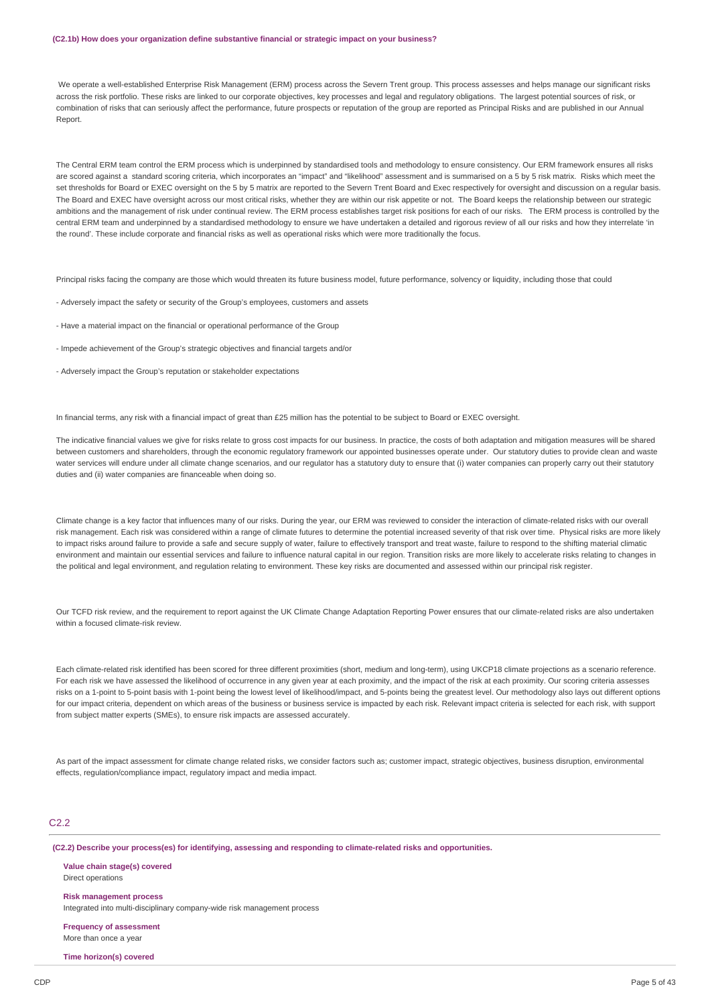#### **(C2.1b) How does your organization define substantive financial or strategic impact on your business?**

We operate a well-established Enterprise Risk Management (ERM) process across the Severn Trent group. This process assesses and helps manage our significant risks across the risk portfolio. These risks are linked to our corporate objectives, key processes and legal and regulatory obligations. The largest potential sources of risk, or combination of risks that can seriously affect the performance, future prospects or reputation of the group are reported as Principal Risks and are published in our Annual Report.

The Central ERM team control the ERM process which is underpinned by standardised tools and methodology to ensure consistency. Our ERM framework ensures all risks are scored against a standard scoring criteria, which incorporates an "impact" and "likelihood" assessment and is summarised on a 5 by 5 risk matrix. Risks which meet the set thresholds for Board or EXEC oversight on the 5 by 5 matrix are reported to the Severn Trent Board and Exec respectively for oversight and discussion on a regular basis. The Board and EXEC have oversight across our most critical risks, whether they are within our risk appetite or not. The Board keeps the relationship between our strategic ambitions and the management of risk under continual review. The ERM process establishes target risk positions for each of our risks. The ERM process is controlled by the central ERM team and underpinned by a standardised methodology to ensure we have undertaken a detailed and rigorous review of all our risks and how they interrelate 'in the round'. These include corporate and financial risks as well as operational risks which were more traditionally the focus.

Principal risks facing the company are those which would threaten its future business model, future performance, solvency or liquidity, including those that could

- Adversely impact the safety or security of the Group's employees, customers and assets
- Have a material impact on the financial or operational performance of the Group
- Impede achievement of the Group's strategic objectives and financial targets and/or
- Adversely impact the Group's reputation or stakeholder expectations

In financial terms, any risk with a financial impact of great than £25 million has the potential to be subject to Board or EXEC oversight.

The indicative financial values we give for risks relate to gross cost impacts for our business. In practice, the costs of both adaptation and mitigation measures will be shared between customers and shareholders, through the economic regulatory framework our appointed businesses operate under. Our statutory duties to provide clean and waste water services will endure under all climate change scenarios, and our regulator has a statutory duty to ensure that (i) water companies can properly carry out their statutory duties and (ii) water companies are financeable when doing so.

Climate change is a key factor that influences many of our risks. During the year, our ERM was reviewed to consider the interaction of climate-related risks with our overall risk management. Each risk was considered within a range of climate futures to determine the potential increased severity of that risk over time. Physical risks are more likely to impact risks around failure to provide a safe and secure supply of water, failure to effectively transport and treat waste, failure to respond to the shifting material climatic environment and maintain our essential services and failure to influence natural capital in our region. Transition risks are more likely to accelerate risks relating to changes in the political and legal environment, and regulation relating to environment. These key risks are documented and assessed within our principal risk register.

Our TCFD risk review, and the requirement to report against the UK Climate Change Adaptation Reporting Power ensures that our climate-related risks are also undertaken within a focused climate-risk review.

Each climate-related risk identified has been scored for three different proximities (short, medium and long-term), using UKCP18 climate projections as a scenario reference. For each risk we have assessed the likelihood of occurrence in any given year at each proximity, and the impact of the risk at each proximity. Our scoring criteria assesses risks on a 1-point to 5-point basis with 1-point being the lowest level of likelihood/impact, and 5-points being the greatest level. Our methodology also lays out different options for our impact criteria, dependent on which areas of the business or business service is impacted by each risk. Relevant impact criteria is selected for each risk, with support from subject matter experts (SMEs), to ensure risk impacts are assessed accurately.

As part of the impact assessment for climate change related risks, we consider factors such as; customer impact, strategic objectives, business disruption, environmental effects, regulation/compliance impact, regulatory impact and media impact.

## C<sub>22</sub>

**(C2.2) Describe your process(es) for identifying, assessing and responding to climate-related risks and opportunities.**

**Value chain stage(s) covered** Direct operations

**Risk management process**

Integrated into multi-disciplinary company-wide risk management process

**Frequency of assessment** More than once a year

**Time horizon(s) covered**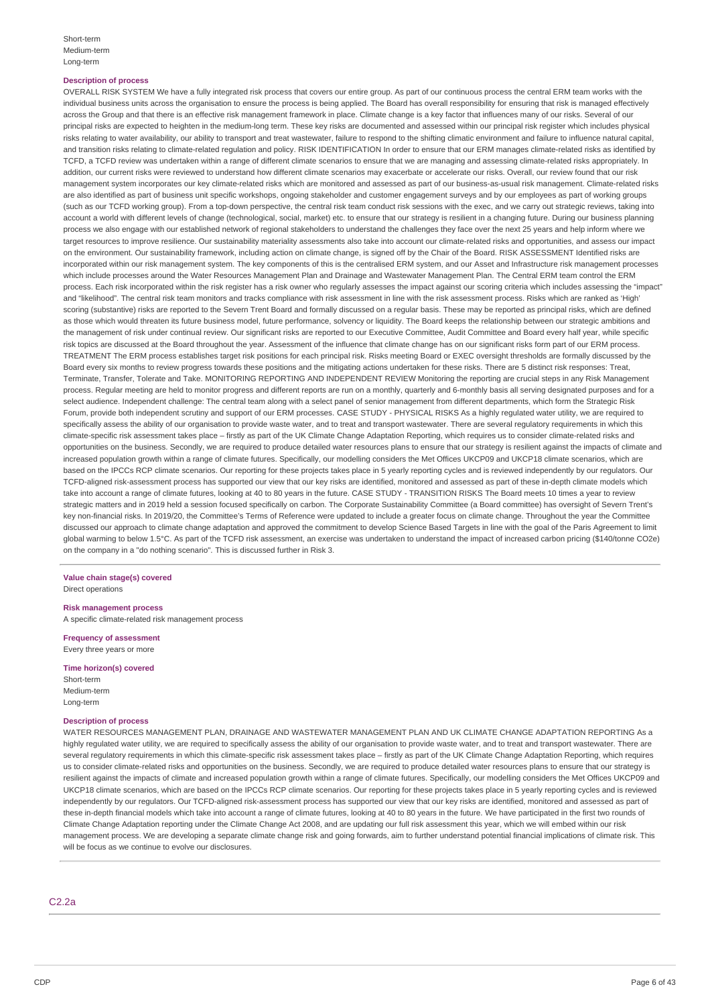#### **Description of process**

OVERALL RISK SYSTEM We have a fully integrated risk process that covers our entire group. As part of our continuous process the central ERM team works with the individual business units across the organisation to ensure the process is being applied. The Board has overall responsibility for ensuring that risk is managed effectively across the Group and that there is an effective risk management framework in place. Climate change is a key factor that influences many of our risks. Several of our principal risks are expected to heighten in the medium-long term. These key risks are documented and assessed within our principal risk register which includes physical risks relating to water availability, our ability to transport and treat wastewater, failure to respond to the shifting climatic environment and failure to influence natural capital, and transition risks relating to climate-related regulation and policy. RISK IDENTIFICATION In order to ensure that our ERM manages climate-related risks as identified by TCFD, a TCFD review was undertaken within a range of different climate scenarios to ensure that we are managing and assessing climate-related risks appropriately. In addition, our current risks were reviewed to understand how different climate scenarios may exacerbate or accelerate our risks. Overall, our review found that our risk management system incorporates our key climate-related risks which are monitored and assessed as part of our business-as-usual risk management. Climate-related risks are also identified as part of business unit specific workshops, ongoing stakeholder and customer engagement surveys and by our employees as part of working groups (such as our TCFD working group). From a top-down perspective, the central risk team conduct risk sessions with the exec, and we carry out strategic reviews, taking into account a world with different levels of change (technological, social, market) etc. to ensure that our strategy is resilient in a changing future. During our business planning process we also engage with our established network of regional stakeholders to understand the challenges they face over the next 25 years and help inform where we target resources to improve resilience. Our sustainability materiality assessments also take into account our climate-related risks and opportunities, and assess our impact on the environment. Our sustainability framework, including action on climate change, is signed off by the Chair of the Board. RISK ASSESSMENT Identified risks are incorporated within our risk management system. The key components of this is the centralised ERM system, and our Asset and Infrastructure risk management processes which include processes around the Water Resources Management Plan and Drainage and Wastewater Management Plan. The Central ERM team control the ERM process. Each risk incorporated within the risk register has a risk owner who regularly assesses the impact against our scoring criteria which includes assessing the "impact" and "likelihood". The central risk team monitors and tracks compliance with risk assessment in line with the risk assessment process. Risks which are ranked as 'High' scoring (substantive) risks are reported to the Severn Trent Board and formally discussed on a regular basis. These may be reported as principal risks, which are defined as those which would threaten its future business model, future performance, solvency or liquidity. The Board keeps the relationship between our strategic ambitions and the management of risk under continual review. Our significant risks are reported to our Executive Committee. Audit Committee and Board every half year, while specific risk topics are discussed at the Board throughout the year. Assessment of the influence that climate change has on our significant risks form part of our ERM process. TREATMENT The ERM process establishes target risk positions for each principal risk. Risks meeting Board or EXEC oversight thresholds are formally discussed by the Board every six months to review progress towards these positions and the mitigating actions undertaken for these risks. There are 5 distinct risk responses: Treat, Terminate, Transfer, Tolerate and Take. MONITORING REPORTING AND INDEPENDENT REVIEW Monitoring the reporting are crucial steps in any Risk Management process. Regular meeting are held to monitor progress and different reports are run on a monthly, quarterly and 6-monthly basis all serving designated purposes and for a select audience. Independent challenge: The central team along with a select panel of senior management from different departments, which form the Strategic Risk Forum, provide both independent scrutiny and support of our ERM processes. CASE STUDY - PHYSICAL RISKS As a highly regulated water utility, we are required to specifically assess the ability of our organisation to provide waste water, and to treat and transport wastewater. There are several regulatory requirements in which this climate-specific risk assessment takes place – firstly as part of the UK Climate Change Adaptation Reporting, which requires us to consider climate-related risks and opportunities on the business. Secondly, we are required to produce detailed water resources plans to ensure that our strategy is resilient against the impacts of climate and increased population growth within a range of climate futures. Specifically, our modelling considers the Met Offices UKCP09 and UKCP18 climate scenarios, which are based on the IPCCs RCP climate scenarios. Our reporting for these projects takes place in 5 yearly reporting cycles and is reviewed independently by our regulators. Our TCFD-aligned risk-assessment process has supported our view that our key risks are identified, monitored and assessed as part of these in-depth climate models which take into account a range of climate futures, looking at 40 to 80 years in the future. CASE STUDY - TRANSITION RISKS The Board meets 10 times a year to review strategic matters and in 2019 held a session focused specifically on carbon. The Corporate Sustainability Committee (a Board committee) has oversight of Severn Trent's key non-financial risks. In 2019/20, the Committee's Terms of Reference were updated to include a greater focus on climate change. Throughout the year the Committee discussed our approach to climate change adaptation and approved the commitment to develop Science Based Targets in line with the goal of the Paris Agreement to limit global warming to below 1.5°C. As part of the TCFD risk assessment, an exercise was undertaken to understand the impact of increased carbon pricing (\$140/tonne CO2e) on the company in a "do nothing scenario". This is discussed further in Risk 3.

#### **Value chain stage(s) covered** Direct operations

**Risk management process**

A specific climate-related risk management process

**Frequency of assessment** Every three years or more

**Time horizon(s) covered** Short-term Medium-term Long-term

#### **Description of process**

WATER RESOURCES MANAGEMENT PLAN, DRAINAGE AND WASTEWATER MANAGEMENT PLAN AND UK CLIMATE CHANGE ADAPTATION REPORTING As a highly regulated water utility, we are required to specifically assess the ability of our organisation to provide waste water, and to treat and transport wastewater. There are several regulatory requirements in which this climate-specific risk assessment takes place – firstly as part of the UK Climate Change Adaptation Reporting, which requires us to consider climate-related risks and opportunities on the business. Secondly, we are required to produce detailed water resources plans to ensure that our strategy is resilient against the impacts of climate and increased population growth within a range of climate futures. Specifically, our modelling considers the Met Offices UKCP09 and UKCP18 climate scenarios, which are based on the IPCCs RCP climate scenarios. Our reporting for these projects takes place in 5 yearly reporting cycles and is reviewed independently by our regulators. Our TCFD-aligned risk-assessment process has supported our view that our key risks are identified, monitored and assessed as part of these in-depth financial models which take into account a range of climate futures, looking at 40 to 80 years in the future. We have participated in the first two rounds of Climate Change Adaptation reporting under the Climate Change Act 2008, and are updating our full risk assessment this year, which we will embed within our risk management process. We are developing a separate climate change risk and going forwards, aim to further understand potential financial implications of climate risk. This will be focus as we continue to evolve our disclosures.

C2.2a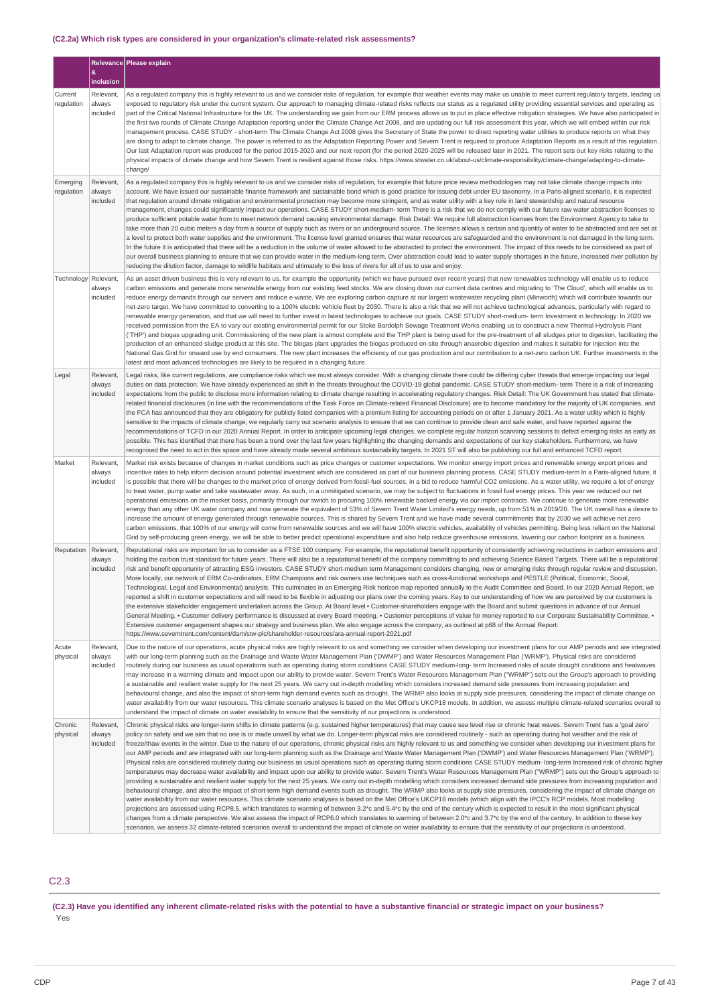## **(C2.2a) Which risk types are considered in your organization's climate-related risk assessments?**

|                        |                                 | Relevance Please explain                                                                                                                                                                                                                                                                                                                                                                                                                                                                                                                                                                                                                                                                                                                                                                                                                                                                                                                                                                                                                                                                                                                                                                                                                                                                                                                                                                                                                                                                                                                                                                                                                                                                                                                                                                                                                                                                                                                                                                                                                                                                                                                                                                                                                                                                   |
|------------------------|---------------------------------|--------------------------------------------------------------------------------------------------------------------------------------------------------------------------------------------------------------------------------------------------------------------------------------------------------------------------------------------------------------------------------------------------------------------------------------------------------------------------------------------------------------------------------------------------------------------------------------------------------------------------------------------------------------------------------------------------------------------------------------------------------------------------------------------------------------------------------------------------------------------------------------------------------------------------------------------------------------------------------------------------------------------------------------------------------------------------------------------------------------------------------------------------------------------------------------------------------------------------------------------------------------------------------------------------------------------------------------------------------------------------------------------------------------------------------------------------------------------------------------------------------------------------------------------------------------------------------------------------------------------------------------------------------------------------------------------------------------------------------------------------------------------------------------------------------------------------------------------------------------------------------------------------------------------------------------------------------------------------------------------------------------------------------------------------------------------------------------------------------------------------------------------------------------------------------------------------------------------------------------------------------------------------------------------|
|                        | &<br>inclusion                  |                                                                                                                                                                                                                                                                                                                                                                                                                                                                                                                                                                                                                                                                                                                                                                                                                                                                                                                                                                                                                                                                                                                                                                                                                                                                                                                                                                                                                                                                                                                                                                                                                                                                                                                                                                                                                                                                                                                                                                                                                                                                                                                                                                                                                                                                                            |
| Current<br>regulation  | Relevant,<br>always<br>included | As a regulated company this is highly relevant to us and we consider risks of regulation, for example that weather events may make us unable to meet current regulatory targets, leading us<br>exposed to regulatory risk under the current system. Our approach to managing climate-related risks reflects our status as a regulated utility providing essential services and operating as<br>part of the Critical National Infrastructure for the UK. The understanding we gain from our ERM process allows us to put in place effective mitigation strategies. We have also participated in<br>the first two rounds of Climate Change Adaptation reporting under the Climate Change Act 2008, and are updating our full risk assessment this year, which we will embed within our risk<br>management process. CASE STUDY - short-term The Climate Change Act 2008 gives the Secretary of State the power to direct reporting water utilities to produce reports on what they<br>are doing to adapt to climate change. The power is referred to as the Adaptation Reporting Power and Severn Trent is required to produce Adaptation Reports as a result of this regulation.<br>Our last Adaptation report was produced for the period 2015-2020 and our next report (for the period 2020-2025 will be released later in 2021. The report sets out key risks relating to the<br>physical impacts of climate change and how Severn Trent is resilient against those risks. https://www.stwater.co.uk/about-us/climate-responsibility/climate-change/adapting-to-climate-<br>change/                                                                                                                                                                                                                                                                                                                                                                                                                                                                                                                                                                                                                                                                                                       |
| Emerging<br>regulation | Relevant,<br>always<br>included | As a regulated company this is highly relevant to us and we consider risks of regulation, for example that future price review methodologies may not take climate change impacts into<br>account. We have issued our sustainable finance framework and sustainable bond which is good practice for issuing debt under EU taxonomy. In a Paris-aligned scenario, it is expected<br>that regulation around climate mitigation and environmental protection may become more stringent, and as water utility with a key role in land stewardship and natural resource<br>management, changes could significantly impact our operations. CASE STUDY short-medium- term There is a risk that we do not comply with our future raw water abstraction licenses to<br>produce sufficient potable water from to meet network demand causing environmental damage. Risk Detail: We require full abstraction licenses from the Environment Agency to take to<br>take more than 20 cubic meters a day from a source of supply such as rivers or an underground source. The licenses allows a certain and quantity of water to be abstracted and are set at<br>a level to protect both water supplies and the environment. The license level granted ensures that water resources are safeguarded and the environment is not damaged in the long term.<br>In the future it is anticipated that there will be a reduction in the volume of water allowed to be abstracted to protect the environment. The impact of this needs to be considered as part of<br>our overall business planning to ensure that we can provide water in the medium-long term. Over abstraction could lead to water supply shortages in the future, increased river pollution by<br>reducing the dilution factor, damage to wildlife habitats and ultimately to the loss of rivers for all of us to use and enjoy.                                                                                                                                                                                                                                                                                                                                                                                                              |
| Technology Relevant,   | always<br>included              | As an asset driven business this is very relevant to us, for example the opportunity (which we have pursued over recent years) that new renewables technology will enable us to reduce<br>carbon emissions and generate more renewable energy from our existing feed stocks. We are closing down our current data centres and migrating to 'The Cloud', which will enable us to<br>reduce energy demands through our servers and reduce e-waste. We are exploring carbon capture at our largest wastewater recycling plant (Minworth) which will contribute towards our<br>net-zero target. We have committed to converting to a 100% electric vehicle fleet by 2030. There is also a risk that we will not achieve technological advances, particularly with regard to<br>renewable energy generation, and that we will need to further invest in latest technologies to achieve our goals. CASE STUDY short-medium- term Investment in technology: In 2020 we<br>received permission from the EA to vary our existing environmental permit for our Stoke Bardolph Sewage Treatment Works enabling us to construct a new Thermal Hydrolysis Plant<br>("THP") and biogas upgrading unit. Commissioning of the new plant is almost complete and the THP plant is being used for the pre-treatment of all sludges prior to digestion, facilitating the<br>production of an enhanced sludge product at this site. The biogas plant upgrades the biogas produced on-site through anaerobic digestion and makes it suitable for injection into the<br>National Gas Grid for onward use by end consumers. The new plant increases the efficiency of our gas production and our contribution to a net-zero carbon UK. Further investments in the<br>latest and most advanced technologies are likely to be required in a changing future.                                                                                                                                                                                                                                                                                                                                                                                                                                                         |
| Legal                  | Relevant,<br>always<br>included | Legal risks, like current regulations, are compliance risks which we must always consider. With a changing climate there could be differing cyber threats that emerge impacting our legal<br>duties on data protection. We have already experienced as shift in the threats throughout the COVID-19 global pandemic. CASE STUDY short-medium- term There is a risk of increasing<br>expectations from the public to disclose more information relating to climate change resulting in accelerating regulatory changes. Risk Detail: The UK Government has stated that climate-<br>related financial disclosures (in line with the recommendations of the Task Force on Climate-related Financial Disclosure) are to become mandatory for the majority of UK companies, and<br>the FCA has announced that they are obligatory for publicly listed companies with a premium listing for accounting periods on or after 1 January 2021. As a water utility which is highly<br>sensitive to the impacts of climate change, we regularly carry out scenario analysis to ensure that we can continue to provide clean and safe water, and have reported against the<br>recommendations of TCFD in our 2020 Annual Report. In order to anticipate upcoming legal changes, we complete regular horizon scanning sessions to defect emerging risks as early as<br>possible. This has identified that there has been a trend over the last few years highlighting the changing demands and expectations of our key stakeholders. Furthermore, we have<br>recognised the need to act in this space and have already made several ambitious sustainability targets. In 2021 ST will also be publishing our full and enhanced TCFD report.                                                                                                                                                                                                                                                                                                                                                                                                                                                                                                                                                              |
| Market                 | Relevant<br>always<br>included  | Market risk exists because of changes in market conditions such as price changes or customer expectations. We monitor energy import prices and renewable energy export prices and<br>incentive rates to help inform decision around potential investment which are considered as part of our business planning process. CASE STUDY medium-term In a Paris-aligned future, it<br>is possible that there will be changes to the market price of energy derived from fossil-fuel sources, in a bid to reduce harmful CO2 emissions. As a water utility, we require a lot of energy<br>to treat water, pump water and take wastewater away. As such, in a unmitigated scenario, we may be subject to fluctuations in fossil fuel energy prices. This year we reduced our net<br>operational emissions on the market basis, primarily through our switch to procuring 100% renewable backed energy via our import contracts. We continue to generate more renewable<br>energy than any other UK water company and now generate the equivalent of 53% of Severn Trent Water Limited's energy needs, up from 51% in 2019/20. The UK overall has a desire to<br>increase the amount of energy generated through renewable sources. This is shared by Severn Trent and we have made several commitments that by 2030 we will achieve net zero<br>carbon emissions, that 100% of our energy will come from renewable sources and we will have 100% electric vehicles, availability of vehicles permitting. Being less reliant on the National<br>Grid by self-producing green energy, we will be able to better predict operational expenditure and also help reduce greenhouse emissions, lowering our carbon footprint as a business.                                                                                                                                                                                                                                                                                                                                                                                                                                                                                                                                                              |
| Reputation             | Relevant,<br>always<br>included | Reputational risks are important for us to consider as a FTSE 100 company. For example, the reputational benefit opportunity of consistently achieving reductions in carbon emissions and<br>holding the carbon trust standard for future years. There will also be a reputational benefit of the company committing to and achieving Science Based Targets. There will be a reputational<br>risk and benefit opportunity of attracting ESG investors. CASE STUDY short-medium term Management considers changing, new or emerging risks through regular review and discussion.<br>More locally, our network of ERM Co-ordinators, ERM Champions and risk owners use techniques such as cross-functional workshops and PESTLE (Political, Economic, Social,<br>Technological, Legal and Environmental) analysis. This culminates in an Emerging Risk horizon map reported annually to the Audit Committee and Board. In our 2020 Annual Report, we<br>reported a shift in customer expectations and will need to be flexible in adjusting our plans over the coming years. Key to our understanding of how we are perceived by our customers is<br>the extensive stakeholder engagement undertaken across the Group. At Board level · Customer-shareholders engage with the Board and submit questions in advance of our Annual<br>General Meeting. • Customer delivery performance is discussed at every Board meeting. • Customer perceptions of value for money reported to our Corporate Sustainability Committee. •<br>Extensive customer engagement shapes our strategy and business plan. We also engage across the company, as outlined at p68 of the Annual Report:<br>https://www.severntrent.com/content/dam/stw-plc/shareholder-resources/ara-annual-report-2021.pdf                                                                                                                                                                                                                                                                                                                                                                                                                                                                                                           |
| Acute<br>physical      | Relevant<br>always<br>included  | Due to the nature of our operations, acute physical risks are highly relevant to us and something we consider when developing our investment plans for our AMP periods and are integrated<br>with our long-term planning such as the Drainage and Waste Water Management Plan ('DWMP') and Water Resources Management Plan ('WRMP'). Physical risks are considered<br>routinely during our business as usual operations such as operating during storm conditions CASE STUDY medium-long- term Increased risks of acute drought conditions and heatwaves<br>may increase in a warming climate and impact upon our ability to provide water. Severn Trent's Water Resources Management Plan ("WRMP") sets out the Group's approach to providing<br>a sustainable and resilient water supply for the next 25 years. We carry out in-depth modelling which considers increased demand side pressures from increasing population and<br>behavioural change, and also the impact of short-term high demand events such as drought. The WRMP also looks at supply side pressures, considering the impact of climate change on<br>water availability from our water resources. This climate scenario analyses is based on the Met Office's UKCP18 models. In addition, we assess multiple climate-related scenarios overall to<br>understand the impact of climate on water availability to ensure that the sensitivity of our projections is understood.                                                                                                                                                                                                                                                                                                                                                                                                                                                                                                                                                                                                                                                                                                                                                                                                                                         |
| Chronic<br>physical    | Relevant,<br>always<br>included | Chronic physical risks are longer-term shifts in climate patterns (e.g. sustained higher temperatures) that may cause sea level rise or chronic heat waves. Severn Trent has a 'goal zero'<br>policy on safety and we aim that no one is or made unwell by what we do. Longer-term physical risks are considered routinely - such as operating during hot weather and the risk of<br>freeze/thaw events in the winter. Due to the nature of our operations, chronic physical risks are highly relevant to us and something we consider when developing our investment plans for<br>our AMP periods and are integrated with our long-term planning such as the Drainage and Waste Water Management Plan ('DWMP') and Water Resources Management Plan ('WRMP').<br>Physical risks are considered routinely during our business as usual operations such as operating during storm conditions CASE STUDY medium- long-term Increased risk of chronic higher<br>temperatures may decrease water availability and impact upon our ability to provide water. Severn Trent's Water Resources Management Plan ("WRMP") sets out the Group's approach to<br>providing a sustainable and resilient water supply for the next 25 years. We carry out in-depth modelling which considers increased demand side pressures from increasing population and<br>behavioural change, and also the impact of short-term high demand events such as drought. The WRMP also looks at supply side pressures, considering the impact of climate change on<br>water availability from our water resources. This climate scenario analyses is based on the Met Office's UKCP18 models (which align with the IPCC's RCP models. Most modelling<br>projections are assessed using RCP8.5, which translates to warming of between 3.2*c and 5.4*c by the end of the century which is expected to result in the most significant physical<br>changes from a climate perspective. We also assess the impact of RCP6.0 which translates to warming of between 2.0*c and 3.7*c by the end of the century. In addition to these key<br>scenarios, we assess 32 climate-related scenarios overall to understand the impact of climate on water availability to ensure that the sensitivity of our projections is understood. |

## C2.3

(C2.3) Have you identified any inherent climate-related risks with the potential to have a substantive financial or strategic impact on your business? Yes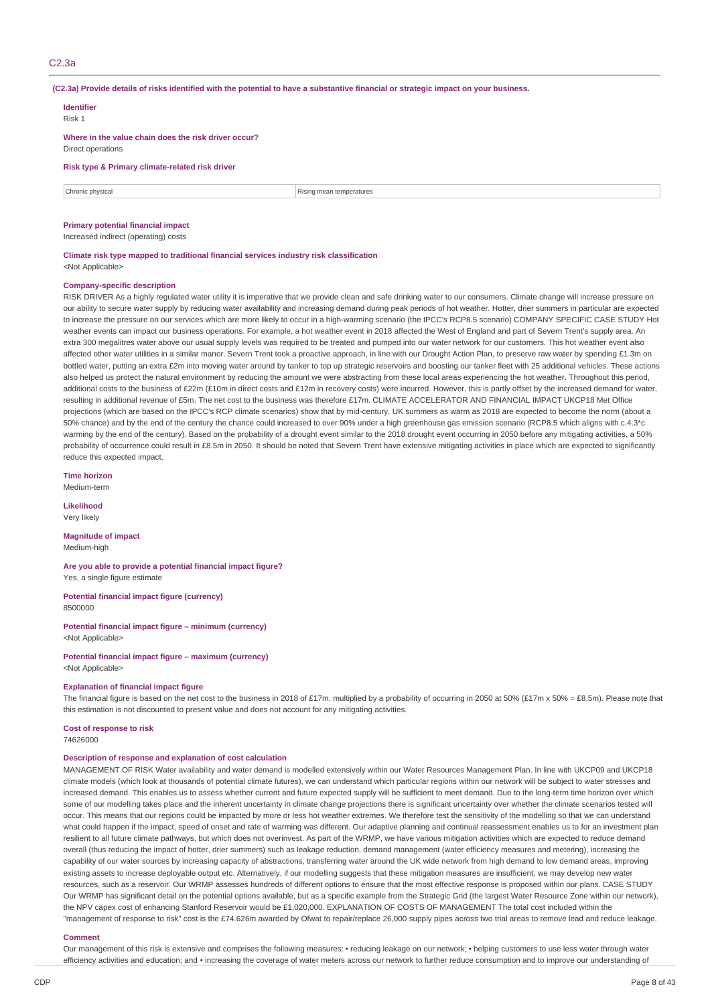### C2.3a

(C2.3a) Provide details of risks identified with the potential to have a substantive financial or strategic impact on your business.

| <b>Identifier</b><br>Risk 1                                               |                          |  |  |  |  |  |
|---------------------------------------------------------------------------|--------------------------|--|--|--|--|--|
| Where in the value chain does the risk driver occur?<br>Direct operations |                          |  |  |  |  |  |
| Risk type & Primary climate-related risk driver                           |                          |  |  |  |  |  |
| Chronic physical                                                          | Rising mean temperatures |  |  |  |  |  |
| <b>Primary potential financial impact</b>                                 |                          |  |  |  |  |  |

Increased indirect (operating) costs

**Climate risk type mapped to traditional financial services industry risk classification** <Not Applicable>

#### **Company-specific description**

RISK DRIVER As a highly regulated water utility it is imperative that we provide clean and safe drinking water to our consumers. Climate change will increase pressure on our ability to secure water supply by reducing water availability and increasing demand during peak periods of hot weather. Hotter, drier summers in particular are expected to increase the pressure on our services which are more likely to occur in a high-warming scenario (the IPCC's RCP8.5 scenario) COMPANY SPECIFIC CASE STUDY Hot weather events can impact our business operations. For example, a hot weather event in 2018 affected the West of England and part of Severn Trent's supply area. An extra 300 megalitres water above our usual supply levels was required to be treated and pumped into our water network for our customers. This hot weather event also affected other water utilities in a similar manor. Severn Trent took a proactive approach, in line with our Drought Action Plan, to preserve raw water by spending £1.3m on bottled water, putting an extra £2m into moving water around by tanker to top up strategic reservoirs and boosting our tanker fleet with 25 additional vehicles. These actions also helped us protect the natural environment by reducing the amount we were abstracting from these local areas experiencing the hot weather. Throughout this period, additional costs to the business of £22m (£10m in direct costs and £12m in recovery costs) were incurred. However, this is partly offset by the increased demand for water, resulting in additional revenue of £5m. The net cost to the business was therefore £17m. CLIMATE ACCELERATOR AND FINANCIAL IMPACT UKCP18 Met Office projections (which are based on the IPCC's RCP climate scenarios) show that by mid-century, UK summers as warm as 2018 are expected to become the norm (about a 50% chance) and by the end of the century the chance could increased to over 90% under a high greenhouse gas emission scenario (RCP8.5 which aligns with c.4.3\*c warming by the end of the century). Based on the probability of a drought event similar to the 2018 drought event occurring in 2050 before any mitigating activities, a 50% probability of occurrence could result in £8.5m in 2050. It should be noted that Severn Trent have extensive mitigating activities in place which are expected to significantly reduce this expected impact.

**Time horizon**

Medium-term

**Likelihood** Very likely

**Magnitude of impact**

Medium-high

**Are you able to provide a potential financial impact figure?** Yes, a single figure estimate

**Potential financial impact figure (currency)** 8500000

**Potential financial impact figure – minimum (currency)**

<Not Applicable>

**Potential financial impact figure – maximum (currency)** <Not Applicable>

#### **Explanation of financial impact figure**

The financial figure is based on the net cost to the business in 2018 of £17m, multiplied by a probability of occurring in 2050 at 50% (£17m x 50% = £8.5m). Please note that this estimation is not discounted to present value and does not account for any mitigating activities.

**Cost of response to risk** 74626000

#### **Description of response and explanation of cost calculation**

MANAGEMENT OF RISK Water availability and water demand is modelled extensively within our Water Resources Management Plan. In line with UKCP09 and UKCP18 climate models (which look at thousands of potential climate futures), we can understand which particular regions within our network will be subject to water stresses and increased demand. This enables us to assess whether current and future expected supply will be sufficient to meet demand. Due to the long-term time horizon over which some of our modelling takes place and the inherent uncertainty in climate change projections there is significant uncertainty over whether the climate scenarios tested will occur. This means that our regions could be impacted by more or less hot weather extremes. We therefore test the sensitivity of the modelling so that we can understand what could happen if the impact, speed of onset and rate of warming was different. Our adaptive planning and continual reassessment enables us to for an investment plan resilient to all future climate pathways, but which does not overinvest. As part of the WRMP, we have various mitigation activities which are expected to reduce demand overall (thus reducing the impact of hotter, drier summers) such as leakage reduction, demand management (water efficiency measures and metering), increasing the capability of our water sources by increasing capacity of abstractions, transferring water around the UK wide network from high demand to low demand areas, improving existing assets to increase deployable output etc. Alternatively, if our modelling suggests that these mitigation measures are insufficient, we may develop new water resources, such as a reservoir. Our WRMP assesses hundreds of different options to ensure that the most effective response is proposed within our plans. CASE STUDY Our WRMP has significant detail on the potential options available, but as a specific example from the Strategic Grid (the largest Water Resource Zone within our network), the NPV capex cost of enhancing Stanford Reservoir would be £1,020,000. EXPLANATION OF COSTS OF MANAGEMENT The total cost included within the "management of response to risk" cost is the £74.626m awarded by Ofwat to repair/replace 26,000 supply pipes across two trial areas to remove lead and reduce leakage.

### **Comment**

Our management of this risk is extensive and comprises the following measures: • reducing leakage on our network; • helping customers to use less water through water efficiency activities and education; and • increasing the coverage of water meters across our network to further reduce consumption and to improve our understanding of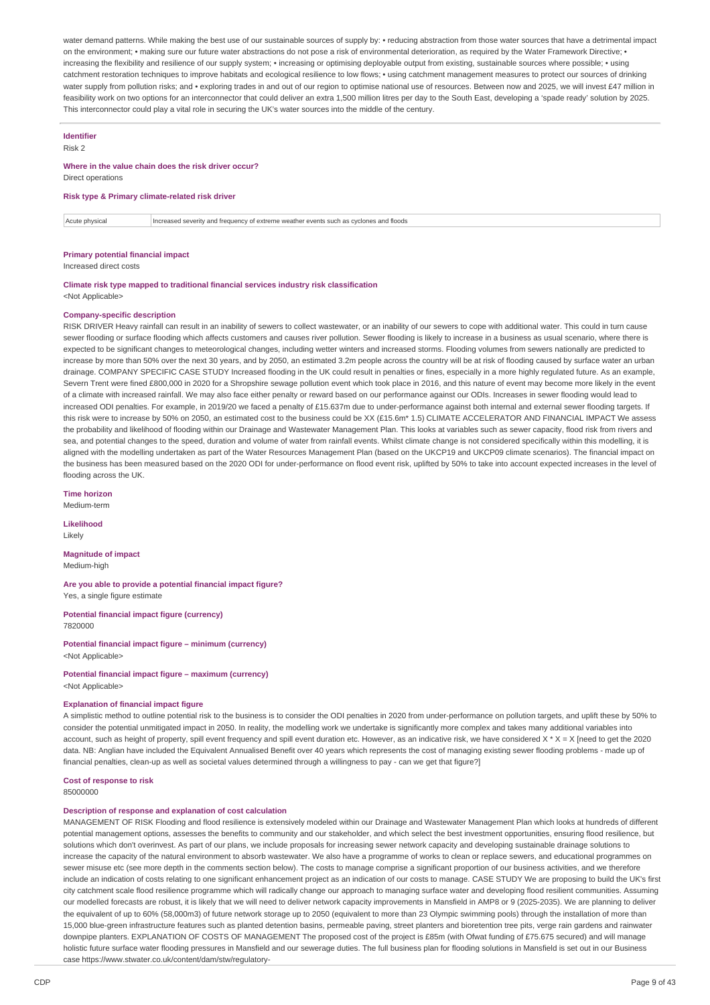water demand patterns. While making the best use of our sustainable sources of supply by: • reducing abstraction from those water sources that have a detrimental impact on the environment: • making sure our future water abstractions do not pose a risk of environmental deterioration, as required by the Water Framework Directive: • increasing the flexibility and resilience of our supply system; • increasing or optimising deployable output from existing, sustainable sources where possible; • using catchment restoration techniques to improve habitats and ecological resilience to low flows; • using catchment management measures to protect our sources of drinking water supply from pollution risks; and • exploring trades in and out of our region to optimise national use of resources. Between now and 2025, we will invest £47 million in feasibility work on two options for an interconnector that could deliver an extra 1,500 million litres per day to the South East, developing a 'spade ready' solution by 2025. This interconnector could play a vital role in securing the UK's water sources into the middle of the century.

## **Identifier**

Risk 2

#### **Where in the value chain does the risk driver occur?**

Direct operations

### **Risk type & Primary climate-related risk driver**

Acute physical **Increased severity and frequency of extreme weather events such as cyclones and floods** 

**Primary potential financial impact**

Increased direct costs

#### **Climate risk type mapped to traditional financial services industry risk classification** <Not Applicable>

#### **Company-specific description**

RISK DRIVER Heavy rainfall can result in an inability of sewers to collect wastewater, or an inability of our sewers to cope with additional water. This could in turn cause sewer flooding or surface flooding which affects customers and causes river pollution. Sewer flooding is likely to increase in a business as usual scenario, where there is expected to be significant changes to meteorological changes, including wetter winters and increased storms. Flooding volumes from sewers nationally are predicted to increase by more than 50% over the next 30 years, and by 2050, an estimated 3.2m people across the country will be at risk of flooding caused by surface water an urban drainage. COMPANY SPECIFIC CASE STUDY Increased flooding in the UK could result in penalties or fines, especially in a more highly regulated future. As an example, Severn Trent were fined £800,000 in 2020 for a Shropshire sewage pollution event which took place in 2016, and this nature of event may become more likely in the event of a climate with increased rainfall. We may also face either penalty or reward based on our performance against our ODIs. Increases in sewer flooding would lead to increased ODI penalties. For example, in 2019/20 we faced a penalty of £15.637m due to under-performance against both internal and external sewer flooding targets. If this risk were to increase by 50% on 2050, an estimated cost to the business could be XX (£15.6m\* 1.5) CLIMATE ACCELERATOR AND FINANCIAL IMPACT We assess the probability and likelihood of flooding within our Drainage and Wastewater Management Plan. This looks at variables such as sewer capacity, flood risk from rivers and sea, and potential changes to the speed, duration and volume of water from rainfall events. Whilst climate change is not considered specifically within this modelling, it is aligned with the modelling undertaken as part of the Water Resources Management Plan (based on the UKCP19 and UKCP09 climate scenarios). The financial impact on the business has been measured based on the 2020 ODI for under-performance on flood event risk, uplifted by 50% to take into account expected increases in the level of flooding across the UK.

**Time horizon**

Medium-term

**Likelihood** Likely

**Magnitude of impact** Medium-high

**Are you able to provide a potential financial impact figure?** Yes, a single figure estimate

**Potential financial impact figure (currency)** 7820000

**Potential financial impact figure – minimum (currency)** <Not Applicable>

**Potential financial impact figure – maximum (currency)** <Not Applicable>

#### **Explanation of financial impact figure**

A simplistic method to outline potential risk to the business is to consider the ODI penalties in 2020 from under-performance on pollution targets, and uplift these by 50% to consider the potential unmitigated impact in 2050. In reality, the modelling work we undertake is significantly more complex and takes many additional variables into account, such as height of property, spill event frequency and spill event duration etc. However, as an indicative risk, we have considered X \* X = X [need to get the 2020 data. NB: Anglian have included the Equivalent Annualised Benefit over 40 years which represents the cost of managing existing sewer flooding problems - made up of financial penalties, clean-up as well as societal values determined through a willingness to pay - can we get that figure?]

## **Cost of response to risk**

85000000

### **Description of response and explanation of cost calculation**

MANAGEMENT OF RISK Flooding and flood resilience is extensively modeled within our Drainage and Wastewater Management Plan which looks at hundreds of different potential management options, assesses the benefits to community and our stakeholder, and which select the best investment opportunities, ensuring flood resilience, but solutions which don't overinvest. As part of our plans, we include proposals for increasing sewer network capacity and developing sustainable drainage solutions to increase the capacity of the natural environment to absorb wastewater. We also have a programme of works to clean or replace sewers, and educational programmes on sewer misuse etc (see more depth in the comments section below). The costs to manage comprise a significant proportion of our business activities, and we therefore include an indication of costs relating to one significant enhancement project as an indication of our costs to manage. CASE STUDY We are proposing to build the UK's first city catchment scale flood resilience programme which will radically change our approach to managing surface water and developing flood resilient communities. Assuming our modelled forecasts are robust, it is likely that we will need to deliver network capacity improvements in Mansfield in AMP8 or 9 (2025-2035). We are planning to deliver the equivalent of up to 60% (58,000m3) of future network storage up to 2050 (equivalent to more than 23 Olympic swimming pools) through the installation of more than 15,000 blue-green infrastructure features such as planted detention basins, permeable paving, street planters and bioretention tree pits, verge rain gardens and rainwater downpipe planters. EXPLANATION OF COSTS OF MANAGEMENT The proposed cost of the project is £85m (with Ofwat funding of £75.675 secured) and will manage holistic future surface water flooding pressures in Mansfield and our sewerage duties. The full business plan for flooding solutions in Mansfield is set out in our Business case https://www.stwater.co.uk/content/dam/stw/regulatory-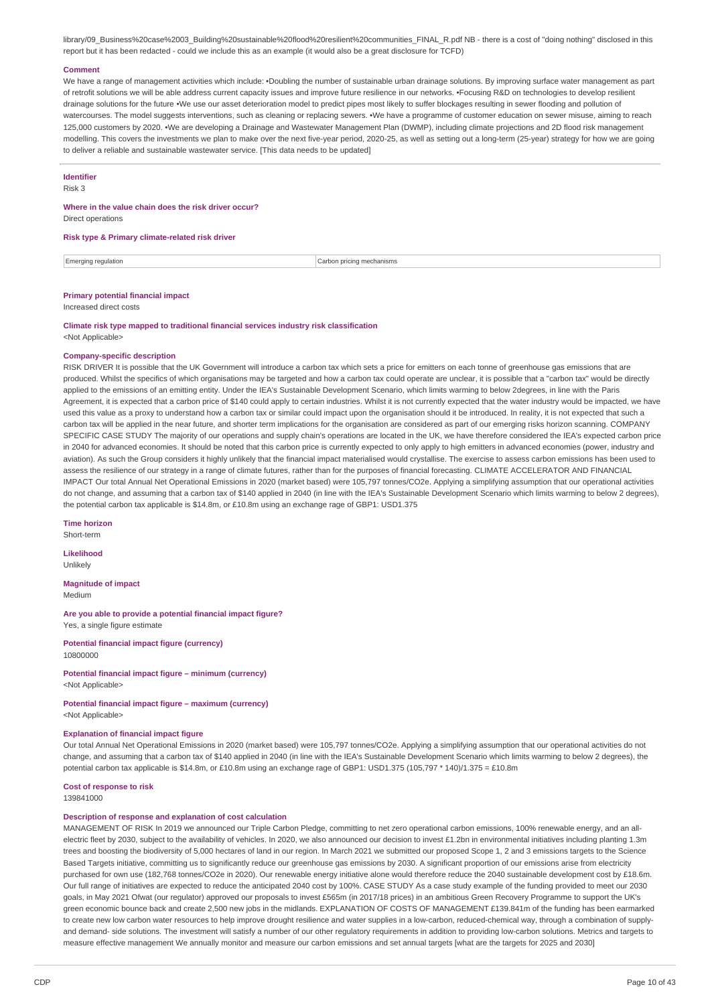library/09\_Business%20case%2003\_Building%20sustainable%20flood%20resilient%20communities\_FINAL\_R.pdf NB - there is a cost of "doing nothing" disclosed in this report but it has been redacted - could we include this as an example (it would also be a great disclosure for TCFD)

#### **Comment**

We have a range of management activities which include: •Doubling the number of sustainable urban drainage solutions. By improving surface water management as part of retrofit solutions we will be able address current capacity issues and improve future resilience in our networks. •Focusing R&D on technologies to develop resilient drainage solutions for the future •We use our asset deterioration model to predict pipes most likely to suffer blockages resulting in sewer flooding and pollution of watercourses. The model suggests interventions, such as cleaning or replacing sewers. •We have a programme of customer education on sewer misuse, aiming to reach 125,000 customers by 2020. •We are developing a Drainage and Wastewater Management Plan (DWMP), including climate projections and 2D flood risk management modelling. This covers the investments we plan to make over the next five-year period, 2020-25, as well as setting out a long-term (25-year) strategy for how we are going to deliver a reliable and sustainable wastewater service. [This data needs to be updated]

### **Identifier**

Risk 3

### **Where in the value chain does the risk driver occur?**

Direct operations

#### **Risk type & Primary climate-related risk driver**

Emerging regulation **Carbon pricing mechanisms** carbon pricing mechanisms

## **Primary potential financial impact**

Increased direct costs

**Climate risk type mapped to traditional financial services industry risk classification** <Not Applicable>

#### **Company-specific description**

RISK DRIVER It is possible that the UK Government will introduce a carbon tax which sets a price for emitters on each tonne of greenhouse gas emissions that are produced. Whilst the specifics of which organisations may be targeted and how a carbon tax could operate are unclear, it is possible that a "carbon tax" would be directly applied to the emissions of an emitting entity. Under the IEA's Sustainable Development Scenario, which limits warming to below 2degrees, in line with the Paris Agreement, it is expected that a carbon price of \$140 could apply to certain industries. Whilst it is not currently expected that the water industry would be impacted, we have used this value as a proxy to understand how a carbon tax or similar could impact upon the organisation should it be introduced. In reality, it is not expected that such a carbon tax will be applied in the near future, and shorter term implications for the organisation are considered as part of our emerging risks horizon scanning. COMPANY SPECIFIC CASE STUDY The majority of our operations and supply chain's operations are located in the UK, we have therefore considered the IEA's expected carbon price in 2040 for advanced economies. It should be noted that this carbon price is currently expected to only apply to high emitters in advanced economies (power, industry and aviation). As such the Group considers it highly unlikely that the financial impact materialised would crystallise. The exercise to assess carbon emissions has been used to assess the resilience of our strategy in a range of climate futures, rather than for the purposes of financial forecasting. CLIMATE ACCELERATOR AND FINANCIAL IMPACT Our total Annual Net Operational Emissions in 2020 (market based) were 105,797 tonnes/CO2e. Applying a simplifying assumption that our operational activities do not change, and assuming that a carbon tax of \$140 applied in 2040 (in line with the IEA's Sustainable Development Scenario which limits warming to below 2 degrees), the potential carbon tax applicable is \$14.8m, or £10.8m using an exchange rage of GBP1: USD1.375

**Time horizon** Short-term

**Likelihood** Unlikely

**Magnitude of impact** Medium

**Are you able to provide a potential financial impact figure?** Yes, a single figure estimate

**Potential financial impact figure (currency)** 10800000

**Potential financial impact figure – minimum (currency)** <Not Applicable>

#### **Potential financial impact figure – maximum (currency)** <Not Applicable>

#### **Explanation of financial impact figure**

Our total Annual Net Operational Emissions in 2020 (market based) were 105,797 tonnes/CO2e. Applying a simplifying assumption that our operational activities do not change, and assuming that a carbon tax of \$140 applied in 2040 (in line with the IEA's Sustainable Development Scenario which limits warming to below 2 degrees), the potential carbon tax applicable is \$14.8m, or £10.8m using an exchange rage of GBP1: USD1.375 (105,797 \* 140)/1.375 = £10.8m

#### **Cost of response to risk**

139841000

## **Description of response and explanation of cost calculation**

MANAGEMENT OF RISK In 2019 we announced our Triple Carbon Pledge, committing to net zero operational carbon emissions, 100% renewable energy, and an allelectric fleet by 2030, subject to the availability of vehicles. In 2020, we also announced our decision to invest £1.2bn in environmental initiatives including planting 1.3m trees and boosting the biodiversity of 5,000 hectares of land in our region. In March 2021 we submitted our proposed Scope 1, 2 and 3 emissions targets to the Science Based Targets initiative, committing us to significantly reduce our greenhouse gas emissions by 2030. A significant proportion of our emissions arise from electricity purchased for own use (182,768 tonnes/CO2e in 2020). Our renewable energy initiative alone would therefore reduce the 2040 sustainable development cost by £18.6m. Our full range of initiatives are expected to reduce the anticipated 2040 cost by 100%. CASE STUDY As a case study example of the funding provided to meet our 2030 goals, in May 2021 Ofwat (our regulator) approved our proposals to invest £565m (in 2017/18 prices) in an ambitious Green Recovery Programme to support the UK's green economic bounce back and create 2,500 new jobs in the midlands. EXPLANATION OF COSTS OF MANAGEMENT £139.841m of the funding has been earmarked to create new low carbon water resources to help improve drought resilience and water supplies in a low-carbon, reduced-chemical way, through a combination of supplyand demand- side solutions. The investment will satisfy a number of our other regulatory requirements in addition to providing low-carbon solutions. Metrics and targets to measure effective management We annually monitor and measure our carbon emissions and set annual targets [what are the targets for 2025 and 2030]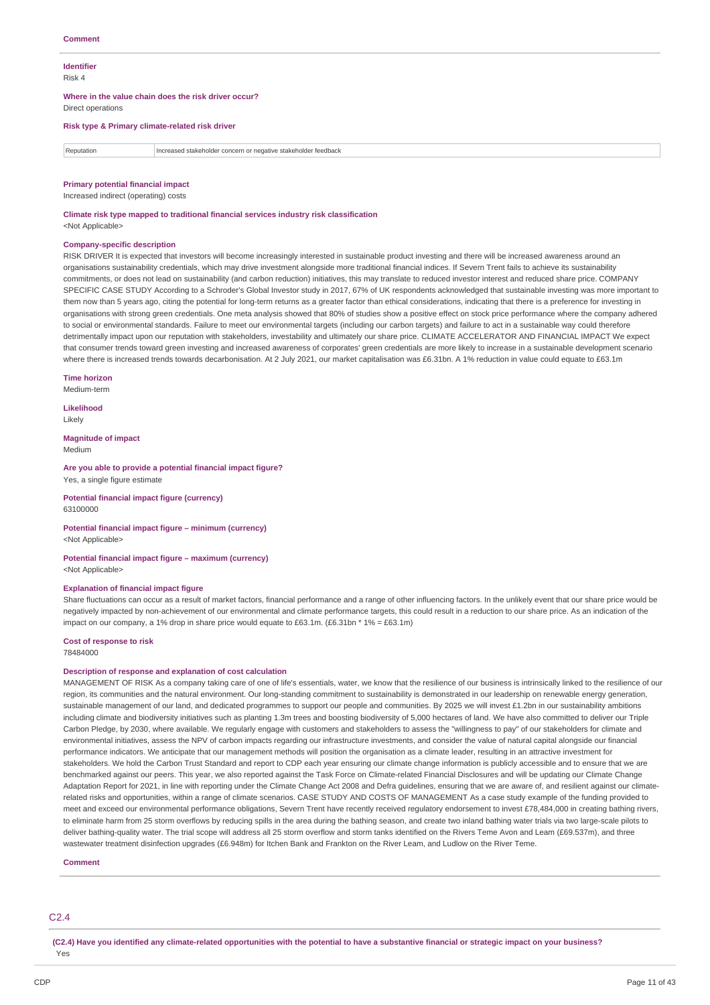#### **Identifier** Risk 4

**Where in the value chain does the risk driver occur?**

Direct operations

#### **Risk type & Primary climate-related risk driver**

Reputation Increased stakeholder concern or negative stakeholder feedback

#### **Primary potential financial impact**

Increased indirect (operating) costs

**Climate risk type mapped to traditional financial services industry risk classification**

<Not Applicable>

### **Company-specific description**

RISK DRIVER It is expected that investors will become increasingly interested in sustainable product investing and there will be increased awareness around an organisations sustainability credentials, which may drive investment alongside more traditional financial indices. If Severn Trent fails to achieve its sustainability commitments, or does not lead on sustainability (and carbon reduction) initiatives, this may translate to reduced investor interest and reduced share price. COMPANY SPECIFIC CASE STUDY According to a Schroder's Global Investor study in 2017, 67% of UK respondents acknowledged that sustainable investing was more important to them now than 5 years ago, citing the potential for long-term returns as a greater factor than ethical considerations, indicating that there is a preference for investing in organisations with strong green credentials. One meta analysis showed that 80% of studies show a positive effect on stock price performance where the company adhered to social or environmental standards. Failure to meet our environmental targets (including our carbon targets) and failure to act in a sustainable way could therefore detrimentally impact upon our reputation with stakeholders, investability and ultimately our share price. CLIMATE ACCELERATOR AND FINANCIAL IMPACT We expect that consumer trends toward green investing and increased awareness of corporates' green credentials are more likely to increase in a sustainable development scenario where there is increased trends towards decarbonisation. At 2 July 2021, our market capitalisation was £6.31bn. A 1% reduction in value could equate to £63.1m

**Time horizon** Medium-term

**Likelihood**

Likely

**Magnitude of impact** Medium

**Are you able to provide a potential financial impact figure?** Yes, a single figure estimate

**Potential financial impact figure (currency)** 63100000

#### **Potential financial impact figure – minimum (currency)** <Not Applicable>

**Potential financial impact figure – maximum (currency)** <Not Applicable>

#### **Explanation of financial impact figure**

Share fluctuations can occur as a result of market factors, financial performance and a range of other influencing factors. In the unlikely event that our share price would be negatively impacted by non-achievement of our environmental and climate performance targets, this could result in a reduction to our share price. As an indication of the impact on our company, a 1% drop in share price would equate to £63.1m. (£6.31bn  $*$  1% = £63.1m)

**Cost of response to risk**

78484000

#### **Description of response and explanation of cost calculation**

MANAGEMENT OF RISK As a company taking care of one of life's essentials, water, we know that the resilience of our business is intrinsically linked to the resilience of our region, its communities and the natural environment. Our long-standing commitment to sustainability is demonstrated in our leadership on renewable energy generation. sustainable management of our land, and dedicated programmes to support our people and communities. By 2025 we will invest £1.2bn in our sustainability ambitions including climate and biodiversity initiatives such as planting 1.3m trees and boosting biodiversity of 5,000 hectares of land. We have also committed to deliver our Triple Carbon Pledge, by 2030, where available. We regularly engage with customers and stakeholders to assess the "willingness to pay" of our stakeholders for climate and environmental initiatives, assess the NPV of carbon impacts regarding our infrastructure investments, and consider the value of natural capital alongside our financial performance indicators. We anticipate that our management methods will position the organisation as a climate leader, resulting in an attractive investment for stakeholders. We hold the Carbon Trust Standard and report to CDP each year ensuring our climate change information is publicly accessible and to ensure that we are benchmarked against our peers. This year, we also reported against the Task Force on Climate-related Financial Disclosures and will be updating our Climate Change Adaptation Report for 2021, in line with reporting under the Climate Change Act 2008 and Defra guidelines, ensuring that we are aware of, and resilient against our climaterelated risks and opportunities, within a range of climate scenarios. CASE STUDY AND COSTS OF MANAGEMENT As a case study example of the funding provided to meet and exceed our environmental performance obligations. Severn Trent have recently received regulatory endorsement to invest £78,484,000 in creating bathing rivers, to eliminate harm from 25 storm overflows by reducing spills in the area during the bathing season, and create two inland bathing water trials via two large-scale pilots to deliver bathing-quality water. The trial scope will address all 25 storm overflow and storm tanks identified on the Rivers Teme Avon and Leam (£69.537m), and three wastewater treatment disinfection upgrades (£6.948m) for Itchen Bank and Frankton on the River Leam, and Ludlow on the River Teme

#### **Comment**

### C2.4

(C2.4) Have vou identified any climate-related opportunities with the potential to have a substantive financial or strategic impact on your business? Yes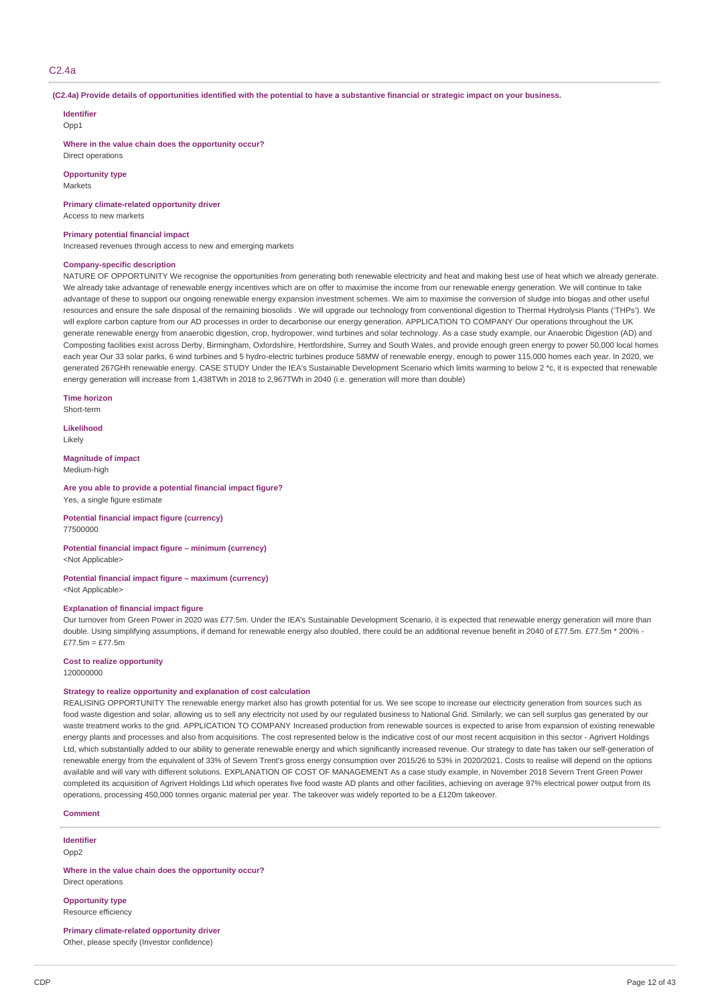## C2.4a

#### (C2.4a) Provide details of opportunities identified with the potential to have a substantive financial or strategic impact on your business.

#### **Identifier**

Opp1

**Where in the value chain does the opportunity occur?**

Direct operations

**Opportunity type** Markets

**Primary climate-related opportunity driver**

Access to new markets

#### **Primary potential financial impact**

Increased revenues through access to new and emerging markets

#### **Company-specific description**

NATURE OF OPPORTUNITY We recognise the opportunities from generating both renewable electricity and heat and making best use of heat which we already generate. We already take advantage of renewable energy incentives which are on offer to maximise the income from our renewable energy generation. We will continue to take advantage of these to support our ongoing renewable energy expansion investment schemes. We aim to maximise the conversion of sludge into biogas and other useful resources and ensure the safe disposal of the remaining biosolids . We will upgrade our technology from conventional digestion to Thermal Hydrolysis Plants ('THPs'). We will explore carbon capture from our AD processes in order to decarbonise our energy generation. APPLICATION TO COMPANY Our operations throughout the UK generate renewable energy from anaerobic digestion, crop, hydropower, wind turbines and solar technology. As a case study example, our Anaerobic Digestion (AD) and Composting facilities exist across Derby, Birmingham, Oxfordshire, Hertfordshire, Surrey and South Wales, and provide enough green energy to power 50,000 local homes each year Our 33 solar parks, 6 wind turbines and 5 hydro-electric turbines produce 58MW of renewable energy, enough to power 115,000 homes each year. In 2020, we generated 267GHh renewable energy. CASE STUDY Under the IEA's Sustainable Development Scenario which limits warming to below 2 \*c, it is expected that renewable energy generation will increase from 1,438TWh in 2018 to 2,967TWh in 2040 (i.e. generation will more than double)

**Time horizon** Short-term

**Likelihood**

Likely

**Magnitude of impact**

Medium-high

#### **Are you able to provide a potential financial impact figure?** Yes, a single figure estimate

**Potential financial impact figure (currency)** 77500000

**Potential financial impact figure – minimum (currency)** <Not Applicable>

**Potential financial impact figure – maximum (currency)** <Not Applicable>

#### **Explanation of financial impact figure**

Our turnover from Green Power in 2020 was £77.5m. Under the IEA's Sustainable Development Scenario, it is expected that renewable energy generation will more than double. Using simplifying assumptions, if demand for renewable energy also doubled, there could be an additional revenue benefit in 2040 of £77.5m. £77.5m \* 200% - $£77.5m = £77.5m$ 

### **Cost to realize opportunity**

120000000

#### **Strategy to realize opportunity and explanation of cost calculation**

REALISING OPPORTUNITY The renewable energy market also has growth potential for us. We see scope to increase our electricity generation from sources such as food waste digestion and solar, allowing us to sell any electricity not used by our regulated business to National Grid. Similarly, we can sell surplus gas generated by our waste treatment works to the grid. APPLICATION TO COMPANY Increased production from renewable sources is expected to arise from expansion of existing renewable energy plants and processes and also from acquisitions. The cost represented below is the indicative cost of our most recent acquisition in this sector - Agrivert Holdings Ltd, which substantially added to our ability to generate renewable energy and which significantly increased revenue. Our strategy to date has taken our self-generation of renewable energy from the equivalent of 33% of Severn Trent's gross energy consumption over 2015/26 to 53% in 2020/2021. Costs to realise will depend on the options available and will vary with different solutions. EXPLANATION OF COST OF MANAGEMENT As a case study example, in November 2018 Severn Trent Green Power completed its acquisition of Agrivert Holdings Ltd which operates five food waste AD plants and other facilities, achieving on average 97% electrical power output from its operations, processing 450,000 tonnes organic material per year. The takeover was widely reported to be a £120m takeover.

**Comment**

**Identifier**  $Onn2$ 

**Where in the value chain does the opportunity occur?** Direct operations

**Opportunity type** Resource efficiency

**Primary climate-related opportunity driver** Other, please specify (Investor confidence)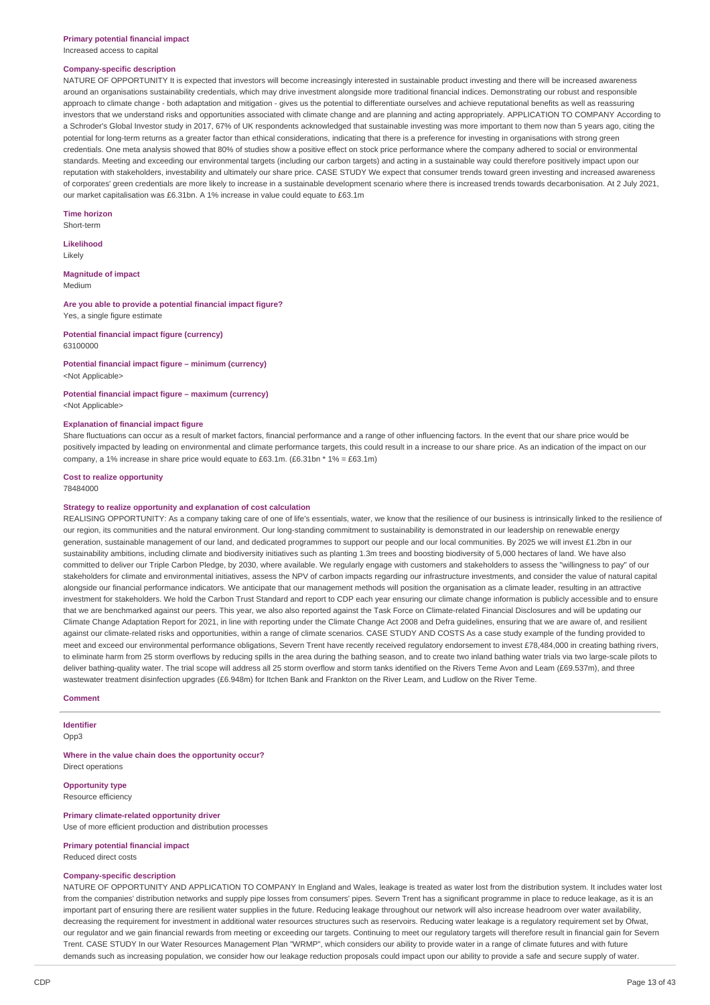Increased access to capital

#### **Company-specific description**

NATURE OF OPPORTUNITY It is expected that investors will become increasingly interested in sustainable product investing and there will be increased awareness around an organisations sustainability credentials, which may drive investment alongside more traditional financial indices. Demonstrating our robust and responsible approach to climate change - both adaptation and mitigation - gives us the potential to differentiate ourselves and achieve reputational benefits as well as reassuring investors that we understand risks and opportunities associated with climate change and are planning and acting appropriately. APPLICATION TO COMPANY According to a Schroder's Global Investor study in 2017, 67% of UK respondents acknowledged that sustainable investing was more important to them now than 5 years ago, citing the potential for long-term returns as a greater factor than ethical considerations, indicating that there is a preference for investing in organisations with strong green credentials. One meta analysis showed that 80% of studies show a positive effect on stock price performance where the company adhered to social or environmental standards. Meeting and exceeding our environmental targets (including our carbon targets) and acting in a sustainable way could therefore positively impact upon our reputation with stakeholders, investability and ultimately our share price. CASE STUDY We expect that consumer trends toward green investing and increased awareness of corporates' green credentials are more likely to increase in a sustainable development scenario where there is increased trends towards decarbonisation. At 2 July 2021, our market capitalisation was £6.31bn. A 1% increase in value could equate to £63.1m

**Time horizon** Short-term

**Likelihood**

Likely

**Magnitude of impact** Medium

## **Are you able to provide a potential financial impact figure?**

Yes, a single figure estimate

#### **Potential financial impact figure (currency)** 63100000

**Potential financial impact figure – minimum (currency)** <Not Applicable>

## **Potential financial impact figure – maximum (currency)**

<Not Applicable>

#### **Explanation of financial impact figure**

Share fluctuations can occur as a result of market factors, financial performance and a range of other influencing factors. In the event that our share price would be positively impacted by leading on environmental and climate performance targets, this could result in a increase to our share price. As an indication of the impact on our company, a 1% increase in share price would equate to £63.1m. (£6.31bn  $*$  1% = £63.1m)

## **Cost to realize opportunity**

78484000

#### **Strategy to realize opportunity and explanation of cost calculation**

REALISING OPPORTUNITY: As a company taking care of one of life's essentials, water, we know that the resilience of our business is intrinsically linked to the resilience of our region, its communities and the natural environment. Our long-standing commitment to sustainability is demonstrated in our leadership on renewable energy generation, sustainable management of our land, and dedicated programmes to support our people and our local communities. By 2025 we will invest £1.2bn in our sustainability ambitions, including climate and biodiversity initiatives such as planting 1.3m trees and boosting biodiversity of 5,000 hectares of land. We have also committed to deliver our Triple Carbon Pledge, by 2030, where available. We regularly engage with customers and stakeholders to assess the "willingness to pay" of our stakeholders for climate and environmental initiatives, assess the NPV of carbon impacts regarding our infrastructure investments, and consider the value of natural capital alongside our financial performance indicators. We anticipate that our management methods will position the organisation as a climate leader, resulting in an attractive investment for stakeholders. We hold the Carbon Trust Standard and report to CDP each year ensuring our climate change information is publicly accessible and to ensure that we are benchmarked against our peers. This year, we also also reported against the Task Force on Climate-related Financial Disclosures and will be updating our Climate Change Adaptation Report for 2021, in line with reporting under the Climate Change Act 2008 and Defra guidelines, ensuring that we are aware of, and resilient against our climate-related risks and opportunities, within a range of climate scenarios. CASE STUDY AND COSTS As a case study example of the funding provided to meet and exceed our environmental performance obligations, Severn Trent have recently received regulatory endorsement to invest £78,484,000 in creating bathing rivers, to eliminate harm from 25 storm overflows by reducing spills in the area during the bathing season, and to create two inland bathing water trials via two large-scale pilots to deliver bathing-quality water. The trial scope will address all 25 storm overflow and storm tanks identified on the Rivers Teme Avon and Leam (£69.537m), and three wastewater treatment disinfection upgrades (£6.948m) for Itchen Bank and Frankton on the River Leam, and Ludlow on the River Teme.

#### **Comment**

**Identifier**

Opp3

**Where in the value chain does the opportunity occur?** Direct operations

### **Opportunity type**

Resource efficiency

## **Primary climate-related opportunity driver**

Use of more efficient production and distribution processes

## **Primary potential financial impact**

Reduced direct costs

### **Company-specific description**

NATURE OF OPPORTUNITY AND APPLICATION TO COMPANY In England and Wales, leakage is treated as water lost from the distribution system. It includes water lost from the companies' distribution networks and supply pipe losses from consumers' pipes. Severn Trent has a significant programme in place to reduce leakage, as it is an important part of ensuring there are resilient water supplies in the future. Reducing leakage throughout our network will also increase headroom over water availability, decreasing the requirement for investment in additional water resources structures such as reservoirs. Reducing water leakage is a regulatory requirement set by Ofwat, our regulator and we gain financial rewards from meeting or exceeding our targets. Continuing to meet our regulatory targets will therefore result in financial gain for Severn Trent. CASE STUDY In our Water Resources Management Plan "WRMP", which considers our ability to provide water in a range of climate futures and with future demands such as increasing population, we consider how our leakage reduction proposals could impact upon our ability to provide a safe and secure supply of water.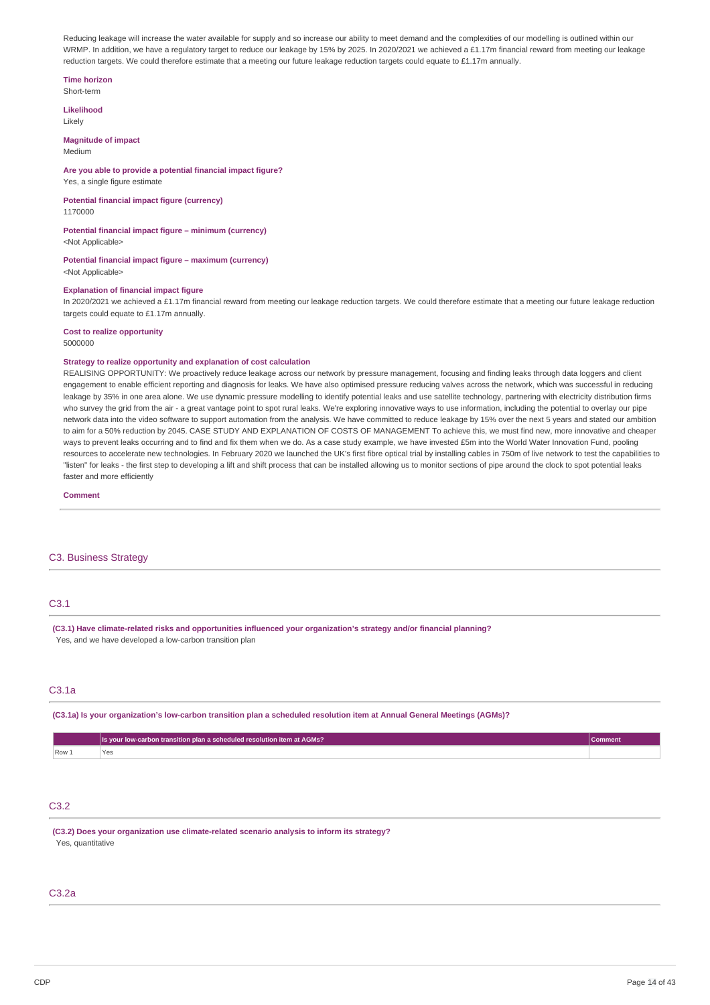Reducing leakage will increase the water available for supply and so increase our ability to meet demand and the complexities of our modelling is outlined within our WRMP. In addition, we have a regulatory target to reduce our leakage by 15% by 2025. In 2020/2021 we achieved a £1.17m financial reward from meeting our leakage reduction targets. We could therefore estimate that a meeting our future leakage reduction targets could equate to £1.17m annually.

### **Time horizon**

Short-term

**Likelihood** Likely

### **Magnitude of impact**

Medium

## **Are you able to provide a potential financial impact figure?**

## Yes, a single figure estimate

**Potential financial impact figure (currency)**

## 1170000

## **Potential financial impact figure – minimum (currency)**

<Not Applicable>

#### **Potential financial impact figure – maximum (currency)** <Not Applicable>

## **Explanation of financial impact figure**

In 2020/2021 we achieved a £1.17m financial reward from meeting our leakage reduction targets. We could therefore estimate that a meeting our future leakage reduction targets could equate to £1.17m annually

#### **Cost to realize opportunity** 5000000

### **Strategy to realize opportunity and explanation of cost calculation**

REALISING OPPORTUNITY: We proactively reduce leakage across our network by pressure management, focusing and finding leaks through data loggers and client engagement to enable efficient reporting and diagnosis for leaks. We have also optimised pressure reducing valves across the network, which was successful in reducing leakage by 35% in one area alone. We use dynamic pressure modelling to identify potential leaks and use satellite technology, partnering with electricity distribution firms who survey the grid from the air - a great vantage point to spot rural leaks. We're exploring innovative ways to use information, including the potential to overlay our pipe network data into the video software to support automation from the analysis. We have committed to reduce leakage by 15% over the next 5 years and stated our ambition to aim for a 50% reduction by 2045. CASE STUDY AND EXPLANATION OF COSTS OF MANAGEMENT To achieve this, we must find new, more innovative and cheaper ways to prevent leaks occurring and to find and fix them when we do. As a case study example, we have invested £5m into the World Water Innovation Fund, pooling resources to accelerate new technologies. In February 2020 we launched the UK's first fibre optical trial by installing cables in 750m of live network to test the capabilities to "listen" for leaks - the first step to developing a lift and shift process that can be installed allowing us to monitor sections of pipe around the clock to spot potential leaks faster and more efficiently

**Comment**

### C3. Business Strategy

## C3.1

**(C3.1) Have climate-related risks and opportunities influenced your organization's strategy and/or financial planning?** Yes, and we have developed a low-carbon transition plan

### C3.1a

(C3.1a) Is your organization's low-carbon transition plan a scheduled resolution item at Annual General Meetings (AGMs)?

|       | carbon transition plan a scheduled resolution item at AGMs? I<br>/Is, | rommen. |
|-------|-----------------------------------------------------------------------|---------|
| Row 1 | .ez                                                                   |         |

## C3.2

**(C3.2) Does your organization use climate-related scenario analysis to inform its strategy?** Yes, quantitative

#### C3.2a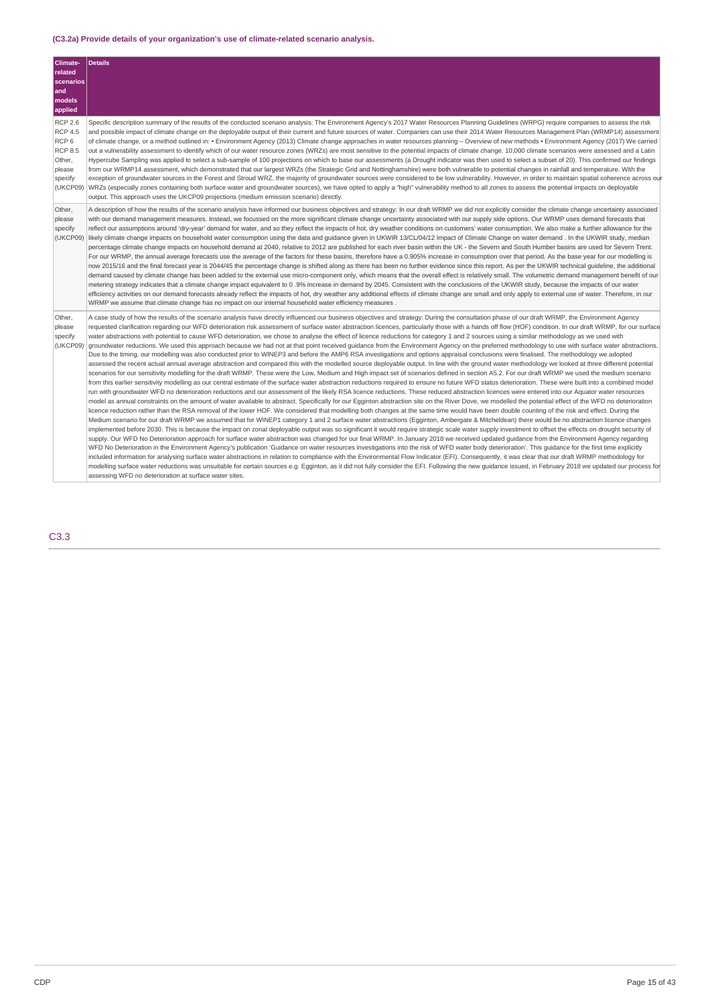## **(C3.2a) Provide details of your organization's use of climate-related scenario analysis.**

| Climate-                                                                                                          | <b>Details</b>                                                                                                                                                                                                                                                                                                                                                                                                                                                                                                                                                                                                                                                                                                                                                                                                                                                                                                                                                                                                                                                                                                                                                                                                                                                                                                                                                                                                                                                                                                                                                                                                                                                                                                                                                                                                                                                                                                                                                                                                                                                                                                                                                                                                                                                                                                                                                                                                                                                                                                                                                                                                                                                                                                                                                                                                                                                                                                                                                                                                                                                                                                                                                                                                                                                                                                                                                                                                                                                                                                                                     |
|-------------------------------------------------------------------------------------------------------------------|----------------------------------------------------------------------------------------------------------------------------------------------------------------------------------------------------------------------------------------------------------------------------------------------------------------------------------------------------------------------------------------------------------------------------------------------------------------------------------------------------------------------------------------------------------------------------------------------------------------------------------------------------------------------------------------------------------------------------------------------------------------------------------------------------------------------------------------------------------------------------------------------------------------------------------------------------------------------------------------------------------------------------------------------------------------------------------------------------------------------------------------------------------------------------------------------------------------------------------------------------------------------------------------------------------------------------------------------------------------------------------------------------------------------------------------------------------------------------------------------------------------------------------------------------------------------------------------------------------------------------------------------------------------------------------------------------------------------------------------------------------------------------------------------------------------------------------------------------------------------------------------------------------------------------------------------------------------------------------------------------------------------------------------------------------------------------------------------------------------------------------------------------------------------------------------------------------------------------------------------------------------------------------------------------------------------------------------------------------------------------------------------------------------------------------------------------------------------------------------------------------------------------------------------------------------------------------------------------------------------------------------------------------------------------------------------------------------------------------------------------------------------------------------------------------------------------------------------------------------------------------------------------------------------------------------------------------------------------------------------------------------------------------------------------------------------------------------------------------------------------------------------------------------------------------------------------------------------------------------------------------------------------------------------------------------------------------------------------------------------------------------------------------------------------------------------------------------------------------------------------------------------------------------------------|
| related                                                                                                           |                                                                                                                                                                                                                                                                                                                                                                                                                                                                                                                                                                                                                                                                                                                                                                                                                                                                                                                                                                                                                                                                                                                                                                                                                                                                                                                                                                                                                                                                                                                                                                                                                                                                                                                                                                                                                                                                                                                                                                                                                                                                                                                                                                                                                                                                                                                                                                                                                                                                                                                                                                                                                                                                                                                                                                                                                                                                                                                                                                                                                                                                                                                                                                                                                                                                                                                                                                                                                                                                                                                                                    |
| scenarios<br>and                                                                                                  |                                                                                                                                                                                                                                                                                                                                                                                                                                                                                                                                                                                                                                                                                                                                                                                                                                                                                                                                                                                                                                                                                                                                                                                                                                                                                                                                                                                                                                                                                                                                                                                                                                                                                                                                                                                                                                                                                                                                                                                                                                                                                                                                                                                                                                                                                                                                                                                                                                                                                                                                                                                                                                                                                                                                                                                                                                                                                                                                                                                                                                                                                                                                                                                                                                                                                                                                                                                                                                                                                                                                                    |
| models                                                                                                            |                                                                                                                                                                                                                                                                                                                                                                                                                                                                                                                                                                                                                                                                                                                                                                                                                                                                                                                                                                                                                                                                                                                                                                                                                                                                                                                                                                                                                                                                                                                                                                                                                                                                                                                                                                                                                                                                                                                                                                                                                                                                                                                                                                                                                                                                                                                                                                                                                                                                                                                                                                                                                                                                                                                                                                                                                                                                                                                                                                                                                                                                                                                                                                                                                                                                                                                                                                                                                                                                                                                                                    |
| applied                                                                                                           |                                                                                                                                                                                                                                                                                                                                                                                                                                                                                                                                                                                                                                                                                                                                                                                                                                                                                                                                                                                                                                                                                                                                                                                                                                                                                                                                                                                                                                                                                                                                                                                                                                                                                                                                                                                                                                                                                                                                                                                                                                                                                                                                                                                                                                                                                                                                                                                                                                                                                                                                                                                                                                                                                                                                                                                                                                                                                                                                                                                                                                                                                                                                                                                                                                                                                                                                                                                                                                                                                                                                                    |
| <b>RCP 2.6</b><br><b>RCP 4.5</b><br>RCP <sub>6</sub><br><b>RCP 8.5</b><br>Other,<br>please<br>specify<br>(UKCP09) | Specific description summary of the results of the conducted scenario analysis: The Environment Agency's 2017 Water Resources Planning Guidelines (WRPG) require companies to assess the risk<br>and possible impact of climate change on the deployable output of their current and future sources of water. Companies can use their 2014 Water Resources Management Plan (WRMP14) assessment<br>of climate change, or a method outlined in: • Environment Agency (2013) Climate change approaches in water resources planning - Overview of new methods • Environment Agency (2017) We carried<br>out a vulnerability assessment to identify which of our water resource zones (WRZs) are most sensitive to the potential impacts of climate change. 10,000 climate scenarios were assessed and a Latin<br>Hypercube Sampling was applied to select a sub-sample of 100 projections on which to base our assessments (a Drought indicator was then used to select a subset of 20). This confirmed our findings<br>from our WRMP14 assessment, which demonstrated that our largest WRZs (the Strategic Grid and Nottinghamshire) were both vulnerable to potential changes in rainfall and temperature. With the<br>exception of groundwater sources in the Forest and Stroud WRZ, the majority of groundwater sources were considered to be low vulnerability. However, in order to maintain spatial coherence across our<br>WRZs (especially zones containing both surface water and groundwater sources), we have opted to apply a "high" vulnerability method to all zones to assess the potential impacts on deployable<br>output. This approach uses the UKCP09 projections (medium emission scenario) directly.                                                                                                                                                                                                                                                                                                                                                                                                                                                                                                                                                                                                                                                                                                                                                                                                                                                                                                                                                                                                                                                                                                                                                                                                                                                                                                                                                                                                                                                                                                                                                                                                                                                                                                                                                                                                                            |
| Other,<br>please<br>specify<br>(UKCP09)                                                                           | A description of how the results of the scenario analysis have informed our business objectives and strategy: In our draft WRMP we did not explicitly consider the climate change uncertainty associated<br>with our demand management measures. Instead, we focussed on the more significant climate change uncertainty associated with our supply side options. Our WRMP uses demand forecasts that<br>reflect our assumptions around 'dry-year' demand for water, and so they reflect the impacts of hot, dry weather conditions on customers' water consumption. We also make a further allowance for the<br>likely climate change impacts on household water consumption using the data and guidance given in UKWIR 13/CL/04/12 Impact of Climate Change on water demand. In the UKWIR study, median<br>percentage climate change impacts on household demand at 2040, relative to 2012 are published for each river basin within the UK - the Severn and South Humber basins are used for Severn Trent.<br>For our WRMP, the annual average forecasts use the average of the factors for these basins, therefore have a 0.905% increase in consumption over that period. As the base year for our modelling is<br>now 2015/16 and the final forecast year is 2044/45 the percentage change is shifted along as there has been no further evidence since this report. As per the UKWIR technical quideline, the additional<br>demand caused by climate change has been added to the external use micro-component only, which means that the overall effect is relatively small. The volumetric demand management benefit of our<br>metering strategy indicates that a climate change impact equivalent to 0 .9% increase in demand by 2045. Consistent with the conclusions of the UKWIR study, because the impacts of our water<br>efficiency activities on our demand forecasts already reflect the impacts of hot, dry weather any additional effects of climate change are small and only apply to external use of water. Therefore, in our<br>WRMP we assume that climate change has no impact on our internal household water efficiency measures.                                                                                                                                                                                                                                                                                                                                                                                                                                                                                                                                                                                                                                                                                                                                                                                                                                                                                                                                                                                                                                                                                                                                                                                                                                                                                                                                                                                      |
| Other,<br>please<br>specify<br>(UKCP09)                                                                           | A case study of how the results of the scenario analysis have directly influenced our business objectives and strategy: During the consultation phase of our draft WRMP, the Environment Agency<br>requested clarification regarding our WFD deterioration risk assessment of surface water abstraction licences, particularly those with a hands off flow (HOF) condition. In our draft WRMP, for our surface<br>water abstractions with potential to cause WFD deterioration, we chose to analyse the effect of licence reductions for category 1 and 2 sources using a similar methodology as we used with<br>groundwater reductions. We used this approach because we had not at that point received guidance from the Environment Agency on the preferred methodology to use with surface water abstractions.<br>Due to the timing, our modelling was also conducted prior to WINEP3 and before the AMP6 RSA investigations and options appraisal conclusions were finalised. The methodology we adopted<br>assessed the recent actual annual average abstraction and compared this with the modelled source deployable output. In line with the ground water methodology we looked at three different potential<br>scenarios for our sensitivity modelling for the draft WRMP. These were the Low, Medium and High impact set of scenarios defined in section A5.2. For our draft WRMP we used the medium scenario<br>from this earlier sensitivity modelling as our central estimate of the surface water abstraction reductions required to ensure no future WFD status deterioration. These were built into a combined model<br>run with groundwater WFD no deterioration reductions and our assessment of the likely RSA licence reductions. These reduced abstraction licences were entered into our Aquator water resources<br>model as annual constraints on the amount of water available to abstract. Specifically for our Egginton abstraction site on the River Dove, we modelled the potential effect of the WFD no deterioration<br>licence reduction rather than the RSA removal of the lower HOF. We considered that modelling both changes at the same time would have been double counting of the risk and effect. During the<br>Medium scenario for our draft WRMP we assumed that for WINEP1 category 1 and 2 surface water abstractions (Egginton, Ambergate & Mitcheldean) there would be no abstraction licence changes<br>implemented before 2030. This is because the impact on zonal deployable output was so significant it would require strategic scale water supply investment to offset the effects on drought security of<br>supply. Our WFD No Deterioration approach for surface water abstraction was changed for our final WRMP. In January 2018 we received updated guidance from the Environment Agency regarding<br>WFD No Deterioration in the Environment Agency's publication 'Guidance on water resources investigations into the risk of WFD water body deterioration'. This guidance for the first time explicitly<br>included information for analysing surface water abstractions in relation to compliance with the Environmental Flow Indicator (EFI). Consequently, it was clear that our draft WRMP methodology for<br>modelling surface water reductions was unsuitable for certain sources e.g. Egginton, as it did not fully consider the EFI. Following the new guidance issued, in February 2018 we updated our process for<br>assessing WFD no deterioration at surface water sites. |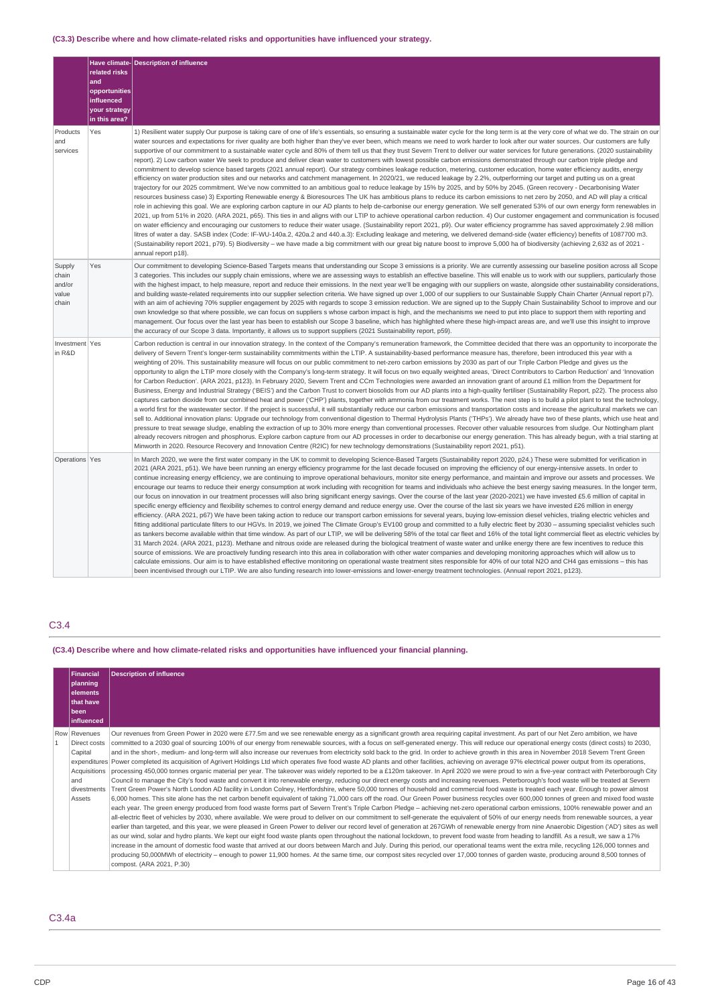## **(C3.3) Describe where and how climate-related risks and opportunities have influenced your strategy.**

|                                             | related risks<br>and<br>opportunities<br>influenced<br>your strategy<br>in this area? | Have climate- Description of influence                                                                                                                                                                                                                                                                                                                                                                                                                                                                                                                                                                                                                                                                                                                                                                                                                                                                                                                                                                                                                                                                                                                                                                                                                                                                                                                                                                                                                                                                                                                                                                                                                                                                                                                                                                                                                                                                                                                                                                                                                                                                                                                                                                                                                                                                                                                                                                                                                                     |
|---------------------------------------------|---------------------------------------------------------------------------------------|----------------------------------------------------------------------------------------------------------------------------------------------------------------------------------------------------------------------------------------------------------------------------------------------------------------------------------------------------------------------------------------------------------------------------------------------------------------------------------------------------------------------------------------------------------------------------------------------------------------------------------------------------------------------------------------------------------------------------------------------------------------------------------------------------------------------------------------------------------------------------------------------------------------------------------------------------------------------------------------------------------------------------------------------------------------------------------------------------------------------------------------------------------------------------------------------------------------------------------------------------------------------------------------------------------------------------------------------------------------------------------------------------------------------------------------------------------------------------------------------------------------------------------------------------------------------------------------------------------------------------------------------------------------------------------------------------------------------------------------------------------------------------------------------------------------------------------------------------------------------------------------------------------------------------------------------------------------------------------------------------------------------------------------------------------------------------------------------------------------------------------------------------------------------------------------------------------------------------------------------------------------------------------------------------------------------------------------------------------------------------------------------------------------------------------------------------------------------------|
| Products<br>and<br>services                 | Yes                                                                                   | 1) Resilient water supply Our purpose is taking care of one of life's essentials, so ensuring a sustainable water cycle for the long term is at the very core of what we do. The strain on our<br>water sources and expectations for river quality are both higher than they've ever been, which means we need to work harder to look after our water sources. Our customers are fully<br>supportive of our commitment to a sustainable water cycle and 80% of them tell us that they trust Severn Trent to deliver our water services for future generations. (2020 sustainability<br>report). 2) Low carbon water We seek to produce and deliver clean water to customers with lowest possible carbon emissions demonstrated through our carbon triple pledge and<br>commitment to develop science based targets (2021 annual report). Our strategy combines leakage reduction, metering, customer education, home water efficiency audits, energy<br>efficiency on water production sites and our networks and catchment management. In 2020/21, we reduced leakage by 2.2%, outperforming our target and putting us on a great<br>trajectory for our 2025 commitment. We've now committed to an ambitious goal to reduce leakage by 15% by 2025, and by 50% by 2045. (Green recovery - Decarbonising Water<br>resources business case) 3) Exporting Renewable energy & Bioresources The UK has ambitious plans to reduce its carbon emissions to net zero by 2050, and AD will play a critical<br>role in achieving this goal. We are exploring carbon capture in our AD plants to help de-carbonise our energy generation. We self generated 53% of our own energy form renewables in<br>2021, up from 51% in 2020. (ARA 2021, p65). This ties in and aligns with our LTIP to achieve operational carbon reduction. 4) Our customer engagement and communication is focused<br>on water efficiency and encouraging our customers to reduce their water usage. (Sustainability report 2021, p9). Our water efficiency programme has saved approximately 2.98 million<br>litres of water a day. SASB index (Code: IF-WU-140a.2, 420a.2 and 440.a.3): Excluding leakage and metering, we delivered demand-side (water efficiency) benefits of 1087700 m3.<br>(Sustainability report 2021, p79). 5) Biodiversity – we have made a big commitment with our great big nature boost to improve 5,000 ha of biodiversity (achieving 2,632 as of 2021 -<br>annual report p18). |
| Supply<br>chain<br>and/or<br>value<br>chain | Yes                                                                                   | Our commitment to developing Science-Based Targets means that understanding our Scope 3 emissions is a priority. We are currently assessing our baseline position across all Scope<br>3 categories. This includes our supply chain emissions, where we are assessing ways to establish an effective baseline. This will enable us to work with our suppliers, particularly those<br>with the highest impact, to help measure, report and reduce their emissions. In the next year we'll be engaging with our suppliers on waste, alongside other sustainability considerations,<br>and building waste-related requirements into our supplier selection criteria. We have signed up over 1,000 of our suppliers to our Sustainable Supply Chain Charter (Annual report p7).<br>with an aim of achieving 70% supplier engagement by 2025 with regards to scope 3 emission reduction. We are signed up to the Supply Chain Sustainability School to improve and our<br>own knowledge so that where possible, we can focus on suppliers s whose carbon impact is high, and the mechanisms we need to put into place to support them with reporting and<br>management. Our focus over the last year has been to establish our Scope 3 baseline, which has highlighted where these high-impact areas are, and we'll use this insight to improve<br>the accuracy of our Scope 3 data. Importantly, it allows us to support suppliers (2021 Sustainability report, p59).                                                                                                                                                                                                                                                                                                                                                                                                                                                                                                                                                                                                                                                                                                                                                                                                                                                                                                                                                                                                           |
| Investment Yes<br>in R&D                    |                                                                                       | Carbon reduction is central in our innovation strategy. In the context of the Company's remuneration framework, the Committee decided that there was an opportunity to incorporate the<br>delivery of Severn Trent's longer-term sustainability commitments within the LTIP. A sustainability-based performance measure has, therefore, been introduced this year with a<br>weighting of 20%. This sustainability measure will focus on our public commitment to net-zero carbon emissions by 2030 as part of our Triple Carbon Pledge and gives us the<br>opportunity to align the LTIP more closely with the Company's long-term strategy. It will focus on two equally weighted areas, 'Direct Contributors to Carbon Reduction' and 'Innovation<br>for Carbon Reduction'. (ARA 2021, p123). In February 2020, Severn Trent and CCm Technologies were awarded an innovation grant of around £1 million from the Department for<br>Business, Energy and Industrial Strategy ('BEIS') and the Carbon Trust to convert biosolids from our AD plants into a high-quality fertiliser (Sustainability Report, p22). The process also<br>captures carbon dioxide from our combined heat and power ('CHP') plants, together with ammonia from our treatment works. The next step is to build a pilot plant to test the technology,<br>a world first for the wastewater sector. If the project is successful, it will substantially reduce our carbon emissions and transportation costs and increase the agricultural markets we can<br>sell to. Additional innovation plans: Upgrade our technology from conventional digestion to Thermal Hydrolysis Plants ('THPs'). We already have two of these plants, which use heat and<br>pressure to treat sewage sludge, enabling the extraction of up to 30% more energy than conventional processes. Recover other valuable resources from sludge. Our Nottingham plant<br>already recovers nitrogen and phosphorus. Explore carbon capture from our AD processes in order to decarbonise our energy generation. This has already begun, with a trial starting at<br>Minworth in 2020. Resource Recovery and Innovation Centre (R2IC) for new technology demonstrations (Sustainability report 2021, p51).                                                                                                                                                                                                                         |
| Operations Yes                              |                                                                                       | In March 2020, we were the first water company in the UK to commit to developing Science-Based Targets (Sustainability report 2020, p24.) These were submitted for verification in<br>2021 (ARA 2021, p51). We have been running an energy efficiency programme for the last decade focused on improving the efficiency of our energy-intensive assets. In order to<br>continue increasing energy efficiency, we are continuing to improve operational behaviours, monitor site energy performance, and maintain and improve our assets and processes. We<br>encourage our teams to reduce their energy consumption at work including with recognition for teams and individuals who achieve the best energy saving measures. In the longer term,<br>our focus on innovation in our treatment processes will also bring significant energy savings. Over the course of the last year (2020-2021) we have invested £5.6 million of capital in<br>specific energy efficiency and flexibility schemes to control energy demand and reduce energy use. Over the course of the last six years we have invested £26 million in energy<br>efficiency. (ARA 2021, p67) We have been taking action to reduce our transport carbon emissions for several years, buying low-emission diesel vehicles, trialing electric vehicles and<br>fitting additional particulate filters to our HGVs. In 2019, we joined The Climate Group's EV100 group and committed to a fully electric fleet by 2030 - assuming specialist vehicles such<br>as tankers become available within that time window. As part of our LTIP, we will be delivering 58% of the total car fleet and 16% of the total light commercial fleet as electric vehicles by<br>31 March 2024. (ARA 2021, p123). Methane and nitrous oxide are released during the biological treatment of waste water and unlike energy there are few incentives to reduce this<br>source of emissions. We are proactively funding research into this area in collaboration with other water companies and developing monitoring approaches which will allow us to<br>calculate emissions. Our aim is to have established effective monitoring on operational waste treatment sites responsible for 40% of our total N2O and CH4 gas emissions - this has<br>been incentivised through our LTIP. We are also funding research into lower-emissions and lower-energy treatment technologies. (Annual report 2021, p123).                      |

## C3.4

**(C3.4) Describe where and how climate-related risks and opportunities have influenced your financial planning.**

| <b>Financial</b>                                                                        | <b>Description of influence</b>                                                                                                                                                                                                                                                                                                                                                                                                                                                                                                                                                                                                                                                                                                                                                                                                                                                                                                                                                                                                                                                                                                                                                                                                                                                                                                                                                                                                                                                                                                                                                                                                                                                                                                                                                                                                                                                                                                                                                                                                                                                                                                                                                                                                                                                                                                                                                                                                                                                                                                                                                                                                                                                                                                                                                                      |
|-----------------------------------------------------------------------------------------|------------------------------------------------------------------------------------------------------------------------------------------------------------------------------------------------------------------------------------------------------------------------------------------------------------------------------------------------------------------------------------------------------------------------------------------------------------------------------------------------------------------------------------------------------------------------------------------------------------------------------------------------------------------------------------------------------------------------------------------------------------------------------------------------------------------------------------------------------------------------------------------------------------------------------------------------------------------------------------------------------------------------------------------------------------------------------------------------------------------------------------------------------------------------------------------------------------------------------------------------------------------------------------------------------------------------------------------------------------------------------------------------------------------------------------------------------------------------------------------------------------------------------------------------------------------------------------------------------------------------------------------------------------------------------------------------------------------------------------------------------------------------------------------------------------------------------------------------------------------------------------------------------------------------------------------------------------------------------------------------------------------------------------------------------------------------------------------------------------------------------------------------------------------------------------------------------------------------------------------------------------------------------------------------------------------------------------------------------------------------------------------------------------------------------------------------------------------------------------------------------------------------------------------------------------------------------------------------------------------------------------------------------------------------------------------------------------------------------------------------------------------------------------------------------|
| planning<br>lelements<br><b>Ithat have</b><br>l been<br><b>linfluenced</b>              |                                                                                                                                                                                                                                                                                                                                                                                                                                                                                                                                                                                                                                                                                                                                                                                                                                                                                                                                                                                                                                                                                                                                                                                                                                                                                                                                                                                                                                                                                                                                                                                                                                                                                                                                                                                                                                                                                                                                                                                                                                                                                                                                                                                                                                                                                                                                                                                                                                                                                                                                                                                                                                                                                                                                                                                                      |
| Row Revenues<br>Direct costs<br>Capital<br>Acquisitions<br>and<br>divestments<br>Assets | Our revenues from Green Power in 2020 were £77.5m and we see renewable energy as a significant growth area requiring capital investment. As part of our Net Zero ambition, we have<br>committed to a 2030 goal of sourcing 100% of our energy from renewable sources, with a focus on self-generated energy. This will reduce our operational energy costs (direct costs) to 2030,<br>and in the short-, medium- and long-term will also increase our revenues from electricity sold back to the grid. In order to achieve growth in this area in November 2018 Severn Trent Green<br>expenditures Power completed its acquisition of Agrivert Holdings Ltd which operates five food waste AD plants and other facilities, achieving on average 97% electrical power output from its operations,<br>processing 450,000 tonnes organic material per year. The takeover was widely reported to be a £120m takeover. In April 2020 we were proud to win a five-year contract with Peterborough City<br>Council to manage the City's food waste and convert it into renewable energy, reducing our direct energy costs and increasing revenues. Peterborough's food waste will be treated at Severn<br>Trent Green Power's North London AD facility in London Colney, Hertfordshire, where 50,000 tonnes of household and commercial food waste is treated each year. Enough to power almost<br>6,000 homes. This site alone has the net carbon benefit equivalent of taking 71,000 cars off the road. Our Green Power business recycles over 600,000 tonnes of green and mixed food waste<br>each year. The green energy produced from food waste forms part of Severn Trent's Triple Carbon Pledge - achieving net-zero operational carbon emissions, 100% renewable power and an<br>all-electric fleet of vehicles by 2030, where available. We were proud to deliver on our commitment to self-generate the equivalent of 50% of our energy needs from renewable sources, a year<br>earlier than targeted, and this year, we were pleased in Green Power to deliver our record level of generation at 267GWh of renewable energy from nine Anaerobic Digestion ('AD') sites as well<br>as our wind, solar and hydro plants. We kept our eight food waste plants open throughout the national lockdown, to prevent food waste from heading to landfill. As a result, we saw a 17%<br>increase in the amount of domestic food waste that arrived at our doors between March and July. During this period, our operational teams went the extra mile, recycling 126,000 tonnes and<br>producing 50,000MWh of electricity – enough to power 11,900 homes. At the same time, our compost sites recycled over 17,000 tonnes of garden waste, producing around 8,500 tonnes of<br>compost. (ARA 2021, P.30) |

C3.4a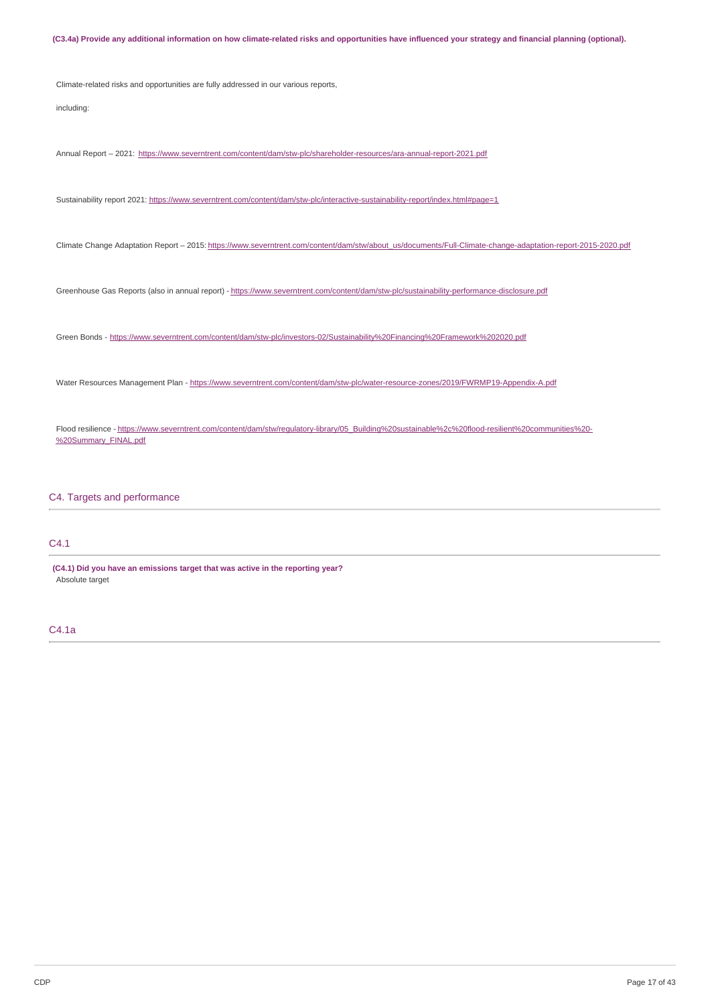(C3.4a) Provide any additional information on how climate-related risks and opportunities have influenced your strategy and financial planning (optional). Climate-related risks and opportunities are fully addressed in our various reports, including: Annual Report - 2021: <https://www.severntrent.com/content/dam/stw-plc/shareholder-resources/ara-annual-report-2021.pdf> Sustainability report 2021: <https://www.severntrent.com/content/dam/stw-plc/interactive-sustainability-report/index.html#page=1> Climate Change Adaptation Report – 2015: [https://www.severntrent.com/content/dam/stw/about\\_us/documents/Full-Climate-change-adaptation-report-2015-2020.pdf](https://www.severntrent.com/content/dam/stw/about_us/documents/Full-Climate-change-adaptation-report-2015-2020.pdf) Greenhouse Gas Reports (also in annual report) - <https://www.severntrent.com/content/dam/stw-plc/sustainability-performance-disclosure.pdf> Green Bonds - <https://www.severntrent.com/content/dam/stw-plc/investors-02/Sustainability%20Financing%20Framework%202020.pdf> Water Resources Management Plan - <https://www.severntrent.com/content/dam/stw-plc/water-resource-zones/2019/FWRMP19-Appendix-A.pdf> Flood resilience - [https://www.severntrent.com/content/dam/stw/regulatory-library/05\\_Building%20sustainable%2c%20flood-resilient%20communities%20-](https://www.severntrent.com/content/dam/stw/regulatory-library/05_Building%20sustainable%252c%20flood-resilient%20communities%20-%20Summary_FINAL.pdf) %20Summary\_FINAL.pdf

C4. Targets and performance

## C4.1

**(C4.1) Did you have an emissions target that was active in the reporting year?** Absolute target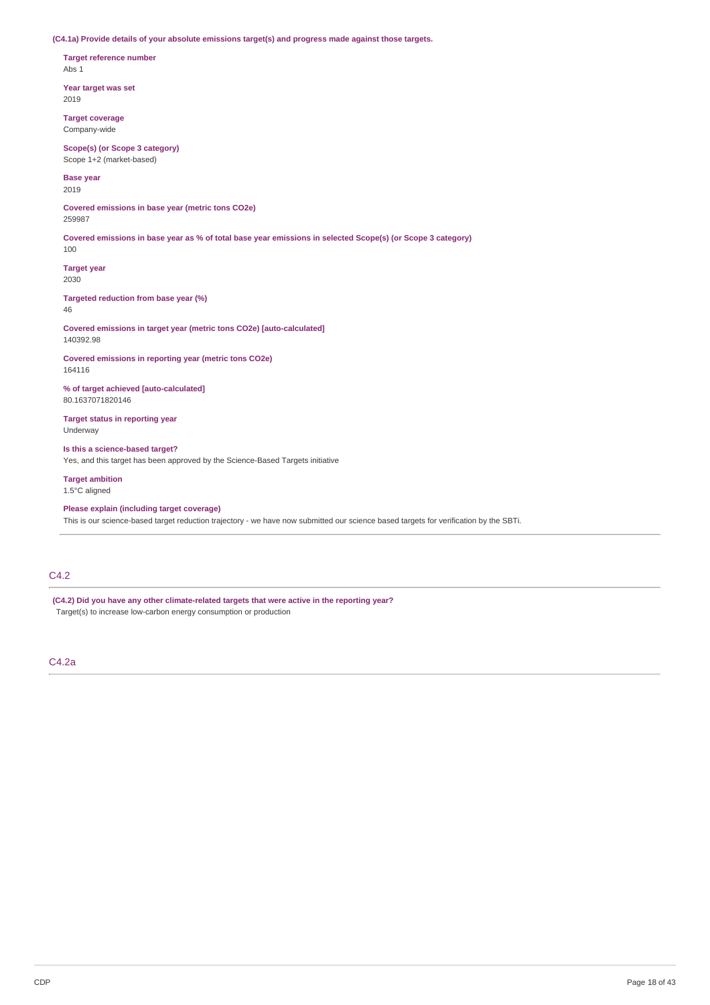**(C4.1a) Provide details of your absolute emissions target(s) and progress made against those targets.**

**Target reference number** Abs 1

**Year target was set** 2019

**Target coverage** Company-wide

**Scope(s) (or Scope 3 category)** Scope 1+2 (market-based)

**Base year**

2019

**Covered emissions in base year (metric tons CO2e)** 259987

Covered emissions in base year as % of total base year emissions in selected Scope(s) (or Scope 3 category)

**Target year** 2030

100

**Targeted reduction from base year (%)** 46

**Covered emissions in target year (metric tons CO2e) [auto-calculated]** 140392.98

**Covered emissions in reporting year (metric tons CO2e)** 164116

**% of target achieved [auto-calculated]** 80.1637071820146

**Target status in reporting year** Underway

**Is this a science-based target?** Yes, and this target has been approved by the Science-Based Targets initiative

**Target ambition** 1.5°C aligned

**Please explain (including target coverage)** This is our science-based target reduction trajectory - we have now submitted our science based targets for verification by the SBTi.

## C4.2

**(C4.2) Did you have any other climate-related targets that were active in the reporting year?** Target(s) to increase low-carbon energy consumption or production

C4.2a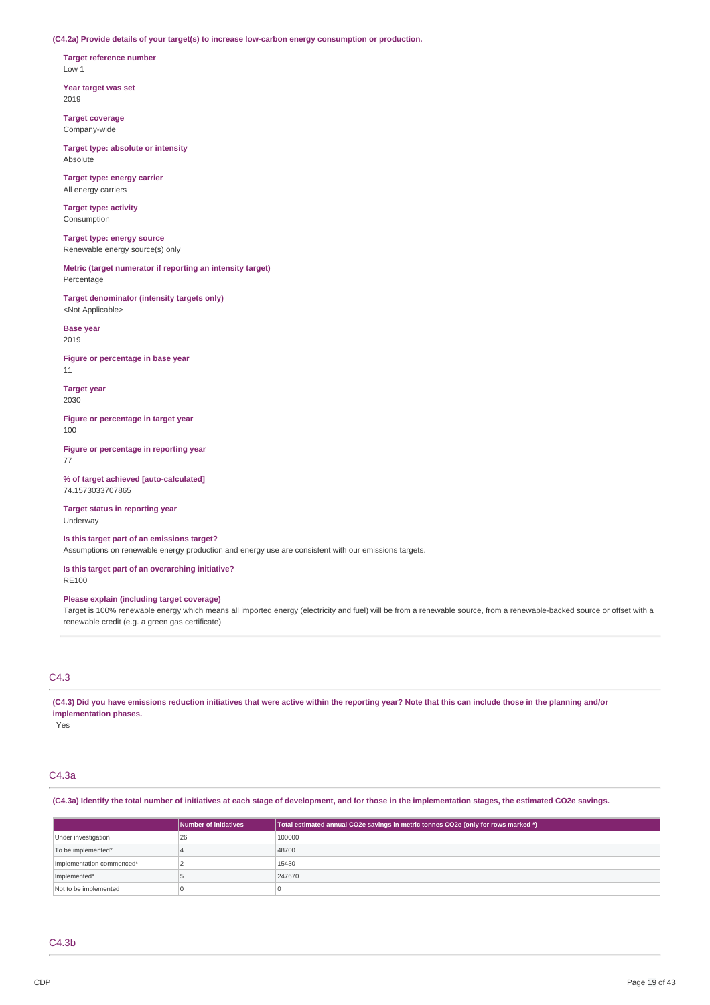**(C4.2a) Provide details of your target(s) to increase low-carbon energy consumption or production.**

**Target reference number** Low 1

**Year target was set** 2019

**Target coverage** Company-wide

**Target type: absolute or intensity** Absolute

**Target type: energy carrier** All energy carriers

**Target type: activity** Consumption

**Target type: energy source** Renewable energy source(s) only

**Metric (target numerator if reporting an intensity target)** Percentage

**Target denominator (intensity targets only)** <Not Applicable>

**Base year** 2019

**Figure or percentage in base year** 11

**Target year** 2030

**Figure or percentage in target year** 100

**Figure or percentage in reporting year** 77

**% of target achieved [auto-calculated]** 74.1573033707865

**Target status in reporting year** Underway

**Is this target part of an emissions target?**

Assumptions on renewable energy production and energy use are consistent with our emissions targets.

**Is this target part of an overarching initiative?** RE100

**Please explain (including target coverage)**

Target is 100% renewable energy which means all imported energy (electricity and fuel) will be from a renewable source, from a renewable-backed source or offset with a renewable credit (e.g. a green gas certificate)

## C4.3

(C4.3) Did you have emissions reduction initiatives that were active within the reporting year? Note that this can include those in the planning and/or **implementation phases.**

Yes

## C4.3a

(C4.3a) Identify the total number of initiatives at each stage of development, and for those in the implementation stages, the estimated CO2e savings.

|                           | Number of initiatives | Total estimated annual CO2e savings in metric tonnes CO2e (only for rows marked *) |
|---------------------------|-----------------------|------------------------------------------------------------------------------------|
| Under investigation       | 26                    | 100000                                                                             |
| To be implemented*        |                       | 48700                                                                              |
| Implementation commenced* |                       | 15430                                                                              |
| Implemented*              |                       | 247670                                                                             |
| Not to be implemented     |                       |                                                                                    |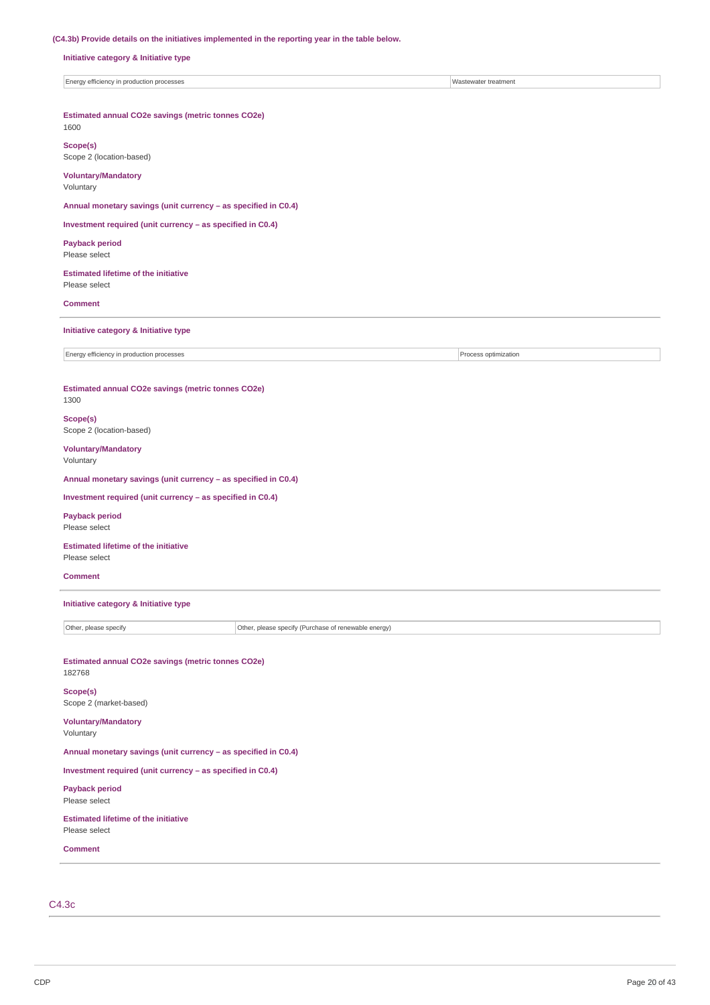#### **(C4.3b) Provide details on the initiatives implemented in the reporting year in the table below.**

**Initiative category & Initiative type**

Energy efficiency in production processes Wastewater treatment

**Estimated annual CO2e savings (metric tonnes CO2e)** 1600

**Scope(s)**

Scope 2 (location-based)

**Voluntary/Mandatory**

Voluntary

**Annual monetary savings (unit currency – as specified in C0.4)**

**Investment required (unit currency – as specified in C0.4)**

**Payback period** Please select

**Estimated lifetime of the initiative** Please select

**Comment**

**Initiative category & Initiative type**

Energy efficiency in production processes **Process** Process optimization

**Estimated annual CO2e savings (metric tonnes CO2e)**

## 1300

**Scope(s)** Scope 2 (location-based)

**Voluntary/Mandatory** Voluntary

**Annual monetary savings (unit currency – as specified in C0.4)**

**Investment required (unit currency – as specified in C0.4)**

**Payback period** Please select

**Estimated lifetime of the initiative** Please select

**Comment**

**Initiative category & Initiative type**

Other, please specify Other, please specify (Purchase of renewable energy)

**Estimated annual CO2e savings (metric tonnes CO2e)** 182768

**Scope(s)** Scope 2 (market-based)

**Voluntary/Mandatory** Voluntary

**Annual monetary savings (unit currency – as specified in C0.4)**

**Investment required (unit currency – as specified in C0.4)**

**Payback period** Please select

**Estimated lifetime of the initiative** Please select

**Comment**

C4.3c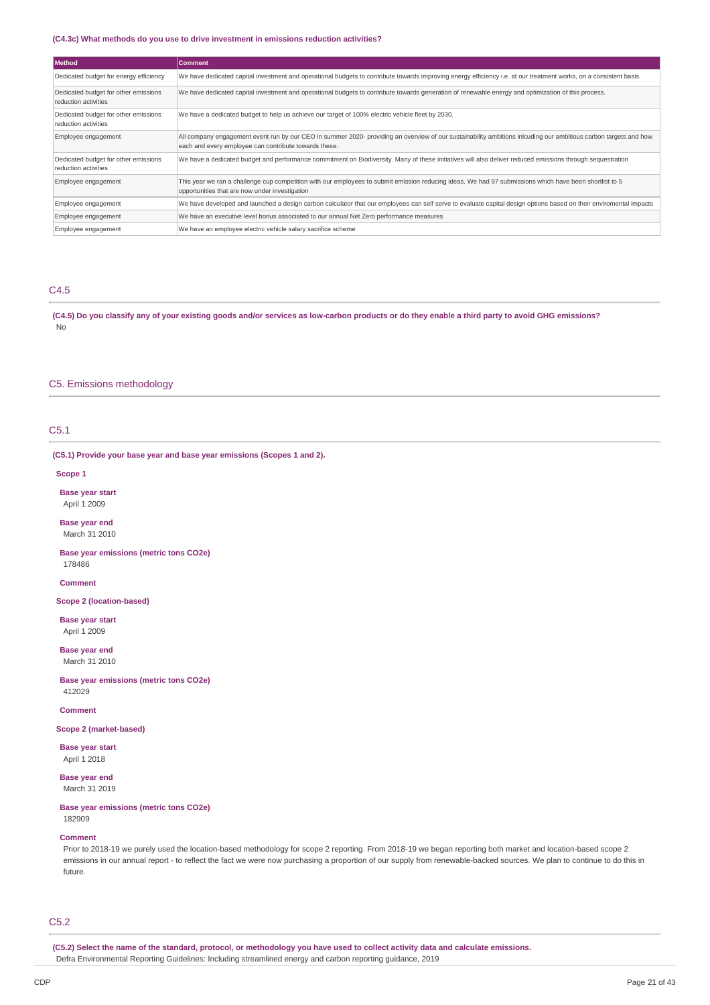#### **(C4.3c) What methods do you use to drive investment in emissions reduction activities?**

| <b>Method</b>                                                | <b>Comment</b>                                                                                                                                                                                                            |  |  |  |  |
|--------------------------------------------------------------|---------------------------------------------------------------------------------------------------------------------------------------------------------------------------------------------------------------------------|--|--|--|--|
| Dedicated budget for energy efficiency                       | We have dedicated capital investment and operational budgets to contribute towards improving energy efficiency i.e. at our treatment works, on a consistent basis.                                                        |  |  |  |  |
| Dedicated budget for other emissions<br>reduction activities | We have dedicated capital investment and operational budgets to contribute towards generation of renewable energy and optimization of this process.                                                                       |  |  |  |  |
| Dedicated budget for other emissions<br>reduction activities | We have a dedicated budget to help us achieve our target of 100% electric vehicle fleet by 2030.                                                                                                                          |  |  |  |  |
| Employee engagement                                          | All company engagement event run by our CEO in summer 2020- providing an overview of our sustainability ambitions inlcuding our ambitious carbon targets and how<br>each and every employee can contribute towards these. |  |  |  |  |
| Dedicated budget for other emissions<br>reduction activities | We have a dedicated budget and performance commitment on Biodiversity. Many of these initiatives will also deliver reduced emissions through sequestration                                                                |  |  |  |  |
| Employee engagement                                          | This year we ran a challenge cup competition with our employees to submit emission reducing ideas. We had 97 submissions which have been shortlist to 5<br>opportunities that are now under investigation                 |  |  |  |  |
| Employee engagement                                          | We have developed and launched a design carbon calculator that our employees can self serve to evaluate capital design options based on their enviromental impacts                                                        |  |  |  |  |
| Employee engagement                                          | We have an executive level bonus associated to our annual Net Zero performance measures                                                                                                                                   |  |  |  |  |
| Employee engagement                                          | We have an employee electric vehicle salary sacrifice scheme                                                                                                                                                              |  |  |  |  |

#### C4.5

(C4.5) Do you classify any of your existing goods and/or services as low-carbon products or do they enable a third party to avoid GHG emissions? No

## C5. Emissions methodology

## C5.1

#### **(C5.1) Provide your base year and base year emissions (Scopes 1 and 2).**

**Scope 1**

**Base year start** April 1 2009

**Base year end** March 31 2010

**Base year emissions (metric tons CO2e)** 178486

**Comment**

### **Scope 2 (location-based)**

**Base year start** April 1 2009

**Base year end** March 31 2010

**Base year emissions (metric tons CO2e)** 412029

**Comment**

#### **Scope 2 (market-based)**

**Base year start** April 1 2018

**Base year end** March 31 2019

#### **Base year emissions (metric tons CO2e)** 182909

## **Comment**

Prior to 2018-19 we purely used the location-based methodology for scope 2 reporting. From 2018-19 we began reporting both market and location-based scope 2 emissions in our annual report - to reflect the fact we were now purchasing a proportion of our supply from renewable-backed sources. We plan to continue to do this in future.

C5.2

(C5.2) Select the name of the standard, protocol, or methodology you have used to collect activity data and calculate emissions. Defra Environmental Reporting Guidelines: Including streamlined energy and carbon reporting guidance, 2019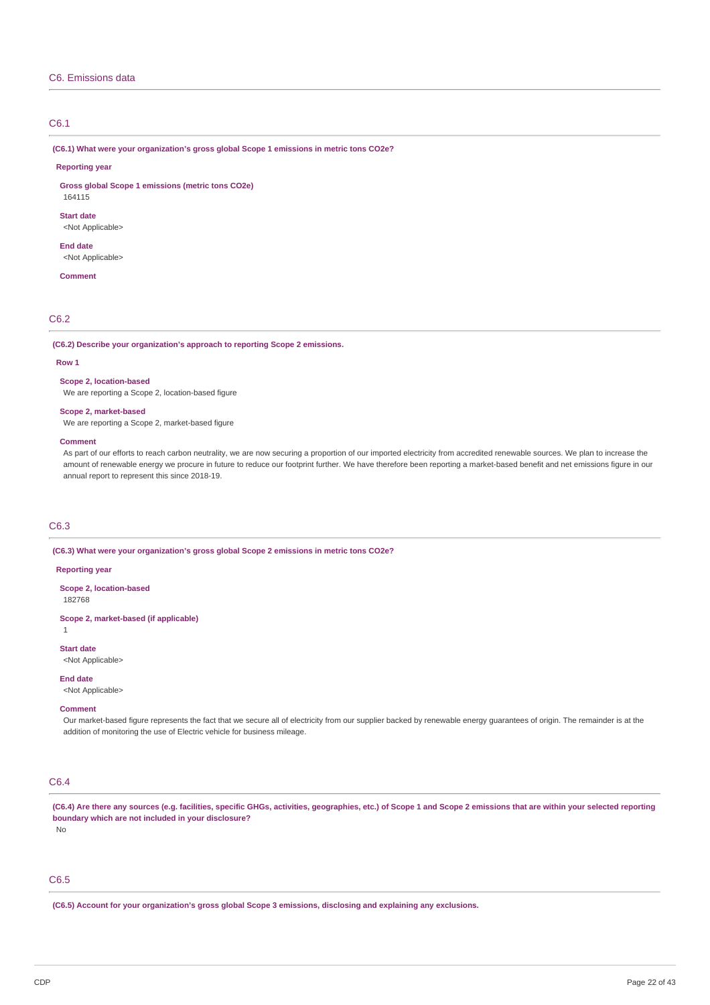### C6. Emissions data

### C6.1

**(C6.1) What were your organization's gross global Scope 1 emissions in metric tons CO2e?**

#### **Reporting year**

**Gross global Scope 1 emissions (metric tons CO2e)** 164115

**Start date** <Not Applicable>

**End date**

<Not Applicable>

**Comment**

## C6.2

**(C6.2) Describe your organization's approach to reporting Scope 2 emissions.**

#### **Row 1**

#### **Scope 2, location-based**

We are reporting a Scope 2, location-based figure

### **Scope 2, market-based**

We are reporting a Scope 2, market-based figure

#### **Comment**

As part of our efforts to reach carbon neutrality, we are now securing a proportion of our imported electricity from accredited renewable sources. We plan to increase the amount of renewable energy we procure in future to reduce our footprint further. We have therefore been reporting a market-based benefit and net emissions figure in our annual report to represent this since 2018-19.

### C6.3

**(C6.3) What were your organization's gross global Scope 2 emissions in metric tons CO2e?**

#### **Reporting year**

**Scope 2, location-based** 182768

**Scope 2, market-based (if applicable)**

1

**Start date**

<Not Applicable>

**End date**

<Not Applicable>

#### **Comment**

Our market-based figure represents the fact that we secure all of electricity from our supplier backed by renewable energy guarantees of origin. The remainder is at the addition of monitoring the use of Electric vehicle for business mileage.

## C6.4

(C6.4) Are there any sources (e.g. facilities, specific GHGs, activities, geographies, etc.) of Scope 1 and Scope 2 emissions that are within your selected reporting **boundary which are not included in your disclosure?**

## No

## C6.5

**(C6.5) Account for your organization's gross global Scope 3 emissions, disclosing and explaining any exclusions.**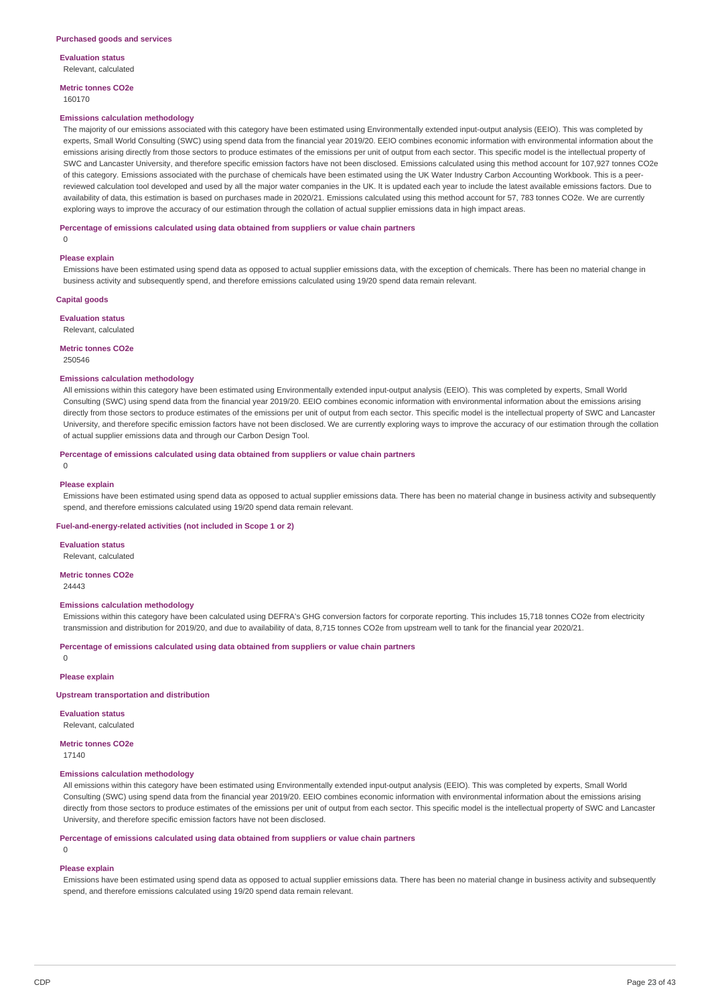**Evaluation status** Relevant, calculated

**Metric tonnes CO2e**

160170

#### **Emissions calculation methodology**

The majority of our emissions associated with this category have been estimated using Environmentally extended input-output analysis (EEIO). This was completed by experts, Small World Consulting (SWC) using spend data from the financial year 2019/20. EEIO combines economic information with environmental information about the emissions arising directly from those sectors to produce estimates of the emissions per unit of output from each sector. This specific model is the intellectual property of SWC and Lancaster University, and therefore specific emission factors have not been disclosed. Emissions calculated using this method account for 107,927 tonnes CO2e of this category. Emissions associated with the purchase of chemicals have been estimated using the UK Water Industry Carbon Accounting Workbook. This is a peerreviewed calculation tool developed and used by all the major water companies in the UK. It is updated each year to include the latest available emissions factors. Due to availability of data, this estimation is based on purchases made in 2020/21. Emissions calculated using this method account for 57, 783 tonnes CO2e. We are currently exploring ways to improve the accuracy of our estimation through the collation of actual supplier emissions data in high impact areas.

#### **Percentage of emissions calculated using data obtained from suppliers or value chain partners**

 $\Omega$ 

#### **Please explain**

Emissions have been estimated using spend data as opposed to actual supplier emissions data, with the exception of chemicals. There has been no material change in business activity and subsequently spend, and therefore emissions calculated using 19/20 spend data remain relevant.

#### **Capital goods**

**Evaluation status**

Relevant, calculated

#### **Metric tonnes CO2e**

250546

#### **Emissions calculation methodology**

All emissions within this category have been estimated using Environmentally extended input-output analysis (EEIO). This was completed by experts, Small World Consulting (SWC) using spend data from the financial year 2019/20. EEIO combines economic information with environmental information about the emissions arising directly from those sectors to produce estimates of the emissions per unit of output from each sector. This specific model is the intellectual property of SWC and Lancaster University, and therefore specific emission factors have not been disclosed. We are currently exploring ways to improve the accuracy of our estimation through the collation of actual supplier emissions data and through our Carbon Design Tool.

#### **Percentage of emissions calculated using data obtained from suppliers or value chain partners**

0

#### **Please explain**

Emissions have been estimated using spend data as opposed to actual supplier emissions data. There has been no material change in business activity and subsequently spend, and therefore emissions calculated using 19/20 spend data remain relevant.

#### **Fuel-and-energy-related activities (not included in Scope 1 or 2)**

**Evaluation status**

Relevant, calculated

**Metric tonnes CO2e** 24443

#### **Emissions calculation methodology**

Emissions within this category have been calculated using DEFRA's GHG conversion factors for corporate reporting. This includes 15,718 tonnes CO2e from electricity transmission and distribution for 2019/20, and due to availability of data, 8,715 tonnes CO2e from upstream well to tank for the financial year 2020/21.

**Percentage of emissions calculated using data obtained from suppliers or value chain partners**

 $\Omega$ 

**Please explain**

### **Upstream transportation and distribution**

**Evaluation status** Relevant, calculated

#### **Metric tonnes CO2e**

17140

#### **Emissions calculation methodology**

All emissions within this category have been estimated using Environmentally extended input-output analysis (EEIO). This was completed by experts, Small World Consulting (SWC) using spend data from the financial year 2019/20. EEIO combines economic information with environmental information about the emissions arising directly from those sectors to produce estimates of the emissions per unit of output from each sector. This specific model is the intellectual property of SWC and Lancaster University, and therefore specific emission factors have not been disclosed.

**Percentage of emissions calculated using data obtained from suppliers or value chain partners**

## $\Omega$

#### **Please explain**

Emissions have been estimated using spend data as opposed to actual supplier emissions data. There has been no material change in business activity and subsequently spend, and therefore emissions calculated using 19/20 spend data remain relevant.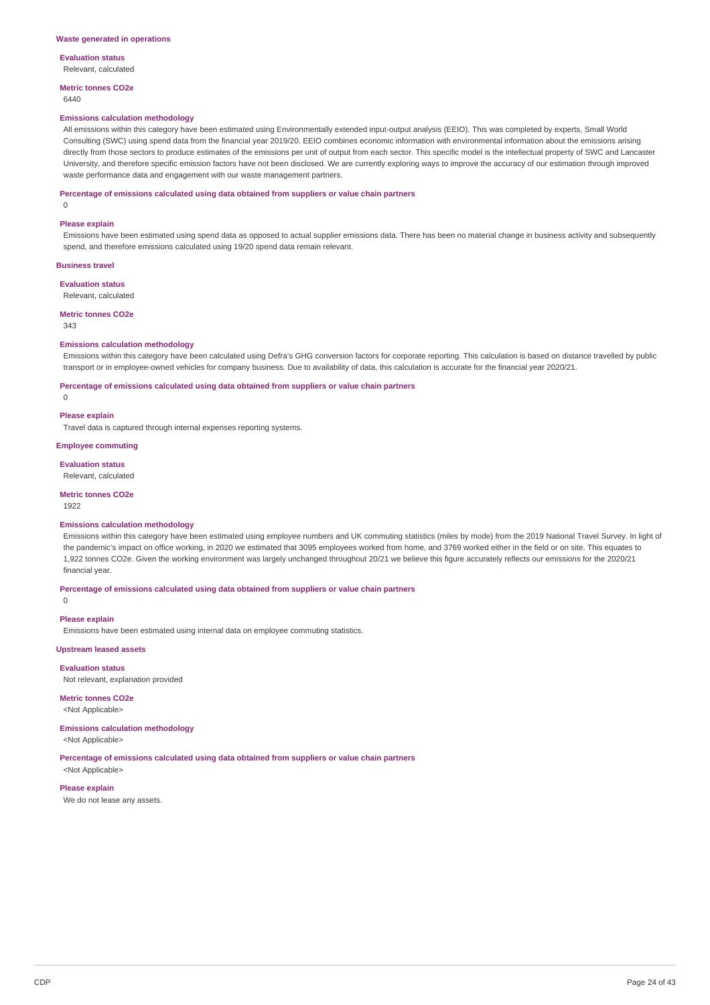**Evaluation status**

Relevant, calculated

**Metric tonnes CO2e** 6440

#### **Emissions calculation methodology**

All emissions within this category have been estimated using Environmentally extended input-output analysis (EEIO). This was completed by experts, Small World Consulting (SWC) using spend data from the financial year 2019/20. EEIO combines economic information with environmental information about the emissions arising directly from those sectors to produce estimates of the emissions per unit of output from each sector. This specific model is the intellectual property of SWC and Lancaster University, and therefore specific emission factors have not been disclosed. We are currently exploring ways to improve the accuracy of our estimation through improved waste performance data and engagement with our waste management partners.

#### **Percentage of emissions calculated using data obtained from suppliers or value chain partners**

0

#### **Please explain**

Emissions have been estimated using spend data as opposed to actual supplier emissions data. There has been no material change in business activity and subsequently spend, and therefore emissions calculated using 19/20 spend data remain relevant.

#### **Business travel**

**Evaluation status** Relevant, calculated

### **Metric tonnes CO2e**

343

### **Emissions calculation methodology**

Emissions within this category have been calculated using Defra's GHG conversion factors for corporate reporting. This calculation is based on distance travelled by public transport or in employee-owned vehicles for company business. Due to availability of data, this calculation is accurate for the financial year 2020/21.

#### **Percentage of emissions calculated using data obtained from suppliers or value chain partners**

 $\Omega$ 

## **Please explain**

Travel data is captured through internal expenses reporting systems.

#### **Employee commuting**

**Evaluation status**

#### Relevant, calculated

**Metric tonnes CO2e**

#### 1922

#### **Emissions calculation methodology**

Emissions within this category have been estimated using employee numbers and UK commuting statistics (miles by mode) from the 2019 National Travel Survey. In light of the pandemic's impact on office working, in 2020 we estimated that 3095 employees worked from home, and 3769 worked either in the field or on site. This equates to 1,922 tonnes CO2e. Given the working environment was largely unchanged throughout 20/21 we believe this figure accurately reflects our emissions for the 2020/21 financial year.

**Percentage of emissions calculated using data obtained from suppliers or value chain partners**

## **Please explain**

 $\Omega$ 

Emissions have been estimated using internal data on employee commuting statistics.

#### **Upstream leased assets**

**Evaluation status** Not relevant, explanation provided

# **Metric tonnes CO2e**

<Not Applicable>

### **Emissions calculation methodology**

<Not Applicable>

### **Percentage of emissions calculated using data obtained from suppliers or value chain partners**

<Not Applicable>

**Please explain** We do not lease any assets.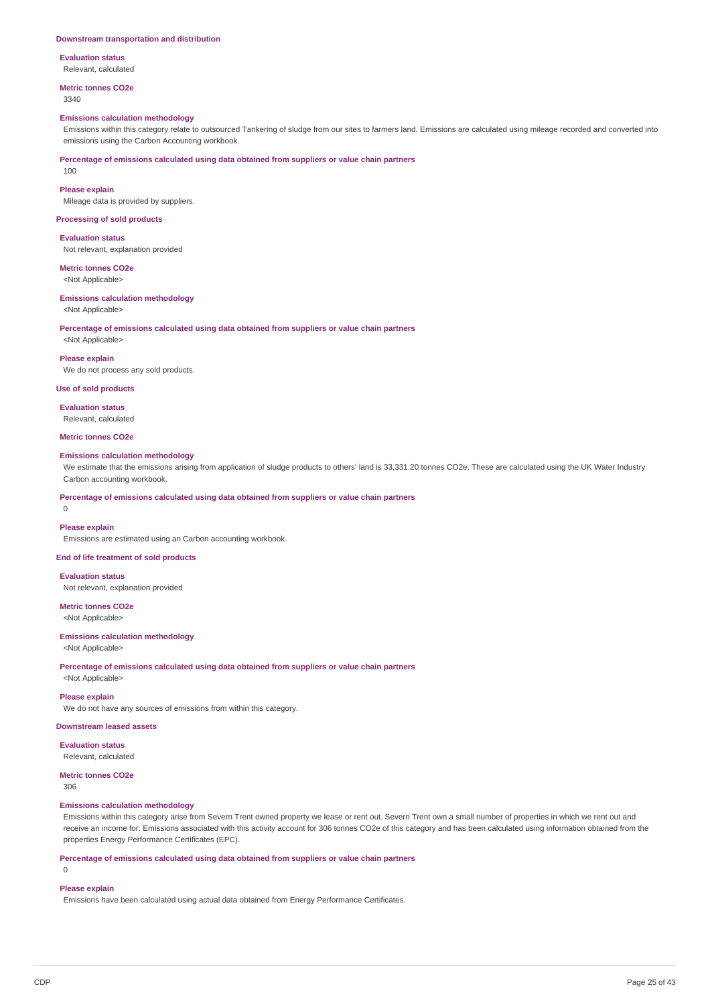#### **Downstream transportation and distribution**

**Evaluation status**

Relevant, calculated

#### **Metric tonnes CO2e** 3340

#### **Emissions calculation methodology**

Emissions within this category relate to outsourced Tankering of sludge from our sites to farmers land. Emissions are calculated using mileage recorded and converted into emissions using the Carbon Accounting workbook.

**Percentage of emissions calculated using data obtained from suppliers or value chain partners**

## **Please explain**

100

Mileage data is provided by suppliers.

#### **Processing of sold products**

**Evaluation status** Not relevant, explanation provided

## **Metric tonnes CO2e**

<Not Applicable>

#### **Emissions calculation methodology** <Not Applicable>

**Percentage of emissions calculated using data obtained from suppliers or value chain partners**

<Not Applicable>

### **Please explain**

We do not process any sold products.

## **Use of sold products**

**Evaluation status** Relevant, calculated

### **Metric tonnes CO2e**

#### **Emissions calculation methodology**

We estimate that the emissions arising from application of sludge products to others' land is 33,331.20 tonnes CO2e. These are calculated using the UK Water Industry Carbon accounting workbook.

#### **Percentage of emissions calculated using data obtained from suppliers or value chain partners**

 $\Omega$ 

#### **Please explain**

Emissions are estimated using an Carbon accounting workbook.

## **End of life treatment of sold products**

**Evaluation status** Not relevant, explanation provided

## **Metric tonnes CO2e**

<Not Applicable>

## **Emissions calculation methodology**

<Not Applicable>

**Percentage of emissions calculated using data obtained from suppliers or value chain partners**

<Not Applicable>

## **Please explain**

We do not have any sources of emissions from within this category.

### **Downstream leased assets**

**Evaluation status**

Relevant, calculated

### **Metric tonnes CO2e**

306

## **Emissions calculation methodology**

Emissions within this category arise from Severn Trent owned property we lease or rent out. Severn Trent own a small number of properties in which we rent out and receive an income for. Emissions associated with this activity account for 306 tonnes CO2e of this category and has been calculated using information obtained from the properties Energy Performance Certificates (EPC).

**Percentage of emissions calculated using data obtained from suppliers or value chain partners**

### $\Omega$

## **Please explain**

Emissions have been calculated using actual data obtained from Energy Performance Certificates.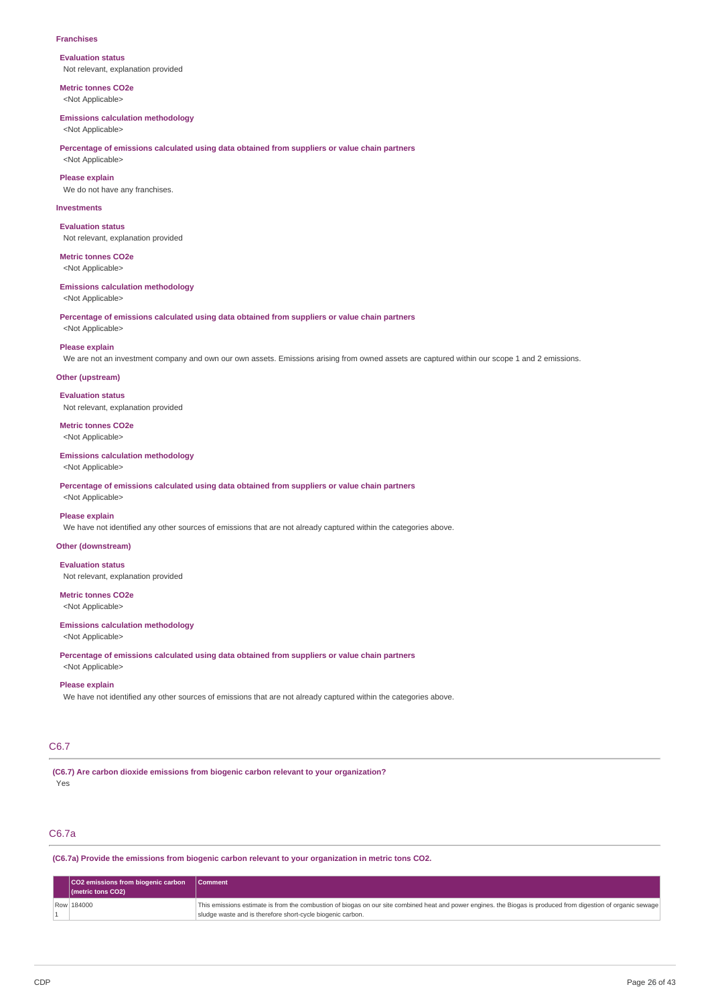#### **Franchises**

**Evaluation status** Not relevant, explanation provided

**Metric tonnes CO2e** <Not Applicable>

### **Emissions calculation methodology**

<Not Applicable>

## **Percentage of emissions calculated using data obtained from suppliers or value chain partners**

<Not Applicable>

**Please explain**

We do not have any franchises.

### **Investments**

**Evaluation status** Not relevant, explanation provided

**Metric tonnes CO2e** <Not Applicable>

#### **Emissions calculation methodology**

<Not Applicable>

**Percentage of emissions calculated using data obtained from suppliers or value chain partners**

## <Not Applicable> **Please explain**

We are not an investment company and own our own assets. Emissions arising from owned assets are captured within our scope 1 and 2 emissions.

#### **Other (upstream)**

**Evaluation status** Not relevant, explanation provided

**Metric tonnes CO2e** <Not Applicable>

#### **Emissions calculation methodology**

<Not Applicable>

**Percentage of emissions calculated using data obtained from suppliers or value chain partners**

## <Not Applicable> **Please explain**

We have not identified any other sources of emissions that are not already captured within the categories above.

### **Other (downstream)**

**Evaluation status**

Not relevant, explanation provided

## **Metric tonnes CO2e**

<Not Applicable>

#### **Emissions calculation methodology**

<Not Applicable>

**Percentage of emissions calculated using data obtained from suppliers or value chain partners**

## <Not Applicable> **Please explain**

We have not identified any other sources of emissions that are not already captured within the categories above.

### C6.7

**(C6.7) Are carbon dioxide emissions from biogenic carbon relevant to your organization?** Yes

## C6.7a

**(C6.7a) Provide the emissions from biogenic carbon relevant to your organization in metric tons CO2.**

| CO2 emissions from biogenic carbon Comment<br>$ $ (metric tons CO2) |                                                                                                                                                                                                                             |
|---------------------------------------------------------------------|-----------------------------------------------------------------------------------------------------------------------------------------------------------------------------------------------------------------------------|
| Row 184000                                                          | This emissions estimate is from the combustion of biogas on our site combined heat and power engines, the Biogas is produced from digestion of organic sewage<br>sludge waste and is therefore short-cycle biogenic carbon. |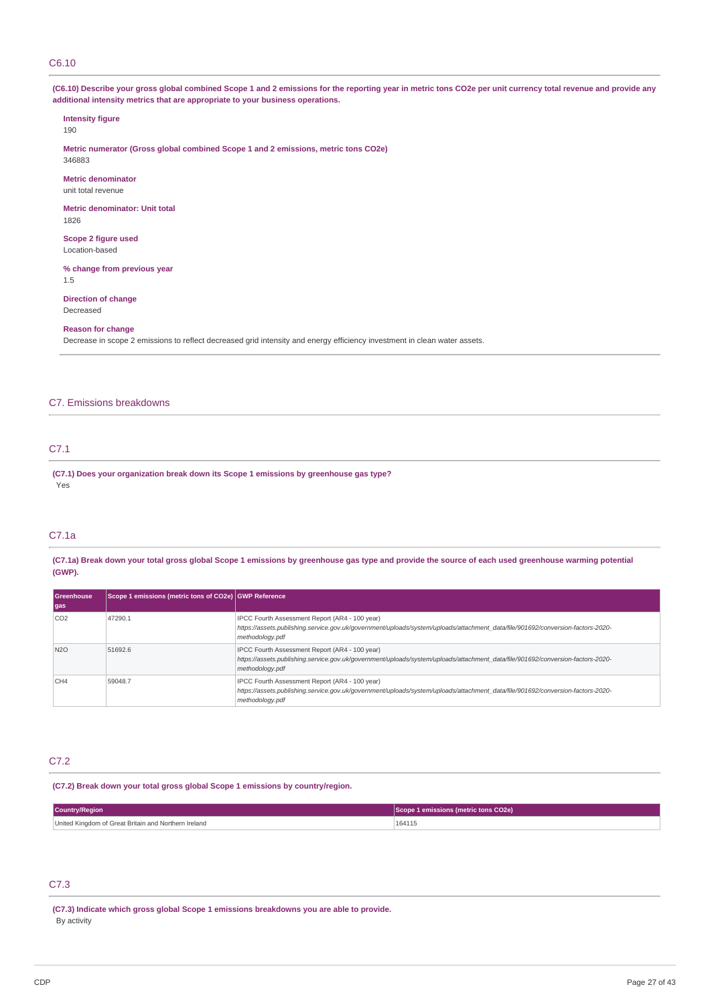### C6.10

## (C6.10) Describe your gross global combined Scope 1 and 2 emissions for the reporting year in metric tons CO2e per unit currency total revenue and provide any **additional intensity metrics that are appropriate to your business operations.**

#### **Intensity figure**

190

**Metric numerator (Gross global combined Scope 1 and 2 emissions, metric tons CO2e)** 346883

#### **Metric denominator**

unit total revenue

**Metric denominator: Unit total** 1826

### **Scope 2 figure used** Location-based

## **% change from previous year**

1.5

### **Direction of change** Decreased

#### **Reason for change**

Decrease in scope 2 emissions to reflect decreased grid intensity and energy efficiency investment in clean water assets.

## C7. Emissions breakdowns

## C7.1

**(C7.1) Does your organization break down its Scope 1 emissions by greenhouse gas type?** Yes

## C7.1a

(C7.1a) Break down your total gross global Scope 1 emissions by greenhouse gas type and provide the source of each used greenhouse warming potential **(GWP).**

| <b>Greenhouse</b> | Scope 1 emissions (metric tons of CO2e) GWP Reference |                                                                                                                                                                                                      |
|-------------------|-------------------------------------------------------|------------------------------------------------------------------------------------------------------------------------------------------------------------------------------------------------------|
| gas               |                                                       |                                                                                                                                                                                                      |
| CO <sub>2</sub>   | 47290.1                                               | IPCC Fourth Assessment Report (AR4 - 100 year)<br>https://assets.publishing.service.gov.uk/government/uploads/system/uploads/attachment_data/file/901692/conversion-factors-2020-<br>methodology.pdf |
| <b>N2O</b>        | 51692.6                                               | IPCC Fourth Assessment Report (AR4 - 100 year)<br>https://assets.publishing.service.gov.uk/government/uploads/system/uploads/attachment_data/file/901692/conversion-factors-2020-<br>methodology.pdf |
| CH <sub>4</sub>   | 59048.7                                               | IPCC Fourth Assessment Report (AR4 - 100 year)<br>https://assets.publishing.service.qov.uk/qovernment/uploads/system/uploads/attachment_data/file/901692/conversion-factors-2020-<br>methodology.pdf |

#### C7.2

#### **(C7.2) Break down your total gross global Scope 1 emissions by country/region.**

| <b>Country/Region</b>                                | Scope 1 emissions (metric tons CO2e) |  |
|------------------------------------------------------|--------------------------------------|--|
| United Kingdom of Great Britain and Northern Ireland | 164115                               |  |

## C7.3

**(C7.3) Indicate which gross global Scope 1 emissions breakdowns you are able to provide.** By activity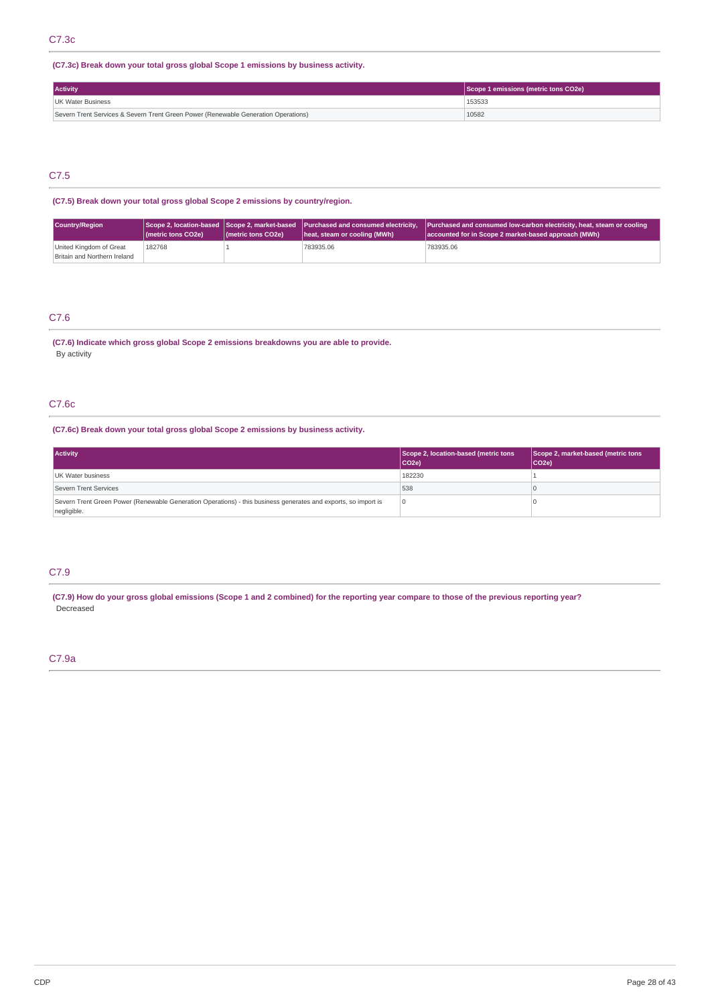**(C7.3c) Break down your total gross global Scope 1 emissions by business activity.**

| <b>Activity</b>                                                                    | Scope 1 emissions (metric tons CO2e) |  |
|------------------------------------------------------------------------------------|--------------------------------------|--|
| UK Water Business                                                                  | 153533                               |  |
| Severn Trent Services & Severn Trent Green Power (Renewable Generation Operations) | 10582                                |  |

## C7.5

**(C7.5) Break down your total gross global Scope 2 emissions by country/region.**

| Country/Region                                          | ( <i>I</i> metric tons CO <sub>2</sub> e) | (metric tons CO2e) | heat, steam or cooling (MWh) | Scope 2, location-based Scope 2, market-based Purchased and consumed electricity, Purchased and consumed low-carbon electricity, heat, steam or cooling<br>accounted for in Scope 2 market-based approach (MWh) |
|---------------------------------------------------------|-------------------------------------------|--------------------|------------------------------|-----------------------------------------------------------------------------------------------------------------------------------------------------------------------------------------------------------------|
| United Kingdom of Great<br>Britain and Northern Ireland | 182768                                    |                    | 783935.06                    | 783935.06                                                                                                                                                                                                       |

## C7.6

**(C7.6) Indicate which gross global Scope 2 emissions breakdowns you are able to provide.** By activity

## C7.6c

**(C7.6c) Break down your total gross global Scope 2 emissions by business activity.**

| <b>Activity</b>                                                                                                               | Scope 2, location-based (metric tons<br>$ CO2e\rangle$ | Scope 2, market-based (metric tons<br>$ CO2e\rangle$ |
|-------------------------------------------------------------------------------------------------------------------------------|--------------------------------------------------------|------------------------------------------------------|
| UK Water business                                                                                                             | 182230                                                 |                                                      |
| Severn Trent Services                                                                                                         | 538                                                    |                                                      |
| Severn Trent Green Power (Renewable Generation Operations) - this business generates and exports, so import is<br>negligible. |                                                        |                                                      |

## C7.9

(C7.9) How do your gross global emissions (Scope 1 and 2 combined) for the reporting year compare to those of the previous reporting year? Decreased

## C7.9a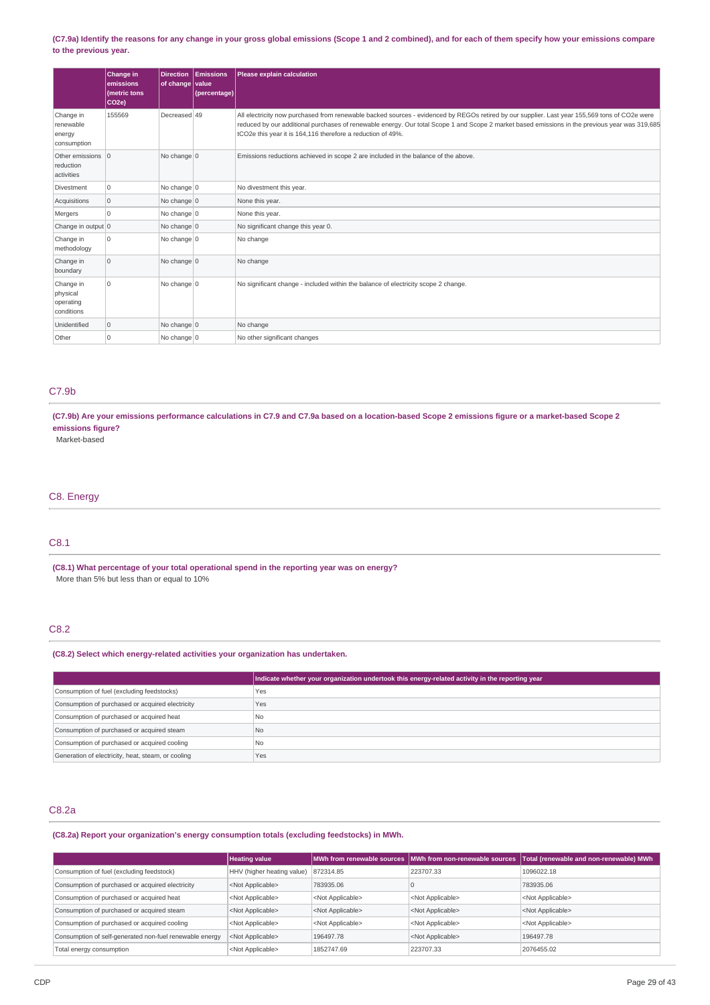### (C7.9a) Identify the reasons for any change in your gross global emissions (Scope 1 and 2 combined), and for each of them specify how your emissions compare **to the previous year.**

|                                                                             | Change in<br>emissions<br>(metric tons<br>CO <sub>2e</sub> | <b>Direction</b><br>of change                                                      | <b>Emissions</b><br>  value <br>(percentage)                                       | Please explain calculation                                                                                                                                                                                                                                                                                                                                     |
|-----------------------------------------------------------------------------|------------------------------------------------------------|------------------------------------------------------------------------------------|------------------------------------------------------------------------------------|----------------------------------------------------------------------------------------------------------------------------------------------------------------------------------------------------------------------------------------------------------------------------------------------------------------------------------------------------------------|
| Change in<br>renewable<br>energy<br>consumption                             | 155569                                                     | Decreased 49                                                                       |                                                                                    | All electricity now purchased from renewable backed sources - evidenced by REGOs retired by our supplier. Last year 155,569 tons of CO2e were<br>reduced by our additional purchases of renewable energy. Our total Scope 1 and Scope 2 market based emissions in the previous year was 319,685<br>tCO2e this year it is 164,116 therefore a reduction of 49%. |
| No change $ 0 $<br>Other emissions 0<br>reduction<br>activities             |                                                            |                                                                                    | Emissions reductions achieved in scope 2 are included in the balance of the above. |                                                                                                                                                                                                                                                                                                                                                                |
| No change 0<br>0<br>No divestment this year.<br>Divestment                  |                                                            |                                                                                    |                                                                                    |                                                                                                                                                                                                                                                                                                                                                                |
| Acquisitions<br>$\overline{0}$<br>No change $ 0 $<br>None this year.        |                                                            |                                                                                    |                                                                                    |                                                                                                                                                                                                                                                                                                                                                                |
| Mergers                                                                     | $\Omega$                                                   | No change $ 0 $                                                                    |                                                                                    | None this year.                                                                                                                                                                                                                                                                                                                                                |
| No significant change this year 0.<br>Change in output 0<br>No change 0     |                                                            |                                                                                    |                                                                                    |                                                                                                                                                                                                                                                                                                                                                                |
| Change in<br>methodology                                                    | $\mathbf 0$<br>No change $ 0 $<br>No change                |                                                                                    |                                                                                    |                                                                                                                                                                                                                                                                                                                                                                |
| $\overline{0}$<br>No change $\vert$ 0<br>Change in<br>No change<br>boundary |                                                            |                                                                                    |                                                                                    |                                                                                                                                                                                                                                                                                                                                                                |
| 0<br>No change $ 0 $<br>Change in<br>physical<br>operating<br>conditions    |                                                            | No significant change - included within the balance of electricity scope 2 change. |                                                                                    |                                                                                                                                                                                                                                                                                                                                                                |
| Unidentified                                                                | $\overline{0}$                                             | No change $ 0 $                                                                    |                                                                                    | No change                                                                                                                                                                                                                                                                                                                                                      |
| Other                                                                       | 0                                                          | No change $ 0 $                                                                    |                                                                                    | No other significant changes                                                                                                                                                                                                                                                                                                                                   |

## C7.9b

(C7.9b) Are your emissions performance calculations in C7.9 and C7.9a based on a location-based Scope 2 emissions figure or a market-based Scope 2 **emissions figure?**

Market-based

## C8. Energy

## C8.1

**(C8.1) What percentage of your total operational spend in the reporting year was on energy?** More than 5% but less than or equal to 10%

## C8.2

**(C8.2) Select which energy-related activities your organization has undertaken.**

|                                                    | Indicate whether your organization undertook this energy-related activity in the reporting year |
|----------------------------------------------------|-------------------------------------------------------------------------------------------------|
| Consumption of fuel (excluding feedstocks)         | Yes                                                                                             |
| Consumption of purchased or acquired electricity   | Yes                                                                                             |
| Consumption of purchased or acquired heat          | N <sub>0</sub>                                                                                  |
| Consumption of purchased or acquired steam         | <b>No</b>                                                                                       |
| Consumption of purchased or acquired cooling       | N <sub>0</sub>                                                                                  |
| Generation of electricity, heat, steam, or cooling | Yes                                                                                             |

## C8.2a

**(C8.2a) Report your organization's energy consumption totals (excluding feedstocks) in MWh.**

|                                                         | <b>Heating value</b>       |                           | MWh from renewable sources MWh from non-renewable sources | Total (renewable and non-renewable) MWh |
|---------------------------------------------------------|----------------------------|---------------------------|-----------------------------------------------------------|-----------------------------------------|
| Consumption of fuel (excluding feedstock)               | HHV (higher heating value) | 872314.85                 | 223707.33                                                 | 1096022.18                              |
| Consumption of purchased or acquired electricity        | <not applicable=""></not>  | 783935.06                 |                                                           | 783935.06                               |
| Consumption of purchased or acquired heat               | <not applicable=""></not>  | <not applicable=""></not> | <not applicable=""></not>                                 | <not applicable=""></not>               |
| Consumption of purchased or acquired steam              | <not applicable=""></not>  | <not applicable=""></not> | <not applicable=""></not>                                 | <not applicable=""></not>               |
| Consumption of purchased or acquired cooling            | <not applicable=""></not>  | <not applicable=""></not> | <not applicable=""></not>                                 | <not applicable=""></not>               |
| Consumption of self-generated non-fuel renewable energy | <not applicable=""></not>  | 196497.78                 | <not applicable=""></not>                                 | 196497.78                               |
| Total energy consumption                                | <not applicable=""></not>  | 1852747.69                | 223707.33                                                 | 2076455.02                              |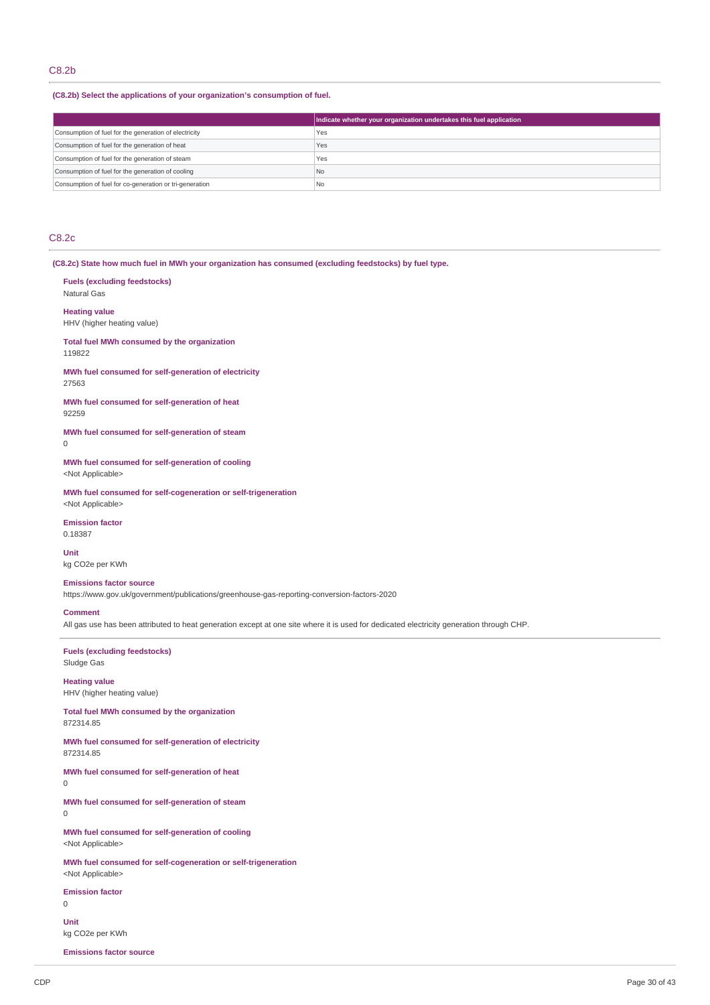## C8.2b

### **(C8.2b) Select the applications of your organization's consumption of fuel.**

|                                                         | Indicate whether your organization undertakes this fuel application |
|---------------------------------------------------------|---------------------------------------------------------------------|
| Consumption of fuel for the generation of electricity   | Yes                                                                 |
| Consumption of fuel for the generation of heat          | Yes                                                                 |
| Consumption of fuel for the generation of steam         | Yes                                                                 |
| Consumption of fuel for the generation of cooling       | No                                                                  |
| Consumption of fuel for co-generation or tri-generation | N <sub>o</sub>                                                      |

## C8.2c

**(C8.2c) State how much fuel in MWh your organization has consumed (excluding feedstocks) by fuel type.**

**Fuels (excluding feedstocks)** Natural Gas **Heating value**

HHV (higher heating value)

**Total fuel MWh consumed by the organization** 119822

**MWh fuel consumed for self-generation of electricity** 27563

**MWh fuel consumed for self-generation of heat** 92259

**MWh fuel consumed for self-generation of steam**  $\Omega$ 

**MWh fuel consumed for self-generation of cooling** <Not Applicable>

**MWh fuel consumed for self-cogeneration or self-trigeneration** <Not Applicable>

**Emission factor** 0.18387

**Unit** kg CO2e per KWh

## **Emissions factor source**

https://www.gov.uk/government/publications/greenhouse-gas-reporting-conversion-factors-2020

### **Comment**

All gas use has been attributed to heat generation except at one site where it is used for dedicated electricity generation through CHP.

**Fuels (excluding feedstocks)** Sludge Gas

**Heating value** HHV (higher heating value)

**Total fuel MWh consumed by the organization** 872314.85

**MWh fuel consumed for self-generation of electricity** 872314.85

**MWh fuel consumed for self-generation of heat**

 $\Omega$ 

**MWh fuel consumed for self-generation of steam**

0

**MWh fuel consumed for self-generation of cooling** <Not Applicable>

**MWh fuel consumed for self-cogeneration or self-trigeneration** <Not Applicable>

**Emission factor**

0

**Unit** kg CO2e per KWh

**Emissions factor source**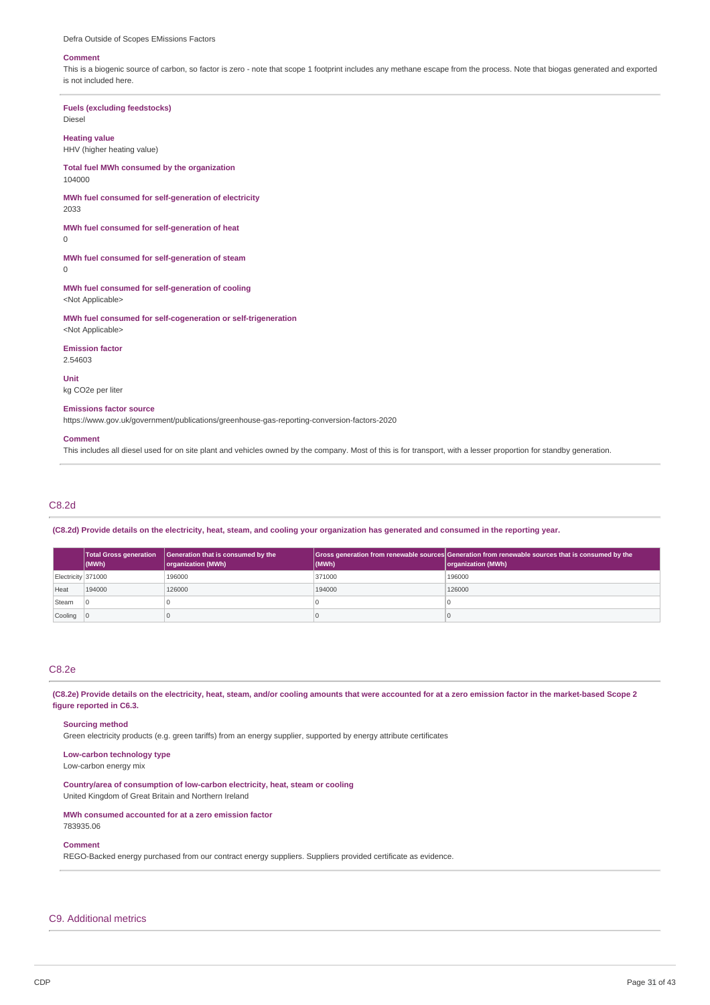Defra Outside of Scopes EMissions Factors

#### **Comment**

This is a biogenic source of carbon, so factor is zero - note that scope 1 footprint includes any methane escape from the process. Note that biogas generated and exported is not included here.

## **Fuels (excluding feedstocks)**

Diesel

## **Heating value**

HHV (higher heating value)

#### **Total fuel MWh consumed by the organization** 104000

**MWh fuel consumed for self-generation of electricity** 2033

**MWh fuel consumed for self-generation of heat**

 $\Omega$ 

**MWh fuel consumed for self-generation of steam** 0

**MWh fuel consumed for self-generation of cooling** <Not Applicable>

**MWh fuel consumed for self-cogeneration or self-trigeneration** <Not Applicable>

**Emission factor**

2.54603

## **Unit**

kg CO2e per liter

### **Emissions factor source**

https://www.gov.uk/government/publications/greenhouse-gas-reporting-conversion-factors-2020

#### **Comment**

This includes all diesel used for on site plant and vehicles owned by the company. Most of this is for transport, with a lesser proportion for standby generation.

### C8.2d

(C8.2d) Provide details on the electricity, heat, steam, and cooling your organization has generated and consumed in the reporting year.

|                    | <b>Total Gross generation</b><br>$ $ (MWh) | Generation that is consumed by the<br>organization (MWh) | (MWh)  | Gross generation from renewable sources Generation from renewable sources that is consumed by the<br>organization (MWh) |
|--------------------|--------------------------------------------|----------------------------------------------------------|--------|-------------------------------------------------------------------------------------------------------------------------|
| Electricity 371000 |                                            | 196000                                                   | 371000 | 196000                                                                                                                  |
| Heat               | 194000                                     | 126000                                                   | 194000 | 126000                                                                                                                  |
| Steam              |                                            |                                                          |        |                                                                                                                         |
| Cooling 0          |                                            |                                                          |        |                                                                                                                         |

#### C8.2e

(C8.2e) Provide details on the electricity, heat, steam, and/or cooling amounts that were accounted for at a zero emission factor in the market-based Scope 2 **figure reported in C6.3.**

#### **Sourcing method**

Green electricity products (e.g. green tariffs) from an energy supplier, supported by energy attribute certificates

## **Low-carbon technology type**

Low-carbon energy mix

**Country/area of consumption of low-carbon electricity, heat, steam or cooling** United Kingdom of Great Britain and Northern Ireland

## **MWh consumed accounted for at a zero emission factor**

783935.06

### **Comment**

REGO-Backed energy purchased from our contract energy suppliers. Suppliers provided certificate as evidence.

## C9. Additional metrics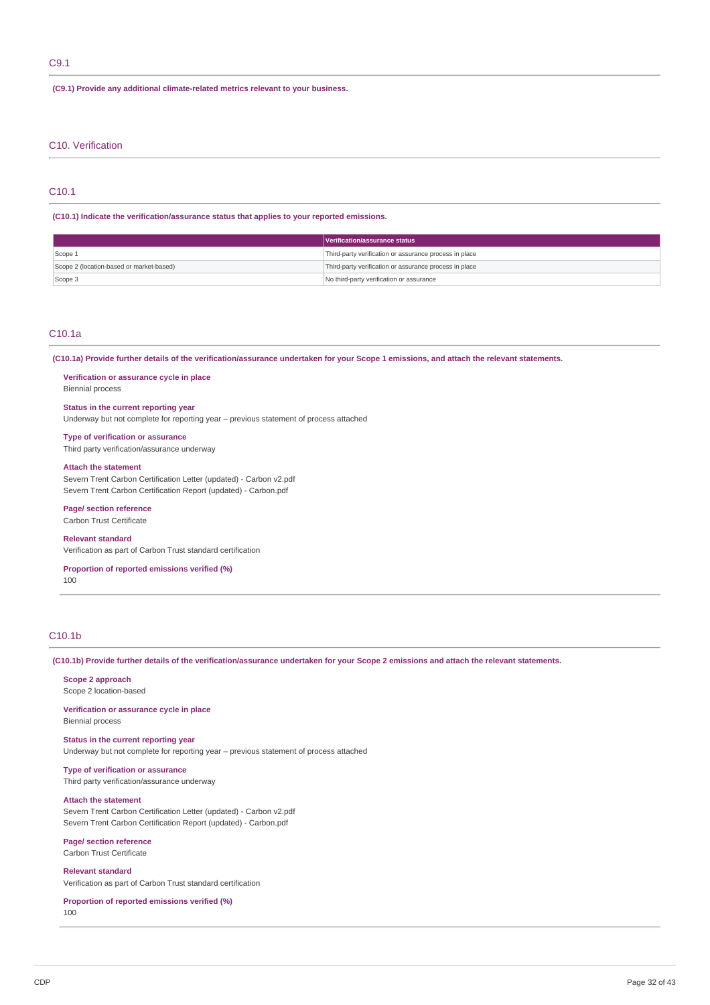## C9.1

**(C9.1) Provide any additional climate-related metrics relevant to your business.**

### C10. Verification

## C10.1

#### **(C10.1) Indicate the verification/assurance status that applies to your reported emissions.**

|                                          | Verification/assurance status                          |  |
|------------------------------------------|--------------------------------------------------------|--|
| Scope 1                                  | Third-party verification or assurance process in place |  |
| Scope 2 (location-based or market-based) | Third-party verification or assurance process in place |  |
| Scope 3                                  | No third-party verification or assurance               |  |

### C10.1a

(C10.1a) Provide further details of the verification/assurance undertaken for your Scope 1 emissions, and attach the relevant statements.

#### **Verification or assurance cycle in place** Biennial process

## **Status in the current reporting year**

Underway but not complete for reporting year – previous statement of process attached

#### **Type of verification or assurance**

Third party verification/assurance underway

#### **Attach the statement**

Severn Trent Carbon Certification Letter (updated) - Carbon v2.pdf Severn Trent Carbon Certification Report (updated) - Carbon.pdf

## **Page/ section reference**

Carbon Trust Certificate

## **Relevant standard**

Verification as part of Carbon Trust standard certification

## **Proportion of reported emissions verified (%)**

100

## C10.1b

(C10.1b) Provide further details of the verification/assurance undertaken for your Scope 2 emissions and attach the relevant statements.

## **Scope 2 approach**

Scope 2 location-based

#### **Verification or assurance cycle in place** Biennial process

**Status in the current reporting year** Underway but not complete for reporting year – previous statement of process attached

**Type of verification or assurance** Third party verification/assurance underway

## **Attach the statement**

Severn Trent Carbon Certification Letter (updated) - Carbon v2.pdf Severn Trent Carbon Certification Report (updated) - Carbon.pdf

#### **Page/ section reference** Carbon Trust Certificate

## **Relevant standard**

Verification as part of Carbon Trust standard certification

#### **Proportion of reported emissions verified (%)** 100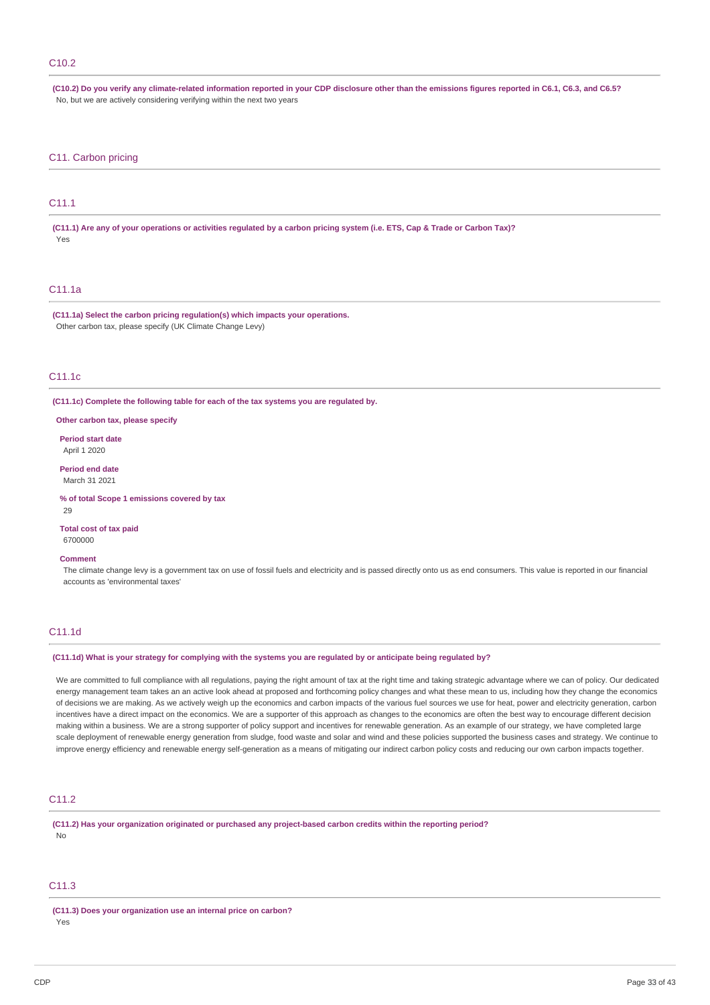### C10.2

(C10.2) Do you verify any climate-related information reported in your CDP disclosure other than the emissions figures reported in C6.1, C6.3, and C6.5? No, but we are actively considering verifying within the next two years

### C11. Carbon pricing

## C11.1

(C11.1) Are any of your operations or activities regulated by a carbon pricing system (i.e. ETS, Cap & Trade or Carbon Tax)? Yes

### C11.1a

**(C11.1a) Select the carbon pricing regulation(s) which impacts your operations.** Other carbon tax, please specify (UK Climate Change Levy)

## C11.1c

**(C11.1c) Complete the following table for each of the tax systems you are regulated by.**

**Other carbon tax, please specify**

**Period start date** April 1 2020

**Period end date** March 31 2021

**% of total Scope 1 emissions covered by tax**

29

**Total cost of tax paid** 6700000

#### **Comment**

The climate change levy is a government tax on use of fossil fuels and electricity and is passed directly onto us as end consumers. This value is reported in our financial accounts as 'environmental taxes'

## C11.1d

#### (C11.1d) What is your strategy for complying with the systems you are regulated by or anticipate being regulated by?

We are committed to full compliance with all regulations, paying the right amount of tax at the right time and taking strategic advantage where we can of policy. Our dedicated energy management team takes an an active look ahead at proposed and forthcoming policy changes and what these mean to us, including how they change the economics of decisions we are making. As we actively weigh up the economics and carbon impacts of the various fuel sources we use for heat, power and electricity generation, carbon incentives have a direct impact on the economics. We are a supporter of this approach as changes to the economics are often the best way to encourage different decision making within a business. We are a strong supporter of policy support and incentives for renewable generation. As an example of our strategy, we have completed large scale deployment of renewable energy generation from sludge, food waste and solar and wind and these policies supported the business cases and strategy. We continue to improve energy efficiency and renewable energy self-generation as a means of mitigating our indirect carbon policy costs and reducing our own carbon impacts together.

### C<sub>11.2</sub>

**(C11.2) Has your organization originated or purchased any project-based carbon credits within the reporting period?** No

## $C11.3$

**(C11.3) Does your organization use an internal price on carbon?** Yes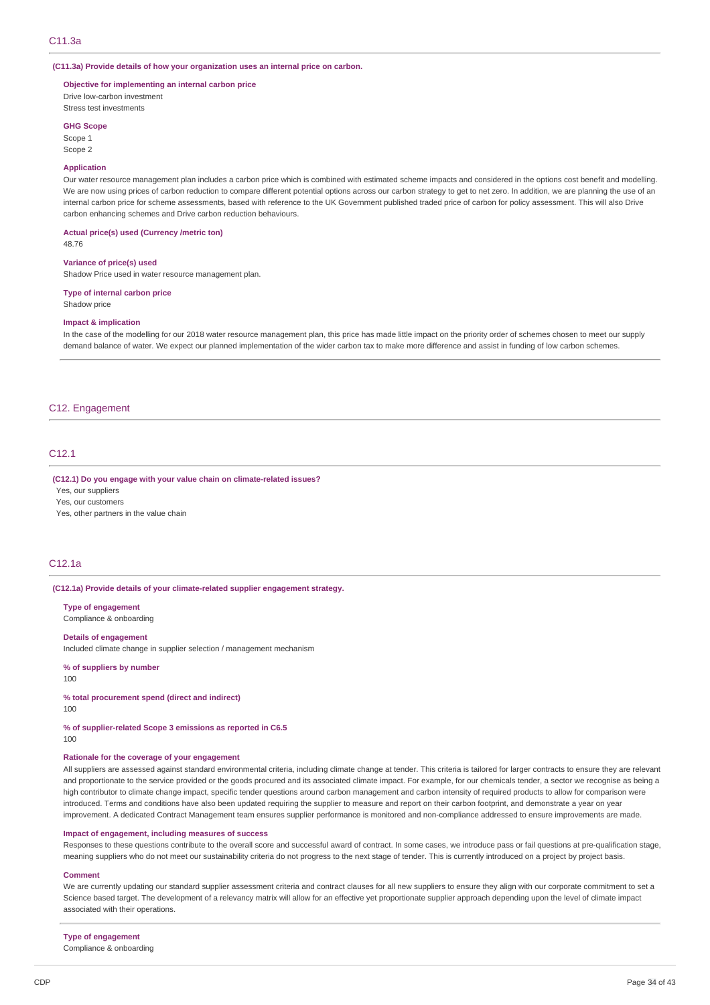#### **(C11.3a) Provide details of how your organization uses an internal price on carbon.**

#### **Objective for implementing an internal carbon price**

Drive low-carbon investment Stress test investments

#### **GHG Scope**

Scope 1

Scope 2

#### **Application**

Our water resource management plan includes a carbon price which is combined with estimated scheme impacts and considered in the options cost benefit and modelling. We are now using prices of carbon reduction to compare different potential options across our carbon strategy to get to net zero. In addition, we are planning the use of an internal carbon price for scheme assessments, based with reference to the UK Government published traded price of carbon for policy assessment. This will also Drive carbon enhancing schemes and Drive carbon reduction behaviours.

## **Actual price(s) used (Currency /metric ton)**

48.76

#### **Variance of price(s) used**

Shadow Price used in water resource management plan.

### **Type of internal carbon price**

Shadow price

#### **Impact & implication**

In the case of the modelling for our 2018 water resource management plan, this price has made little impact on the priority order of schemes chosen to meet our supply demand balance of water. We expect our planned implementation of the wider carbon tax to make more difference and assist in funding of low carbon schemes.

### C12. Engagement

## C<sub>12</sub>.1

#### **(C12.1) Do you engage with your value chain on climate-related issues?**

Yes, our suppliers

Yes, our customers

Yes, other partners in the value chain

### C12.1a

#### **(C12.1a) Provide details of your climate-related supplier engagement strategy.**

**Type of engagement** Compliance & onboarding

#### **Details of engagement**

Included climate change in supplier selection / management mechanism

**% of suppliers by number**

100

## **% total procurement spend (direct and indirect)**

100

**% of supplier-related Scope 3 emissions as reported in C6.5** 100

#### **Rationale for the coverage of your engagement**

All suppliers are assessed against standard environmental criteria, including climate change at tender. This criteria is tailored for larger contracts to ensure they are relevant and proportionate to the service provided or the goods procured and its associated climate impact. For example, for our chemicals tender, a sector we recognise as being a high contributor to climate change impact, specific tender questions around carbon management and carbon intensity of required products to allow for comparison were introduced. Terms and conditions have also been updated requiring the supplier to measure and report on their carbon footprint, and demonstrate a year on year improvement. A dedicated Contract Management team ensures supplier performance is monitored and non-compliance addressed to ensure improvements are made.

#### **Impact of engagement, including measures of success**

Responses to these questions contribute to the overall score and successful award of contract. In some cases, we introduce pass or fail questions at pre-qualification stage, meaning suppliers who do not meet our sustainability criteria do not progress to the next stage of tender. This is currently introduced on a project by project basis.

#### **Comment**

We are currently updating our standard supplier assessment criteria and contract clauses for all new suppliers to ensure they align with our corporate commitment to set a Science based target. The development of a relevancy matrix will allow for an effective yet proportionate supplier approach depending upon the level of climate impact associated with their operations.

#### **Type of engagement**

Compliance & onboarding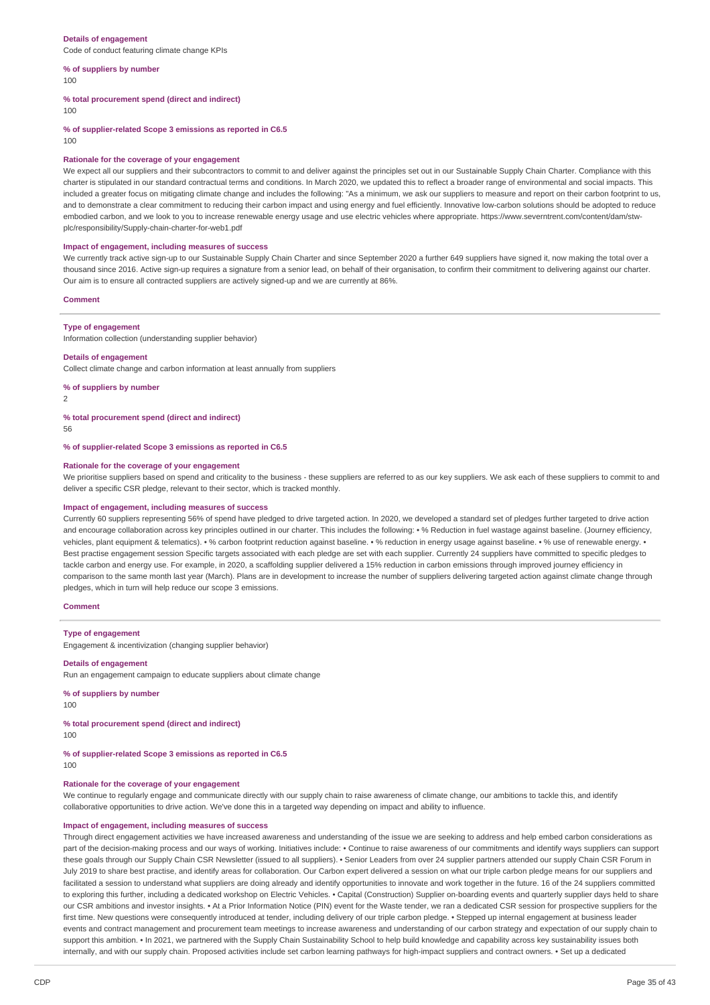#### **Details of engagement**

Code of conduct featuring climate change KPIs

#### **% of suppliers by number** 100

#### **% total procurement spend (direct and indirect)**

100

**% of supplier-related Scope 3 emissions as reported in C6.5**

100

#### **Rationale for the coverage of your engagement**

We expect all our suppliers and their subcontractors to commit to and deliver against the principles set out in our Sustainable Supply Chain Charter. Compliance with this charter is stipulated in our standard contractual terms and conditions. In March 2020, we updated this to reflect a broader range of environmental and social impacts. This included a greater focus on mitigating climate change and includes the following: "As a minimum, we ask our suppliers to measure and report on their carbon footprint to us, and to demonstrate a clear commitment to reducing their carbon impact and using energy and fuel efficiently. Innovative low-carbon solutions should be adopted to reduce embodied carbon, and we look to you to increase renewable energy usage and use electric vehicles where appropriate. https://www.severntrent.com/content/dam/stwplc/responsibility/Supply-chain-charter-for-web1.pdf

#### **Impact of engagement, including measures of success**

We currently track active sign-up to our Sustainable Supply Chain Charter and since September 2020 a further 649 suppliers have signed it, now making the total over a thousand since 2016. Active sign-up requires a signature from a senior lead, on behalf of their organisation, to confirm their commitment to delivering against our charter. Our aim is to ensure all contracted suppliers are actively signed-up and we are currently at 86%.

#### **Comment**

#### **Type of engagement**

Information collection (understanding supplier behavior)

#### **Details of engagement**

Collect climate change and carbon information at least annually from suppliers

#### **% of suppliers by number**

2

#### **% total procurement spend (direct and indirect)**

56

### **% of supplier-related Scope 3 emissions as reported in C6.5**

#### **Rationale for the coverage of your engagement**

We prioritise suppliers based on spend and criticality to the business - these suppliers are referred to as our key suppliers. We ask each of these suppliers to commit to and deliver a specific CSR pledge, relevant to their sector, which is tracked monthly.

### **Impact of engagement, including measures of success**

Currently 60 suppliers representing 56% of spend have pledged to drive targeted action. In 2020, we developed a standard set of pledges further targeted to drive action and encourage collaboration across key principles outlined in our charter. This includes the following: • % Reduction in fuel wastage against baseline. (Journey efficiency, vehicles, plant equipment & telematics). • % carbon footprint reduction against baseline. • % reduction in energy usage against baseline. • % use of renewable energy. • Best practise engagement session Specific targets associated with each pledge are set with each supplier. Currently 24 suppliers have committed to specific pledges to tackle carbon and energy use. For example, in 2020, a scaffolding supplier delivered a 15% reduction in carbon emissions through improved journey efficiency in comparison to the same month last year (March). Plans are in development to increase the number of suppliers delivering targeted action against climate change through pledges, which in turn will help reduce our scope 3 emissions.

### **Comment**

#### **Type of engagement**

Engagement & incentivization (changing supplier behavior)

#### **Details of engagement**

Run an engagement campaign to educate suppliers about climate change

**% of suppliers by number**

100

## **% total procurement spend (direct and indirect)**

100

## **% of supplier-related Scope 3 emissions as reported in C6.5**

100

#### **Rationale for the coverage of your engagement**

We continue to regularly engage and communicate directly with our supply chain to raise awareness of climate change, our ambitions to tackle this, and identify collaborative opportunities to drive action. We've done this in a targeted way depending on impact and ability to influence.

#### **Impact of engagement, including measures of success**

Through direct engagement activities we have increased awareness and understanding of the issue we are seeking to address and help embed carbon considerations as part of the decision-making process and our ways of working. Initiatives include: • Continue to raise awareness of our commitments and identify ways suppliers can support these goals through our Supply Chain CSR Newsletter (issued to all suppliers). • Senior Leaders from over 24 supplier partners attended our supply Chain CSR Forum in July 2019 to share best practise, and identify areas for collaboration. Our Carbon expert delivered a session on what our triple carbon pledge means for our suppliers and facilitated a session to understand what suppliers are doing already and identify opportunities to innovate and work together in the future. 16 of the 24 suppliers committed to exploring this further, including a dedicated workshop on Electric Vehicles. • Capital (Construction) Supplier on-boarding events and quarterly supplier days held to share our CSR ambitions and investor insights. • At a Prior Information Notice (PIN) event for the Waste tender, we ran a dedicated CSR session for prospective suppliers for the first time. New questions were consequently introduced at tender, including delivery of our triple carbon pledge. • Stepped up internal engagement at business leader events and contract management and procurement team meetings to increase awareness and understanding of our carbon strategy and expectation of our supply chain to support this ambition. • In 2021, we partnered with the Supply Chain Sustainability School to help build knowledge and capability across key sustainability issues both internally, and with our supply chain. Proposed activities include set carbon learning pathways for high-impact suppliers and contract owners. • Set up a dedicated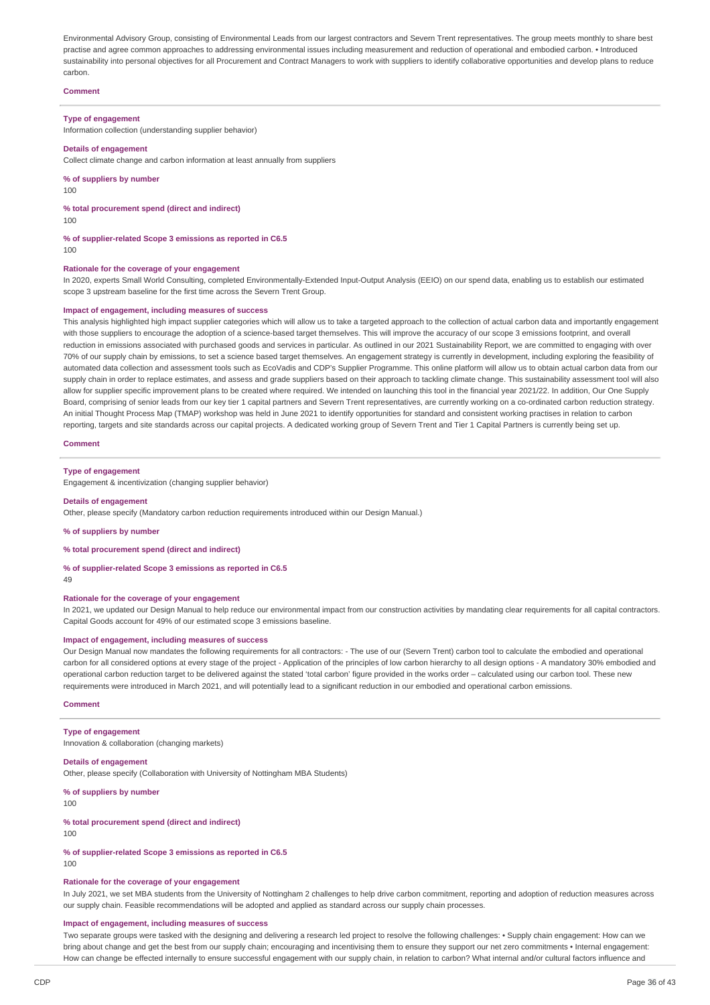Environmental Advisory Group, consisting of Environmental Leads from our largest contractors and Severn Trent representatives. The group meets monthly to share best practise and agree common approaches to addressing environmental issues including measurement and reduction of operational and embodied carbon. • Introduced sustainability into personal objectives for all Procurement and Contract Managers to work with suppliers to identify collaborative opportunities and develop plans to reduce carbon.

### **Comment**

#### **Type of engagement**

Information collection (understanding supplier behavior)

#### **Details of engagement**

Collect climate change and carbon information at least annually from suppliers

**% of suppliers by number**

100

**% total procurement spend (direct and indirect)**

 $100$ 

**% of supplier-related Scope 3 emissions as reported in C6.5** 100

#### **Rationale for the coverage of your engagement**

In 2020, experts Small World Consulting, completed Environmentally-Extended Input-Output Analysis (EEIO) on our spend data, enabling us to establish our estimated scope 3 upstream baseline for the first time across the Severn Trent Group.

#### **Impact of engagement, including measures of success**

This analysis highlighted high impact supplier categories which will allow us to take a targeted approach to the collection of actual carbon data and importantly engagement with those suppliers to encourage the adoption of a science-based target themselves. This will improve the accuracy of our scope 3 emissions footprint, and overall reduction in emissions associated with purchased goods and services in particular. As outlined in our 2021 Sustainability Report, we are committed to engaging with over 70% of our supply chain by emissions, to set a science based target themselves. An engagement strategy is currently in development, including exploring the feasibility of automated data collection and assessment tools such as EcoVadis and CDP's Supplier Programme. This online platform will allow us to obtain actual carbon data from our supply chain in order to replace estimates, and assess and grade suppliers based on their approach to tackling climate change. This sustainability assessment tool will also allow for supplier specific improvement plans to be created where required. We intended on launching this tool in the financial year 2021/22. In addition, Our One Supply Board, comprising of senior leads from our key tier 1 capital partners and Severn Trent representatives, are currently working on a co-ordinated carbon reduction strategy. An initial Thought Process Map (TMAP) workshop was held in June 2021 to identify opportunities for standard and consistent working practises in relation to carbon reporting, targets and site standards across our capital projects. A dedicated working group of Severn Trent and Tier 1 Capital Partners is currently being set up.

#### **Comment**

#### **Type of engagement**

Engagement & incentivization (changing supplier behavior)

#### **Details of engagement**

Other, please specify (Mandatory carbon reduction requirements introduced within our Design Manual.)

**% of suppliers by number**

#### **% total procurement spend (direct and indirect)**

#### **% of supplier-related Scope 3 emissions as reported in C6.5**

49

### **Rationale for the coverage of your engagement**

In 2021, we updated our Design Manual to help reduce our environmental impact from our construction activities by mandating clear requirements for all capital contractors. Capital Goods account for 49% of our estimated scope 3 emissions baseline.

#### **Impact of engagement, including measures of success**

Our Design Manual now mandates the following requirements for all contractors: - The use of our (Severn Trent) carbon tool to calculate the embodied and operational carbon for all considered options at every stage of the project - Application of the principles of low carbon hierarchy to all design options - A mandatory 30% embodied and operational carbon reduction target to be delivered against the stated 'total carbon' figure provided in the works order – calculated using our carbon tool. These new requirements were introduced in March 2021, and will potentially lead to a significant reduction in our embodied and operational carbon emissions.

### **Comment**

#### **Type of engagement**

Innovation & collaboration (changing markets)

## **Details of engagement**

Other, please specify (Collaboration with University of Nottingham MBA Students)

#### **% of suppliers by number**

100

### **% total procurement spend (direct and indirect)**

100

#### **% of supplier-related Scope 3 emissions as reported in C6.5** 100

## **Rationale for the coverage of your engagement**

In July 2021, we set MBA students from the University of Nottingham 2 challenges to help drive carbon commitment, reporting and adoption of reduction measures across our supply chain. Feasible recommendations will be adopted and applied as standard across our supply chain processes.

### **Impact of engagement, including measures of success**

Two separate groups were tasked with the designing and delivering a research led project to resolve the following challenges: • Supply chain engagement: How can we bring about change and get the best from our supply chain; encouraging and incentivising them to ensure they support our net zero commitments • Internal engagement: How can change be effected internally to ensure successful engagement with our supply chain, in relation to carbon? What internal and/or cultural factors influence and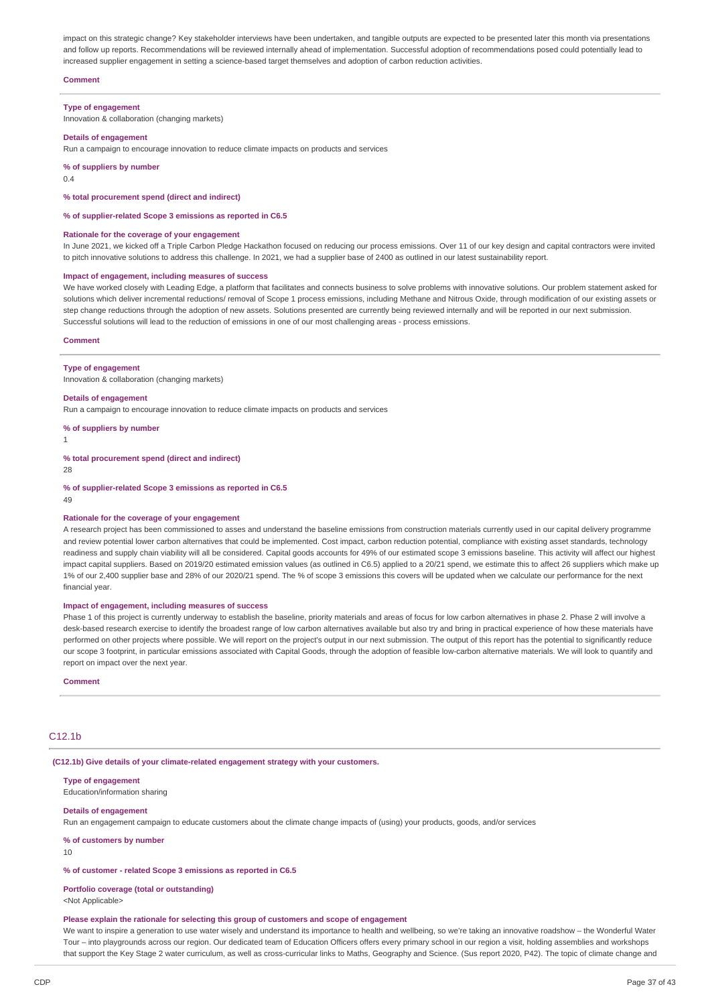impact on this strategic change? Key stakeholder interviews have been undertaken, and tangible outputs are expected to be presented later this month via presentations and follow up reports. Recommendations will be reviewed internally ahead of implementation. Successful adoption of recommendations posed could potentially lead to increased supplier engagement in setting a science-based target themselves and adoption of carbon reduction activities.

### **Comment**

#### **Type of engagement**

Innovation & collaboration (changing markets)

### **Details of engagement**

Run a campaign to encourage innovation to reduce climate impacts on products and services

#### **% of suppliers by number**

0.4

### **% total procurement spend (direct and indirect)**

#### **% of supplier-related Scope 3 emissions as reported in C6.5**

#### **Rationale for the coverage of your engagement**

In June 2021, we kicked off a Triple Carbon Pledge Hackathon focused on reducing our process emissions. Over 11 of our key design and capital contractors were invited to pitch innovative solutions to address this challenge. In 2021, we had a supplier base of 2400 as outlined in our latest sustainability report.

#### **Impact of engagement, including measures of success**

We have worked closely with Leading Edge, a platform that facilitates and connects business to solve problems with innovative solutions. Our problem statement asked for solutions which deliver incremental reductions/ removal of Scope 1 process emissions, including Methane and Nitrous Oxide, through modification of our existing assets or step change reductions through the adoption of new assets. Solutions presented are currently being reviewed internally and will be reported in our next submission. Successful solutions will lead to the reduction of emissions in one of our most challenging areas - process emissions.

#### **Comment**

#### **Type of engagement**

Innovation & collaboration (changing markets)

#### **Details of engagement**

Run a campaign to encourage innovation to reduce climate impacts on products and services

**% of suppliers by number**

#### 1

**% total procurement spend (direct and indirect)**

28

**% of supplier-related Scope 3 emissions as reported in C6.5**

#### 49

#### **Rationale for the coverage of your engagement**

A research project has been commissioned to asses and understand the baseline emissions from construction materials currently used in our capital delivery programme and review potential lower carbon alternatives that could be implemented. Cost impact, carbon reduction potential, compliance with existing asset standards, technology readiness and supply chain viability will all be considered. Capital goods accounts for 49% of our estimated scope 3 emissions baseline. This activity will affect our highest impact capital suppliers. Based on 2019/20 estimated emission values (as outlined in C6.5) applied to a 20/21 spend, we estimate this to affect 26 suppliers which make up 1% of our 2,400 supplier base and 28% of our 2020/21 spend. The % of scope 3 emissions this covers will be updated when we calculate our performance for the next financial year.

#### **Impact of engagement, including measures of success**

Phase 1 of this project is currently underway to establish the baseline, priority materials and areas of focus for low carbon alternatives in phase 2. Phase 2 will involve a desk-based research exercise to identify the broadest range of low carbon alternatives available but also try and bring in practical experience of how these materials have performed on other projects where possible. We will report on the project's output in our next submission. The output of this report has the potential to significantly reduce our scope 3 footprint, in particular emissions associated with Capital Goods, through the adoption of feasible low-carbon alternative materials. We will look to quantify and report on impact over the next year.

#### **Comment**

## C12.1b

**(C12.1b) Give details of your climate-related engagement strategy with your customers.**

## **Type of engagement**

Education/information sharing

### **Details of engagement**

Run an engagement campaign to educate customers about the climate change impacts of (using) your products, goods, and/or services

**% of customers by number**

10

### **% of customer - related Scope 3 emissions as reported in C6.5**

### **Portfolio coverage (total or outstanding)**

<Not Applicable>

#### **Please explain the rationale for selecting this group of customers and scope of engagement**

We want to inspire a generation to use water wisely and understand its importance to health and wellbeing, so we're taking an innovative roadshow – the Wonderful Water Tour – into playgrounds across our region. Our dedicated team of Education Officers offers every primary school in our region a visit, holding assemblies and workshops that support the Key Stage 2 water curriculum, as well as cross-curricular links to Maths, Geography and Science. (Sus report 2020, P42). The topic of climate change and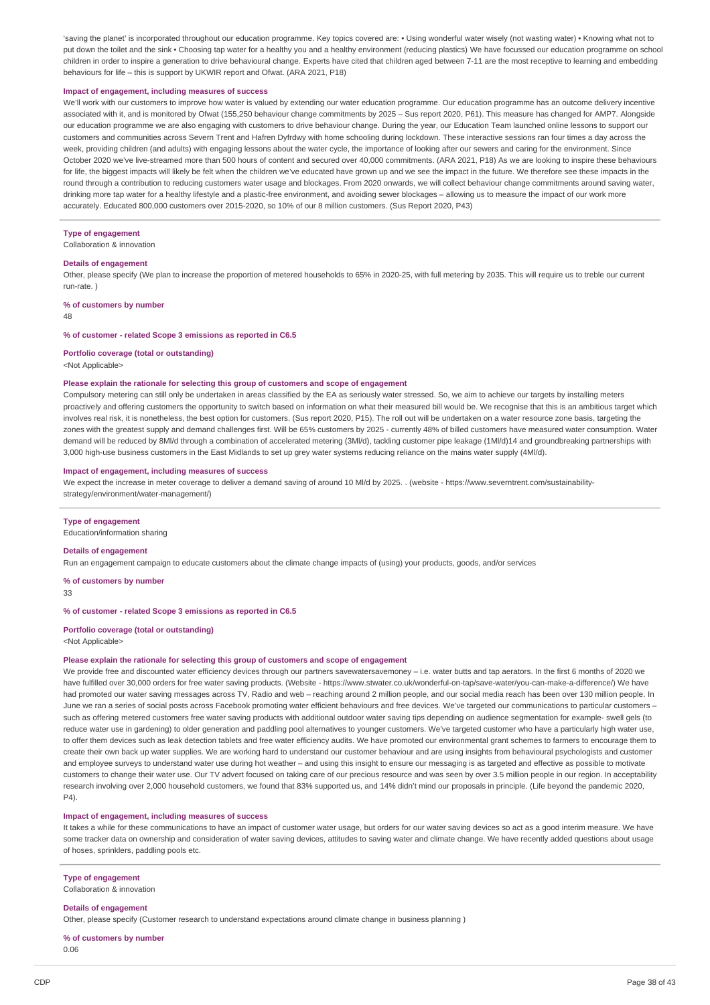'saving the planet' is incorporated throughout our education programme. Key topics covered are: • Using wonderful water wisely (not wasting water) • Knowing what not to put down the toilet and the sink • Choosing tap water for a healthy you and a healthy environment (reducing plastics) We have focussed our education programme on school children in order to inspire a generation to drive behavioural change. Experts have cited that children aged between 7-11 are the most receptive to learning and embedding behaviours for life – this is support by UKWIR report and Ofwat. (ARA 2021, P18)

#### **Impact of engagement, including measures of success**

We'll work with our customers to improve how water is valued by extending our water education programme. Our education programme has an outcome delivery incentive associated with it, and is monitored by Ofwat (155,250 behaviour change commitments by 2025 – Sus report 2020, P61). This measure has changed for AMP7. Alongside our education programme we are also engaging with customers to drive behaviour change. During the year, our Education Team launched online lessons to support our customers and communities across Severn Trent and Hafren Dyfrdwy with home schooling during lockdown. These interactive sessions ran four times a day across the week, providing children (and adults) with engaging lessons about the water cycle, the importance of looking after our sewers and caring for the environment. Since October 2020 we've live-streamed more than 500 hours of content and secured over 40,000 commitments. (ARA 2021, P18) As we are looking to inspire these behaviours for life, the biggest impacts will likely be felt when the children we've educated have grown up and we see the impact in the future. We therefore see these impacts in the round through a contribution to reducing customers water usage and blockages. From 2020 onwards, we will collect behaviour change commitments around saving water, drinking more tap water for a healthy lifestyle and a plastic-free environment, and avoiding sewer blockages – allowing us to measure the impact of our work more accurately. Educated 800,000 customers over 2015-2020, so 10% of our 8 million customers. (Sus Report 2020, P43)

#### **Type of engagement**

Collaboration & innovation

#### **Details of engagement**

Other, please specify (We plan to increase the proportion of metered households to 65% in 2020-25, with full metering by 2035. This will require us to treble our current run-rate. )

#### **% of customers by number**

48

### **% of customer - related Scope 3 emissions as reported in C6.5**

**Portfolio coverage (total or outstanding)** <Not Applicable>

#### **Please explain the rationale for selecting this group of customers and scope of engagement**

Compulsory metering can still only be undertaken in areas classified by the EA as seriously water stressed. So, we aim to achieve our targets by installing meters proactively and offering customers the opportunity to switch based on information on what their measured bill would be. We recognise that this is an ambitious target which involves real risk, it is nonetheless, the best option for customers. (Sus report 2020, P15). The roll out will be undertaken on a water resource zone basis, targeting the zones with the greatest supply and demand challenges first. Will be 65% customers by 2025 - currently 48% of billed customers have measured water consumption. Water demand will be reduced by 8Ml/d through a combination of accelerated metering (3Ml/d), tackling customer pipe leakage (1Ml/d)14 and groundbreaking partnerships with 3,000 high-use business customers in the East Midlands to set up grey water systems reducing reliance on the mains water supply (4Ml/d).

#### **Impact of engagement, including measures of success**

We expect the increase in meter coverage to deliver a demand saving of around 10 Ml/d by 2025. . (website - https://www.severntrent.com/sustainabilitystrategy/environment/water-management/)

#### **Type of engagement**

Education/information sharing

#### **Details of engagement**

Run an engagement campaign to educate customers about the climate change impacts of (using) your products, goods, and/or services

**% of customers by number**

33

#### **% of customer - related Scope 3 emissions as reported in C6.5**

**Portfolio coverage (total or outstanding)**

<Not Applicable>

#### **Please explain the rationale for selecting this group of customers and scope of engagement**

We provide free and discounted water efficiency devices through our partners savewatersavemoney - i.e. water butts and tap aerators. In the first 6 months of 2020 we have fulfilled over 30,000 orders for free water saving products. (Website - https://www.stwater.co.uk/wonderful-on-tap/save-water/you-can-make-a-difference/) We have had promoted our water saving messages across TV. Radio and web – reaching around 2 million people, and our social media reach has been over 130 million people. In June we ran a series of social posts across Facebook promoting water efficient behaviours and free devices. We've targeted our communications to particular customers such as offering metered customers free water saving products with additional outdoor water saving tips depending on audience segmentation for example- swell gels (to reduce water use in gardening) to older generation and paddling pool alternatives to younger customers. We've targeted customer who have a particularly high water use, to offer them devices such as leak detection tablets and free water efficiency audits. We have promoted our environmental grant schemes to farmers to encourage them to create their own back up water supplies. We are working hard to understand our customer behaviour and are using insights from behavioural psychologists and customer and employee surveys to understand water use during hot weather – and using this insight to ensure our messaging is as targeted and effective as possible to motivate customers to change their water use. Our TV advert focused on taking care of our precious resource and was seen by over 3.5 million people in our region. In acceptability research involving over 2,000 household customers, we found that 83% supported us, and 14% didn't mind our proposals in principle. (Life beyond the pandemic 2020,  $P(4)$ 

#### **Impact of engagement, including measures of success**

It takes a while for these communications to have an impact of customer water usage, but orders for our water saving devices so act as a good interim measure. We have some tracker data on ownership and consideration of water saving devices, attitudes to saving water and climate change. We have recently added questions about usage of hoses, sprinklers, paddling pools etc.

#### **Type of engagement**

Collaboration & innovation

#### **Details of engagement**

Other, please specify (Customer research to understand expectations around climate change in business planning )

## **% of customers by number**

0.06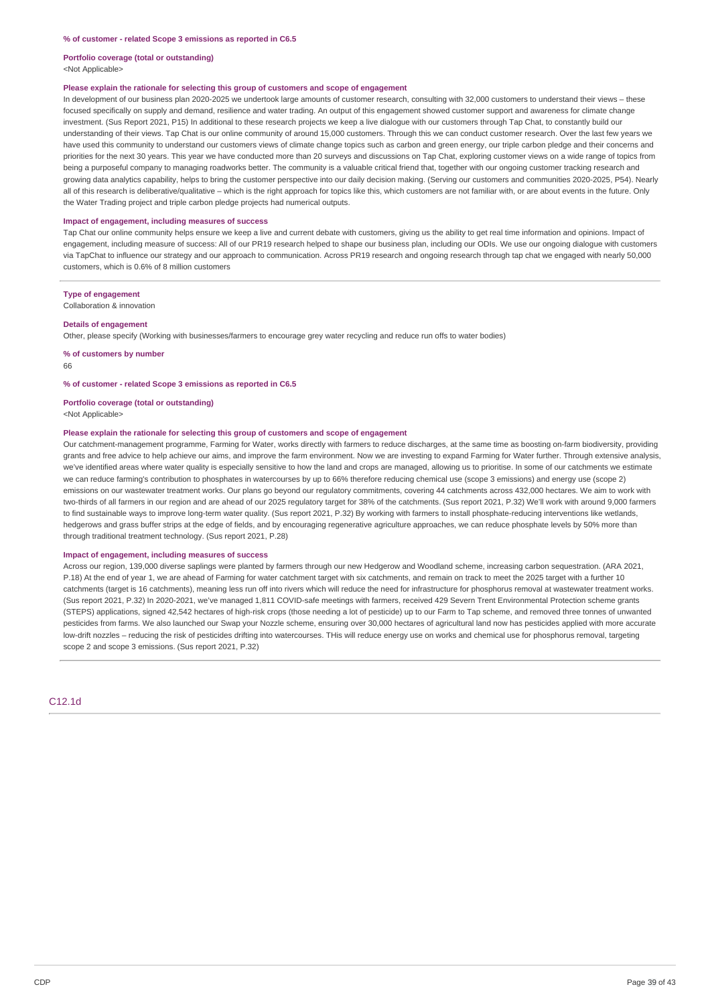**Portfolio coverage (total or outstanding)**

<Not Applicable>

#### **Please explain the rationale for selecting this group of customers and scope of engagement**

In development of our business plan 2020-2025 we undertook large amounts of customer research, consulting with 32,000 customers to understand their views – these focused specifically on supply and demand, resilience and water trading. An output of this engagement showed customer support and awareness for climate change investment. (Sus Report 2021, P15) In additional to these research projects we keep a live dialogue with our customers through Tap Chat, to constantly build our understanding of their views. Tap Chat is our online community of around 15,000 customers. Through this we can conduct customer research. Over the last few years we have used this community to understand our customers views of climate change topics such as carbon and green energy, our triple carbon pledge and their concerns and priorities for the next 30 years. This year we have conducted more than 20 surveys and discussions on Tap Chat, exploring customer views on a wide range of topics from being a purposeful company to managing roadworks better. The community is a valuable critical friend that, together with our ongoing customer tracking research and growing data analytics capability, helps to bring the customer perspective into our daily decision making. (Serving our customers and communities 2020-2025, P54). Nearly all of this research is deliberative/qualitative – which is the right approach for topics like this, which customers are not familiar with, or are about events in the future. Only the Water Trading project and triple carbon pledge projects had numerical outputs.

#### **Impact of engagement, including measures of success**

Tap Chat our online community helps ensure we keep a live and current debate with customers, giving us the ability to get real time information and opinions. Impact of engagement, including measure of success: All of our PR19 research helped to shape our business plan, including our ODIs. We use our ongoing dialogue with customers via TapChat to influence our strategy and our approach to communication. Across PR19 research and ongoing research through tap chat we engaged with nearly 50,000 customers, which is 0.6% of 8 million customers

#### **Type of engagement**

Collaboration & innovation

#### **Details of engagement**

Other, please specify (Working with businesses/farmers to encourage grey water recycling and reduce run offs to water bodies)

**% of customers by number** 66

#### **% of customer - related Scope 3 emissions as reported in C6.5**

**Portfolio coverage (total or outstanding)** <Not Applicable>

#### **Please explain the rationale for selecting this group of customers and scope of engagement**

Our catchment-management programme, Farming for Water, works directly with farmers to reduce discharges, at the same time as boosting on-farm biodiversity, providing grants and free advice to help achieve our aims, and improve the farm environment. Now we are investing to expand Farming for Water further. Through extensive analysis, we've identified areas where water quality is especially sensitive to how the land and crops are managed, allowing us to prioritise. In some of our catchments we estimate we can reduce farming's contribution to phosphates in watercourses by up to 66% therefore reducing chemical use (scope 3 emissions) and energy use (scope 2) emissions on our wastewater treatment works. Our plans go beyond our regulatory commitments, covering 44 catchments across 432,000 hectares. We aim to work with two-thirds of all farmers in our region and are ahead of our 2025 regulatory target for 38% of the catchments. (Sus report 2021, P.32) We'll work with around 9,000 farmers to find sustainable ways to improve long-term water quality. (Sus report 2021, P.32) By working with farmers to install phosphate-reducing interventions like wetlands, hedgerows and grass buffer strips at the edge of fields, and by encouraging regenerative agriculture approaches, we can reduce phosphate levels by 50% more than through traditional treatment technology. (Sus report 2021, P.28)

#### **Impact of engagement, including measures of success**

Across our region, 139,000 diverse saplings were planted by farmers through our new Hedgerow and Woodland scheme, increasing carbon sequestration. (ARA 2021, P.18) At the end of year 1, we are ahead of Farming for water catchment target with six catchments, and remain on track to meet the 2025 target with a further 10 catchments (target is 16 catchments), meaning less run off into rivers which will reduce the need for infrastructure for phosphorus removal at wastewater treatment works. (Sus report 2021, P.32) In 2020-2021, we've managed 1,811 COVID-safe meetings with farmers, received 429 Severn Trent Environmental Protection scheme grants (STEPS) applications, signed 42,542 hectares of high-risk crops (those needing a lot of pesticide) up to our Farm to Tap scheme, and removed three tonnes of unwanted pesticides from farms. We also launched our Swap your Nozzle scheme, ensuring over 30,000 hectares of agricultural land now has pesticides applied with more accurate low-drift nozzles - reducing the risk of pesticides drifting into watercourses. THis will reduce energy use on works and chemical use for phosphorus removal, targeting scope 2 and scope 3 emissions. (Sus report 2021, P.32)

C12.1d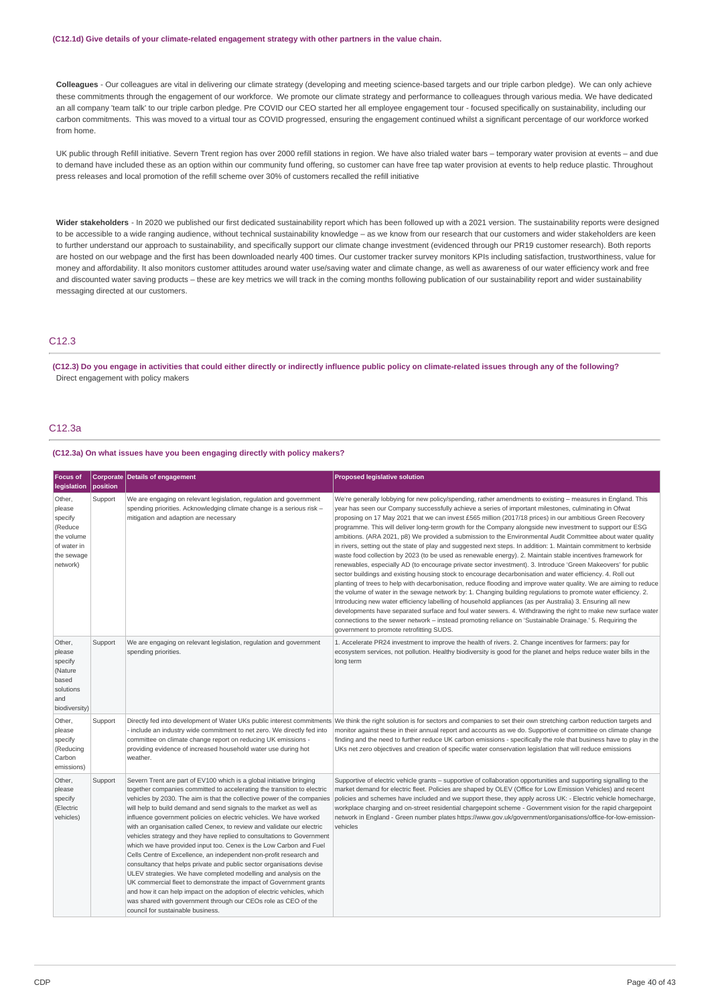**Colleagues** - Our colleagues are vital in delivering our climate strategy (developing and meeting science-based targets and our triple carbon pledge). We can only achieve these commitments through the engagement of our workforce. We promote our climate strategy and performance to colleagues through various media. We have dedicated an all company 'team talk' to our triple carbon pledge. Pre COVID our CEO started her all employee engagement tour - focused specifically on sustainability, including our carbon commitments. This was moved to a virtual tour as COVID progressed, ensuring the engagement continued whilst a significant percentage of our workforce worked from home.

UK public through Refill initiative. Severn Trent region has over 2000 refill stations in region. We have also trialed water bars – temporary water provision at events – and due to demand have included these as an option within our community fund offering, so customer can have free tap water provision at events to help reduce plastic. Throughout press releases and local promotion of the refill scheme over 30% of customers recalled the refill initiative

**Wider stakeholders** - In 2020 we published our first dedicated sustainability report which has been followed up with a 2021 version. The sustainability reports were designed to be accessible to a wide ranging audience, without technical sustainability knowledge – as we know from our research that our customers and wider stakeholders are keen to further understand our approach to sustainability, and specifically support our climate change investment (evidenced through our PR19 customer research). Both reports are hosted on our webpage and the first has been downloaded nearly 400 times. Our customer tracker survey monitors KPIs including satisfaction, trustworthiness, value for money and affordability. It also monitors customer attitudes around water use/saving water and climate change, as well as awareness of our water efficiency work and free and discounted water saving products – these are key metrics we will track in the coming months following publication of our sustainability report and wider sustainability messaging directed at our customers.

## C12.3

(C12.3) Do you engage in activities that could either directly or indirectly influence public policy on climate-related issues through any of the following? Direct engagement with policy makers

## C12.3a

#### **(C12.3a) On what issues have you been engaging directly with policy makers?**

| <b>Focus of</b><br>legislation                                                                | position | <b>Corporate Details of engagement</b>                                                                                                                                                                                                                                                                                                                                                                                                                                                                                                                                                                                                                                                                                                                                                                                                                                                                                                                                                                                                                                      | <b>Proposed legislative solution</b>                                                                                                                                                                                                                                                                                                                                                                                                                                                                                                                                                                                                                                                                                                                                                                                                                                                                                                                                                                                                                                                                                                                                                                                                                                                                                                                                                                                                                                                                                                                                                                                                                             |
|-----------------------------------------------------------------------------------------------|----------|-----------------------------------------------------------------------------------------------------------------------------------------------------------------------------------------------------------------------------------------------------------------------------------------------------------------------------------------------------------------------------------------------------------------------------------------------------------------------------------------------------------------------------------------------------------------------------------------------------------------------------------------------------------------------------------------------------------------------------------------------------------------------------------------------------------------------------------------------------------------------------------------------------------------------------------------------------------------------------------------------------------------------------------------------------------------------------|------------------------------------------------------------------------------------------------------------------------------------------------------------------------------------------------------------------------------------------------------------------------------------------------------------------------------------------------------------------------------------------------------------------------------------------------------------------------------------------------------------------------------------------------------------------------------------------------------------------------------------------------------------------------------------------------------------------------------------------------------------------------------------------------------------------------------------------------------------------------------------------------------------------------------------------------------------------------------------------------------------------------------------------------------------------------------------------------------------------------------------------------------------------------------------------------------------------------------------------------------------------------------------------------------------------------------------------------------------------------------------------------------------------------------------------------------------------------------------------------------------------------------------------------------------------------------------------------------------------------------------------------------------------|
| Other,<br>please<br>specify<br>(Reduce<br>the volume<br>of water in<br>the sewage<br>network) | Support  | We are engaging on relevant legislation, regulation and government<br>spending priorities. Acknowledging climate change is a serious risk -<br>mitigation and adaption are necessary                                                                                                                                                                                                                                                                                                                                                                                                                                                                                                                                                                                                                                                                                                                                                                                                                                                                                        | We're generally lobbying for new policy/spending, rather amendments to existing - measures in England. This<br>year has seen our Company successfully achieve a series of important milestones, culminating in Ofwat<br>proposing on 17 May 2021 that we can invest £565 million (2017/18 prices) in our ambitious Green Recovery<br>programme. This will deliver long-term growth for the Company alongside new investment to support our ESG<br>ambitions. (ARA 2021, p8) We provided a submission to the Environmental Audit Committee about water quality<br>in rivers, setting out the state of play and suggested next steps. In addition: 1. Maintain commitment to kerbside<br>waste food collection by 2023 (to be used as renewable energy). 2. Maintain stable incentives framework for<br>renewables, especially AD (to encourage private sector investment). 3. Introduce 'Green Makeovers' for public<br>sector buildings and existing housing stock to encourage decarbonisation and water efficiency. 4. Roll out<br>planting of trees to help with decarbonisation, reduce flooding and improve water quality. We are aiming to reduce<br>the volume of water in the sewage network by: 1. Changing building regulations to promote water efficiency. 2.<br>Introducing new water efficiency labelling of household appliances (as per Australia) 3. Ensuring all new<br>developments have separated surface and foul water sewers. 4. Withdrawing the right to make new surface water<br>connections to the sewer network - instead promoting reliance on 'Sustainable Drainage.' 5. Requiring the<br>government to promote retrofitting SUDS. |
| Other,<br>please<br>specify<br>(Nature<br>based<br>solutions<br>and<br>biodiversity)          | Support  | We are engaging on relevant legislation, regulation and government<br>spending priorities.                                                                                                                                                                                                                                                                                                                                                                                                                                                                                                                                                                                                                                                                                                                                                                                                                                                                                                                                                                                  | 1. Accelerate PR24 investment to improve the health of rivers. 2. Change incentives for farmers: pay for<br>ecosystem services, not pollution. Healthy biodiversity is good for the planet and helps reduce water bills in the<br>long term                                                                                                                                                                                                                                                                                                                                                                                                                                                                                                                                                                                                                                                                                                                                                                                                                                                                                                                                                                                                                                                                                                                                                                                                                                                                                                                                                                                                                      |
| Other,<br>please<br>specify<br>(Reducing<br>Carbon<br>emissions)                              | Support  | include an industry wide commitment to net zero. We directly fed into<br>committee on climate change report on reducing UK emissions -<br>providing evidence of increased household water use during hot<br>weather.                                                                                                                                                                                                                                                                                                                                                                                                                                                                                                                                                                                                                                                                                                                                                                                                                                                        | Directly fed into development of Water UKs public interest commitments We think the right solution is for sectors and companies to set their own stretching carbon reduction targets and<br>monitor against these in their annual report and accounts as we do. Supportive of committee on climate change<br>finding and the need to further reduce UK carbon emissions - specifically the role that business have to play in the<br>UKs net zero objectives and creation of specific water conservation legislation that will reduce emissions                                                                                                                                                                                                                                                                                                                                                                                                                                                                                                                                                                                                                                                                                                                                                                                                                                                                                                                                                                                                                                                                                                                  |
| Other,<br>please<br>specify<br>(Electric<br>vehicles)                                         | Support  | Severn Trent are part of EV100 which is a global initiative bringing<br>together companies committed to accelerating the transition to electric<br>vehicles by 2030. The aim is that the collective power of the companies<br>will help to build demand and send signals to the market as well as<br>influence government policies on electric vehicles. We have worked<br>with an organisation called Cenex, to review and validate our electric<br>vehicles strategy and they have replied to consultations to Government<br>which we have provided input too. Cenex is the Low Carbon and Fuel<br>Cells Centre of Excellence, an independent non-profit research and<br>consultancy that helps private and public sector organisations devise<br>ULEV strategies. We have completed modelling and analysis on the<br>UK commercial fleet to demonstrate the impact of Government grants<br>and how it can help impact on the adoption of electric vehicles, which<br>was shared with government through our CEOs role as CEO of the<br>council for sustainable business. | Supportive of electric vehicle grants – supportive of collaboration opportunities and supporting signalling to the<br>market demand for electric fleet. Policies are shaped by OLEV (Office for Low Emission Vehicles) and recent<br>policies and schemes have included and we support these, they apply across UK: - Electric vehicle homecharge,<br>workplace charging and on-street residential chargepoint scheme - Government vision for the rapid chargepoint<br>network in England - Green number plates https://www.gov.uk/government/organisations/office-for-low-emission-<br>vehicles                                                                                                                                                                                                                                                                                                                                                                                                                                                                                                                                                                                                                                                                                                                                                                                                                                                                                                                                                                                                                                                                 |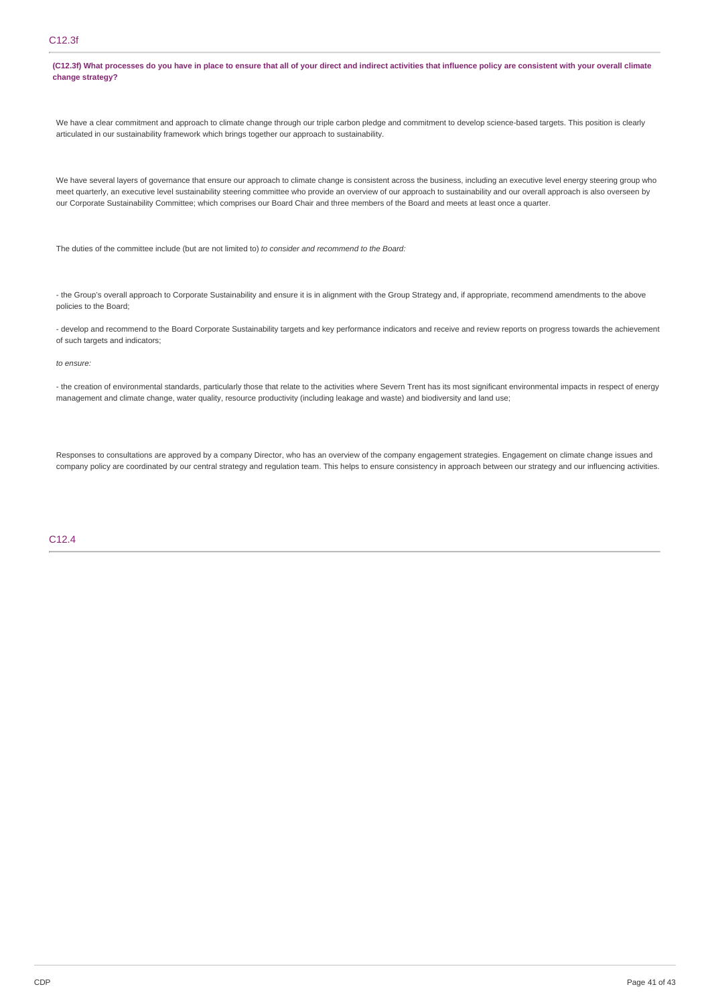## C12.3f

(C12.3f) What processes do you have in place to ensure that all of your direct and indirect activities that influence policy are consistent with your overall climate **change strategy?**

We have a clear commitment and approach to climate change through our triple carbon pledge and commitment to develop science-based targets. This position is clearly articulated in our sustainability framework which brings together our approach to sustainability.

We have several layers of governance that ensure our approach to climate change is consistent across the business, including an executive level energy steering group who meet quarterly, an executive level sustainability steering committee who provide an overview of our approach to sustainability and our overall approach is also overseen by our Corporate Sustainability Committee; which comprises our Board Chair and three members of the Board and meets at least once a quarter.

The duties of the committee include (but are not limited to) *to consider and recommend to the Board:*

- the Group's overall approach to Corporate Sustainability and ensure it is in alignment with the Group Strategy and, if appropriate, recommend amendments to the above policies to the Board;

- develop and recommend to the Board Corporate Sustainability targets and key performance indicators and receive and review reports on progress towards the achievement of such targets and indicators;

### *to ensure:*

- the creation of environmental standards, particularly those that relate to the activities where Severn Trent has its most significant environmental impacts in respect of energy management and climate change, water quality, resource productivity (including leakage and waste) and biodiversity and land use;

Responses to consultations are approved by a company Director, who has an overview of the company engagement strategies. Engagement on climate change issues and company policy are coordinated by our central strategy and regulation team. This helps to ensure consistency in approach between our strategy and our influencing activities.

### C12.4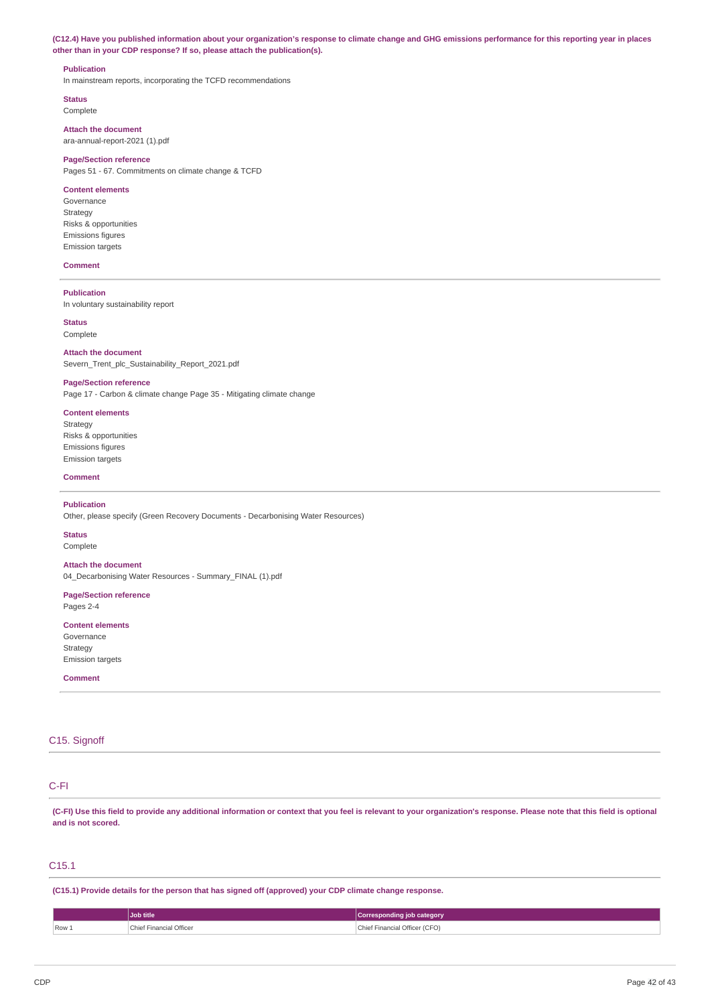(C12.4) Have you published information about your organization's response to climate change and GHG emissions performance for this reporting year in places **other than in your CDP response? If so, please attach the publication(s).**

### **Publication**

In mainstream reports, incorporating the TCFD recommendations

**Status** Complete

**Attach the document**

ara-annual-report-2021 (1).pdf

## **Page/Section reference**

Pages 51 - 67. Commitments on climate change & TCFD

### **Content elements**

Governance Strategy Risks & opportunities Emissions figures Emission targets

### **Comment**

**Publication**

In voluntary sustainability report

### **Status**

Complete

**Attach the document** Severn\_Trent\_plc\_Sustainability\_Report\_2021.pdf

#### **Page/Section reference**

Page 17 - Carbon & climate change Page 35 - Mitigating climate change

### **Content elements**

Strategy Risks & opportunities Emissions figures Emission targets

#### **Comment**

#### **Publication**

Other, please specify (Green Recovery Documents - Decarbonising Water Resources)

#### **Status**

Complete

### **Attach the document**

04\_Decarbonising Water Resources - Summary\_FINAL (1).pdf

### **Page/Section reference** Pages 2-4

**Content elements** Governance **Strategy** 

Emission targets **Comment**

## C<sub>15</sub>. Signoff

## C-FI

(C-FI) Use this field to provide any additional information or context that you feel is relevant to your organization's response. Please note that this field is optional **and is not scored.**

### C15.1

**(C15.1) Provide details for the person that has signed off (approved) your CDP climate change response.**

|       | Job title               | Corresponding job category    |
|-------|-------------------------|-------------------------------|
| Row 1 | Chief Financial Officer | Chief Financial Officer (CFO) |